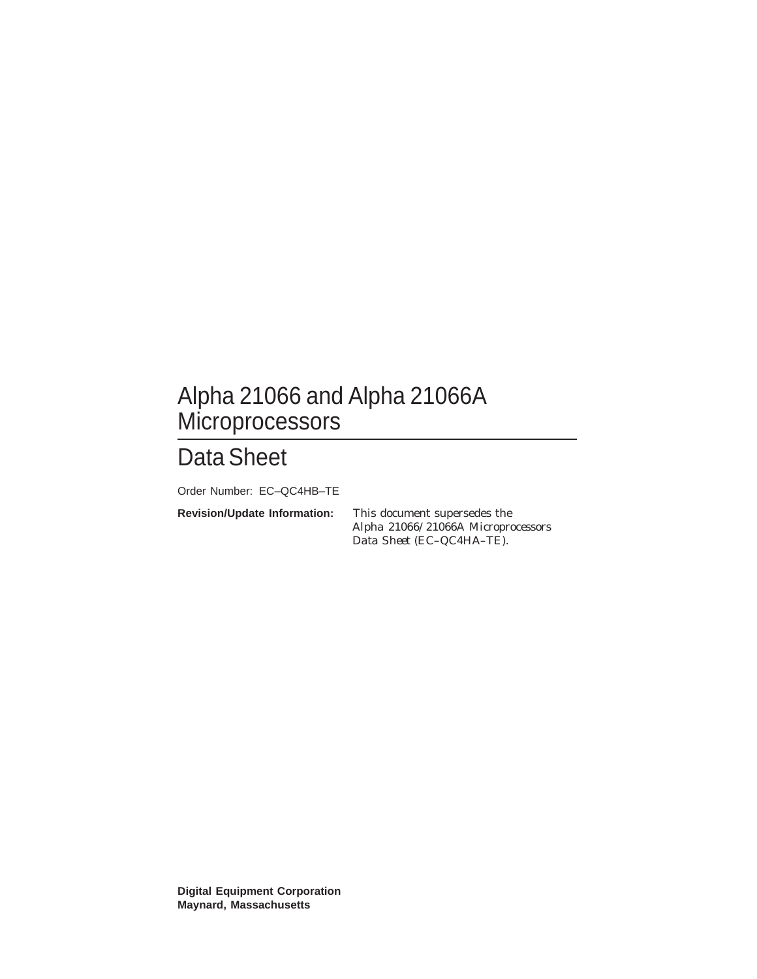# Alpha 21066 and Alpha 21066A Microprocessors

# Data Sheet

Order Number: EC–QC4HB–TE

**Revision/Update Information:** This document supersedes the *Alpha 21066/21066A Microprocessors Data Sheet* (EC–QC4HA–TE).

**Digital Equipment Corporation Maynard, Massachusetts**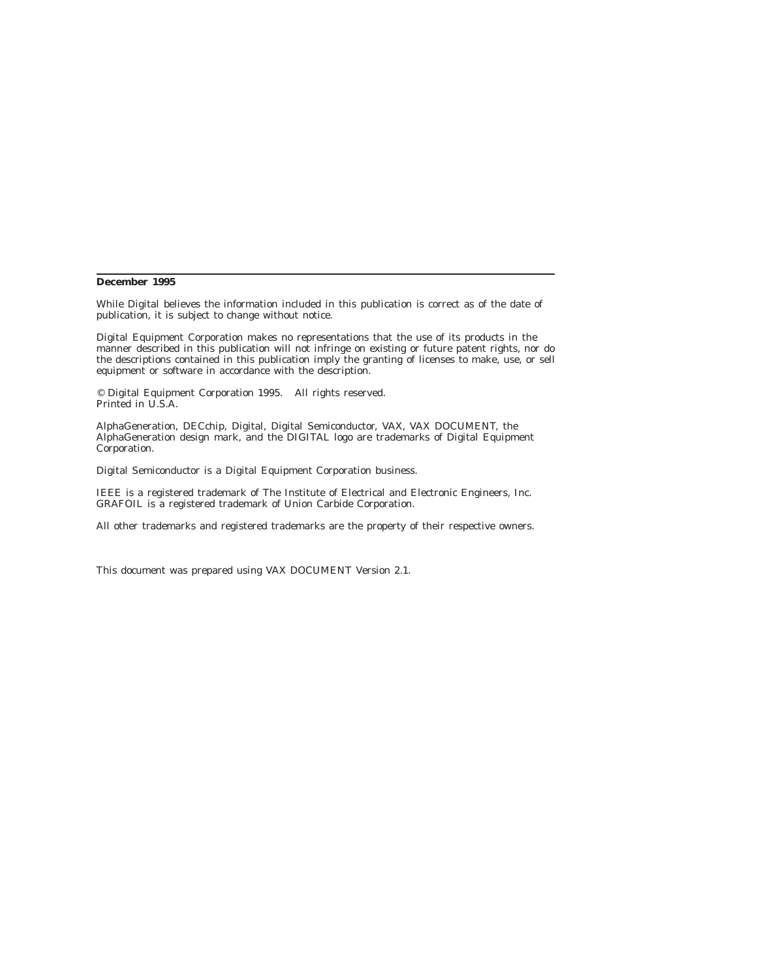#### **December 1995**

While Digital believes the information included in this publication is correct as of the date of publication, it is subject to change without notice.

Digital Equipment Corporation makes no representations that the use of its products in the manner described in this publication will not infringe on existing or future patent rights, nor do the descriptions contained in this publication imply the granting of licenses to make, use, or sell equipment or software in accordance with the description.

© Digital Equipment Corporation 1995. All rights reserved. Printed in U.S.A.

AlphaGeneration, DECchip, Digital, Digital Semiconductor, VAX, VAX DOCUMENT, the AlphaGeneration design mark, and the DIGITAL logo are trademarks of Digital Equipment Corporation.

Digital Semiconductor is a Digital Equipment Corporation business.

IEEE is a registered trademark of The Institute of Electrical and Electronic Engineers, Inc. GRAFOIL is a registered trademark of Union Carbide Corporation.

All other trademarks and registered trademarks are the property of their respective owners.

This document was prepared using VAX DOCUMENT Version 2.1.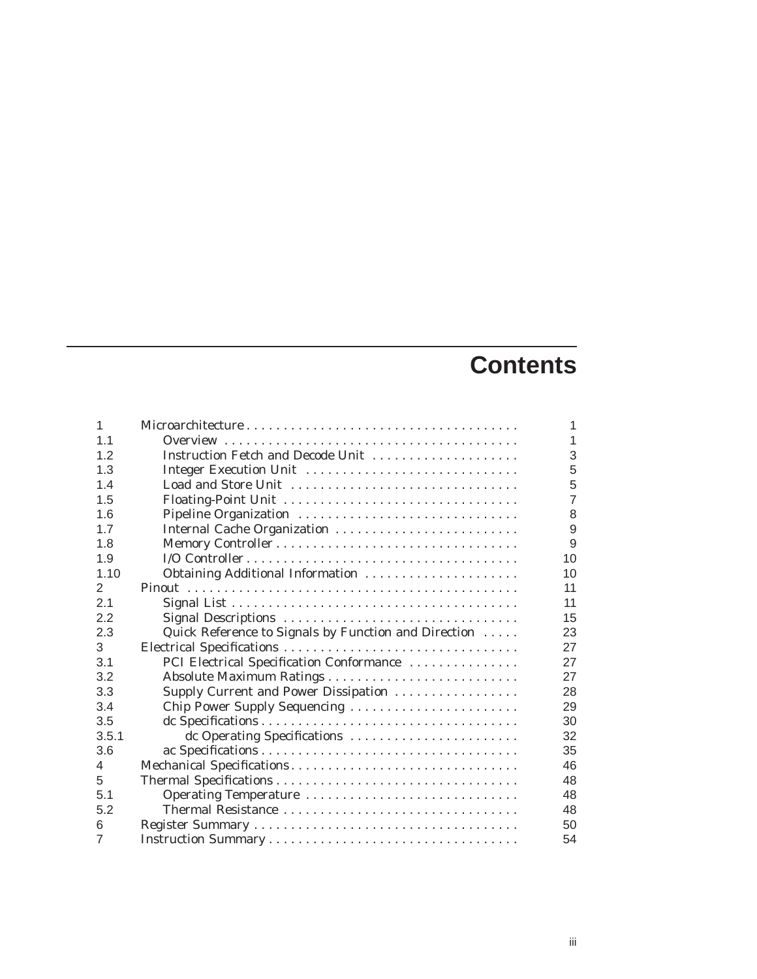# **Contents**

| 1              |                                                      | 1              |
|----------------|------------------------------------------------------|----------------|
| 1.1            |                                                      | $\overline{1}$ |
| 1.2            | Instruction Fetch and Decode Unit                    | 3              |
| 1.3            | Integer Execution Unit                               | 5              |
| 1.4            | Load and Store Unit                                  | 5              |
| 1.5            |                                                      | $\overline{7}$ |
| 1.6            | Pipeline Organization                                | 8              |
| 1.7            | Internal Cache Organization                          | 9              |
| 1.8            |                                                      | 9              |
| 1.9            |                                                      | 10             |
| 1.10           | Obtaining Additional Information                     | 10             |
| 2              |                                                      | 11             |
| 2.1            |                                                      | 11             |
| 2.2            | Signal Descriptions                                  | 15             |
| 2.3            | Quick Reference to Signals by Function and Direction | 23             |
| 3              |                                                      | 27             |
| 3.1            | PCI Electrical Specification Conformance             | 27             |
| 3.2            |                                                      | 27             |
| 3.3            | Supply Current and Power Dissipation                 | 28             |
| 3.4            | Chip Power Supply Sequencing                         | 29             |
| 3.5            |                                                      | 30             |
| 3.5.1          | dc Operating Specifications                          | 32             |
| 3.6            |                                                      | 35             |
| 4              |                                                      | 46             |
| 5              |                                                      | 48             |
| 5.1            | Operating Temperature                                | 48             |
| 5.2            | Thermal Resistance                                   | 48             |
| 6              |                                                      | 50             |
| $\overline{7}$ |                                                      | 54             |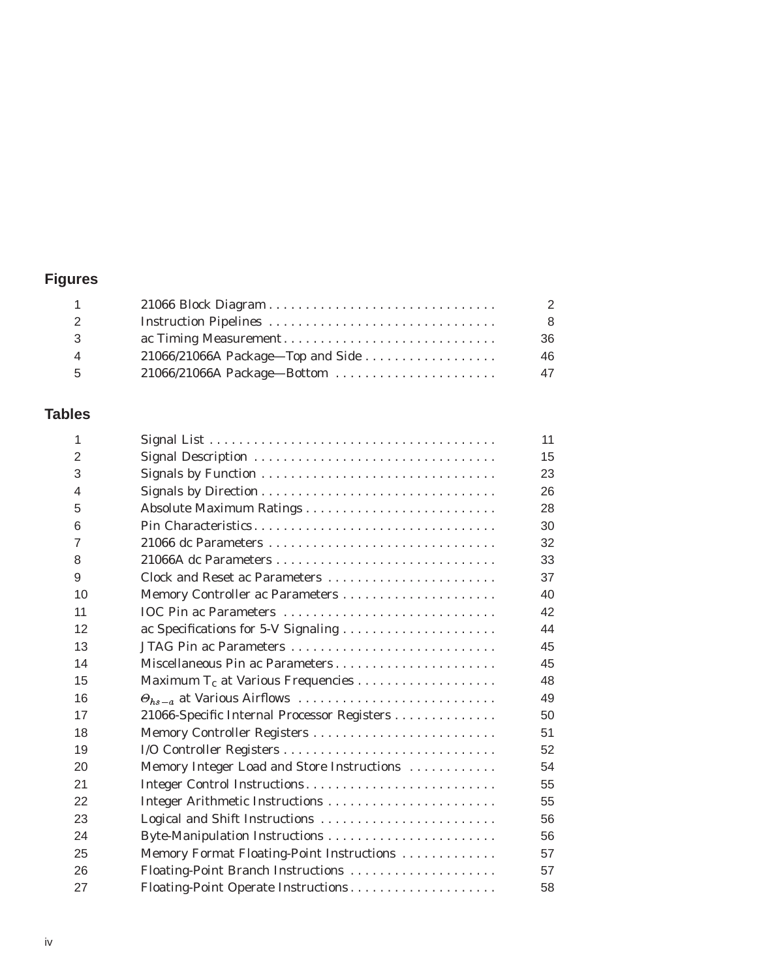## **Figures**

|                                     | 2  |
|-------------------------------------|----|
|                                     | -8 |
|                                     | 36 |
| $21066/21066A$ Package—Top and Side | 46 |
| 21066/21066A Package-Bottom         | 47 |
|                                     |    |

## **Tables**

| 1  |                                             | 11 |
|----|---------------------------------------------|----|
| 2  | Signal Description                          | 15 |
| 3  |                                             | 23 |
| 4  |                                             | 26 |
| 5  |                                             | 28 |
| 6  |                                             | 30 |
| 7  | 21066 dc Parameters                         | 32 |
| 8  |                                             | 33 |
| 9  | Clock and Reset ac Parameters               | 37 |
| 10 |                                             | 40 |
| 11 | IOC Pin ac Parameters                       | 42 |
| 12 | ac Specifications for 5-V Signaling         | 44 |
| 13 | JTAG Pin ac Parameters                      | 45 |
| 14 | Miscellaneous Pin ac Parameters             | 45 |
| 15 |                                             | 48 |
| 16 |                                             | 49 |
| 17 | 21066-Specific Internal Processor Registers | 50 |
| 18 |                                             | 51 |
| 19 |                                             | 52 |
| 20 | Memory Integer Load and Store Instructions  | 54 |
| 21 | Integer Control Instructions                | 55 |
| 22 |                                             | 55 |
| 23 | Logical and Shift Instructions              | 56 |
| 24 |                                             | 56 |
| 25 | Memory Format Floating-Point Instructions   | 57 |
| 26 | Floating-Point Branch Instructions          | 57 |
| 27 | Floating-Point Operate Instructions         | 58 |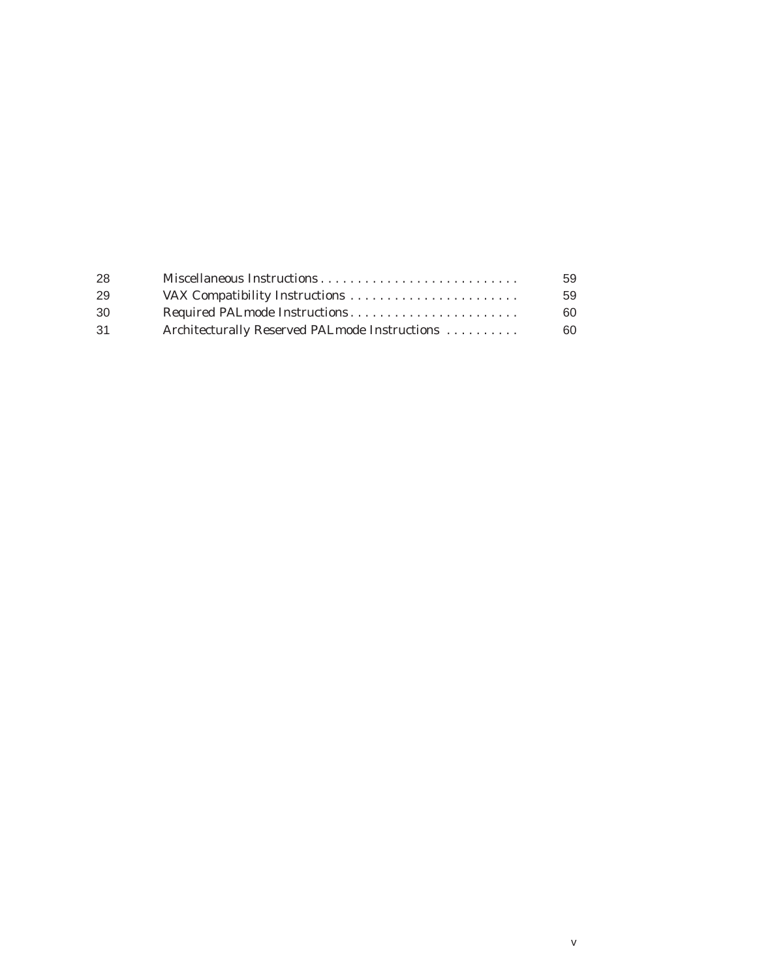| -28 |                                               | 59  |
|-----|-----------------------------------------------|-----|
| 29  |                                               | 59  |
| 30  | Required PALmode Instructions                 | 60. |
| 31  | Architecturally Reserved PALmode Instructions | 60. |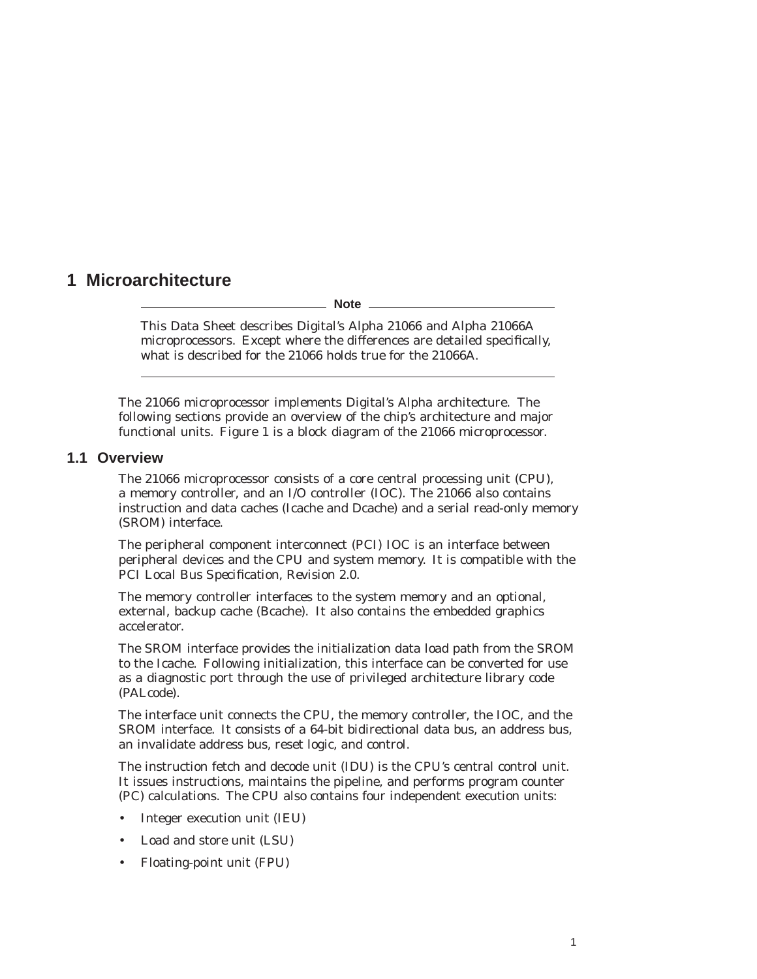## **1 Microarchitecture**

**Note**

This Data Sheet describes Digital's Alpha 21066 and Alpha 21066A microprocessors. Except where the differences are detailed specifically, what is described for the 21066 holds true for the 21066A.

The 21066 microprocessor implements Digital's Alpha architecture. The following sections provide an overview of the chip's architecture and major functional units. Figure 1 is a block diagram of the 21066 microprocessor.

#### **1.1 Overview**

The 21066 microprocessor consists of a core central processing unit (CPU), a memory controller, and an I/O controller (IOC). The 21066 also contains instruction and data caches (Icache and Dcache) and a serial read-only memory (SROM) interface.

The peripheral component interconnect (PCI) IOC is an interface between peripheral devices and the CPU and system memory. It is compatible with the *PCI Local Bus Specification, Revision 2.0*.

The memory controller interfaces to the system memory and an optional, external, backup cache (Bcache). It also contains the embedded graphics accelerator.

The SROM interface provides the initialization data load path from the SROM to the Icache. Following initialization, this interface can be converted for use as a diagnostic port through the use of privileged architecture library code (PALcode).

The interface unit connects the CPU, the memory controller, the IOC, and the SROM interface. It consists of a 64-bit bidirectional data bus, an address bus, an invalidate address bus, reset logic, and control.

The instruction fetch and decode unit (IDU) is the CPU's central control unit. It issues instructions, maintains the pipeline, and performs program counter (PC) calculations. The CPU also contains four independent execution units:

- Integer execution unit (IEU)
- Load and store unit (LSU)
- Floating-point unit (FPU)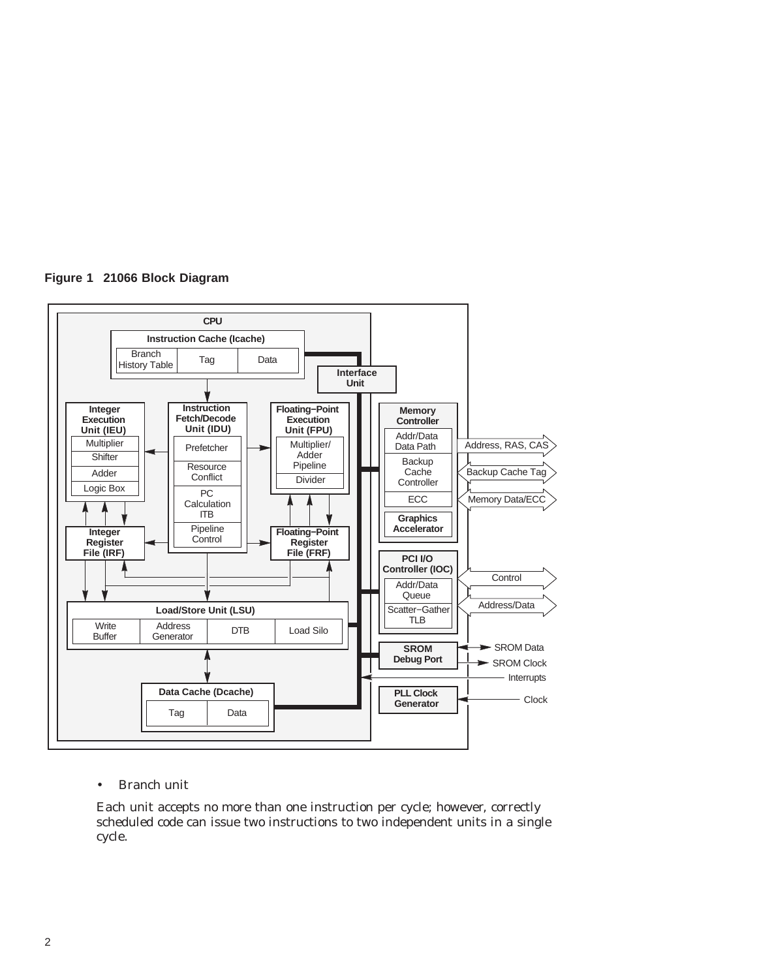



#### • Branch unit

Each unit accepts no more than one instruction per cycle; however, correctly scheduled code can issue two instructions to two independent units in a single cycle.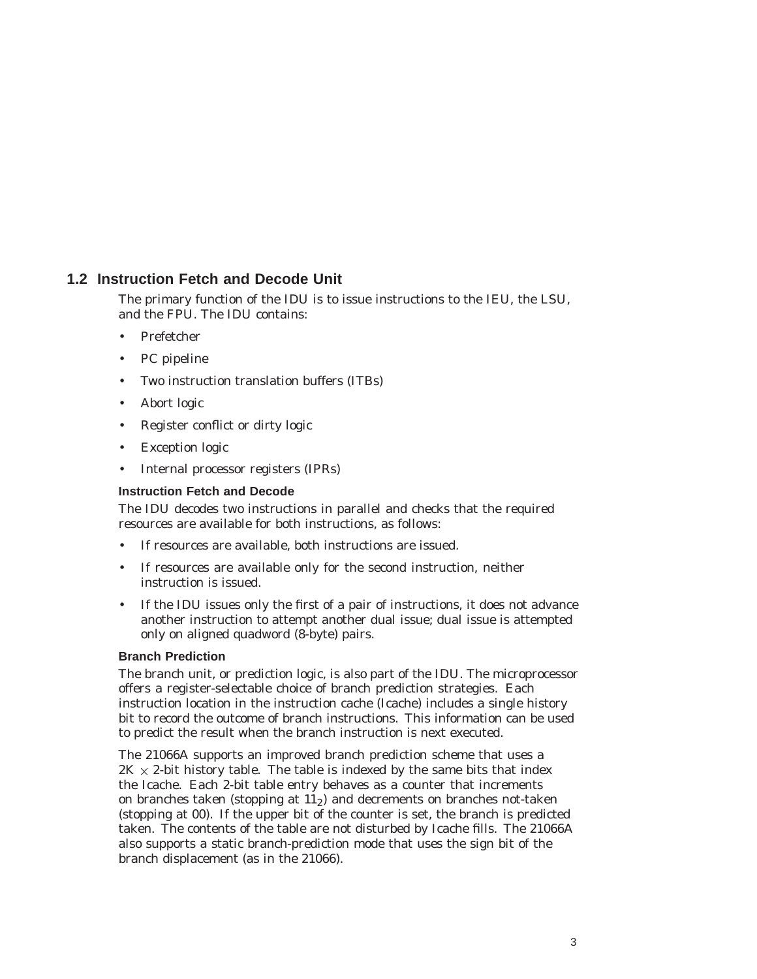### **1.2 Instruction Fetch and Decode Unit**

The primary function of the IDU is to issue instructions to the IEU, the LSU, and the FPU. The IDU contains:

- Prefetcher
- PC pipeline
- Two instruction translation buffers (ITBs)
- Abort logic
- Register conflict or dirty logic
- **Exception logic**
- Internal processor registers (IPRs)

#### **Instruction Fetch and Decode**

The IDU decodes two instructions in parallel and checks that the required resources are available for both instructions, as follows:

- If resources are available, both instructions are issued.
- If resources are available only for the second instruction, neither instruction is issued.
- If the IDU issues only the first of a pair of instructions, it does not advance another instruction to attempt another dual issue; dual issue is attempted only on aligned quadword (8-byte) pairs.

#### **Branch Prediction**

The branch unit, or prediction logic, is also part of the IDU. The microprocessor offers a register-selectable choice of branch prediction strategies. Each instruction location in the instruction cache (Icache) includes a single history bit to record the outcome of branch instructions. This information can be used to predict the result when the branch instruction is next executed.

The 21066A supports an improved branch prediction scheme that uses a 2K  $\times$  2-bit history table. The table is indexed by the same bits that index the Icache. Each 2-bit table entry behaves as a counter that increments on branches taken (stopping at  $11<sub>2</sub>$ ) and decrements on branches not-taken (stopping at 00). If the upper bit of the counter is set, the branch is predicted taken. The contents of the table are not disturbed by Icache fills. The 21066A also supports a static branch-prediction mode that uses the sign bit of the branch displacement (as in the 21066).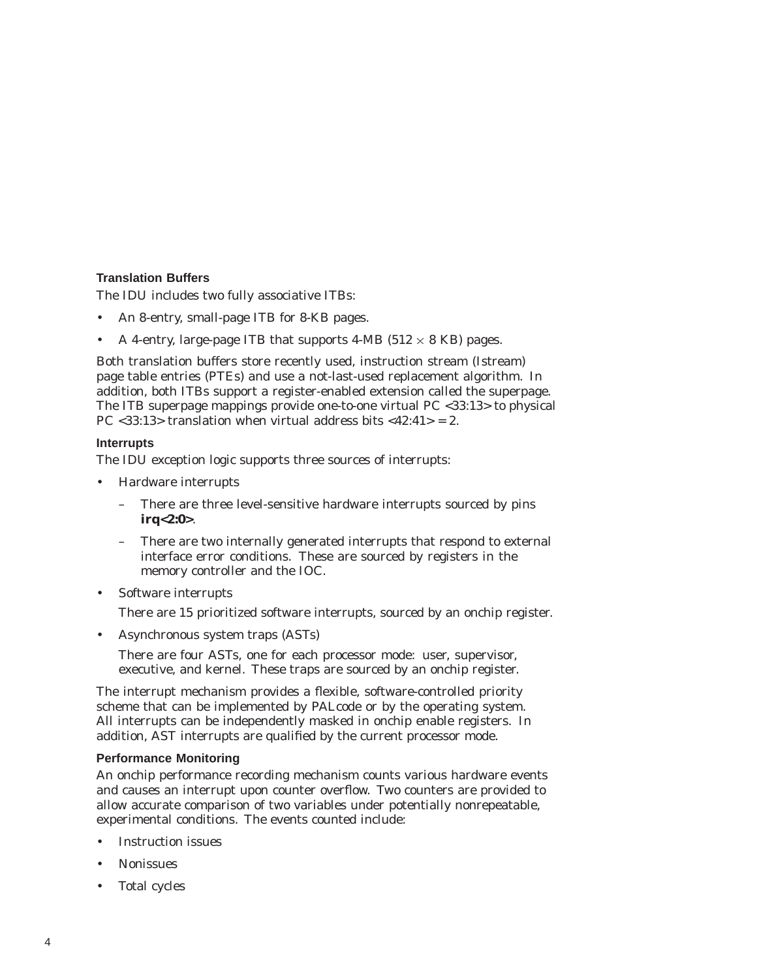#### **Translation Buffers**

The IDU includes two fully associative ITBs:

- An 8-entry, small-page ITB for 8-KB pages.
- A 4-entry, large-page ITB that supports  $4-MB$  (512  $\times$  8 KB) pages.

Both translation buffers store recently used, instruction stream (Istream) page table entries (PTEs) and use a not-last-used replacement algorithm. In addition, both ITBs support a register-enabled extension called the superpage. The ITB superpage mappings provide one-to-one virtual PC <33:13> to physical PC <33:13> translation when virtual address bits <42:41> = 2.

#### **Interrupts**

The IDU exception logic supports three sources of interrupts:

- Hardware interrupts
	- There are three level-sensitive hardware interrupts sourced by pins **irq<2:0>**.
	- There are two internally generated interrupts that respond to external interface error conditions. These are sourced by registers in the memory controller and the IOC.
- Software interrupts

There are 15 prioritized software interrupts, sourced by an onchip register.

• Asynchronous system traps (ASTs)

There are four ASTs, one for each processor mode: user, supervisor, executive, and kernel. These traps are sourced by an onchip register.

The interrupt mechanism provides a flexible, software-controlled priority scheme that can be implemented by PALcode or by the operating system. All interrupts can be independently masked in onchip enable registers. In addition, AST interrupts are qualified by the current processor mode.

#### **Performance Monitoring**

An onchip performance recording mechanism counts various hardware events and causes an interrupt upon counter overflow. Two counters are provided to allow accurate comparison of two variables under potentially nonrepeatable, experimental conditions. The events counted include:

- Instruction issues
- Nonissues
- Total cycles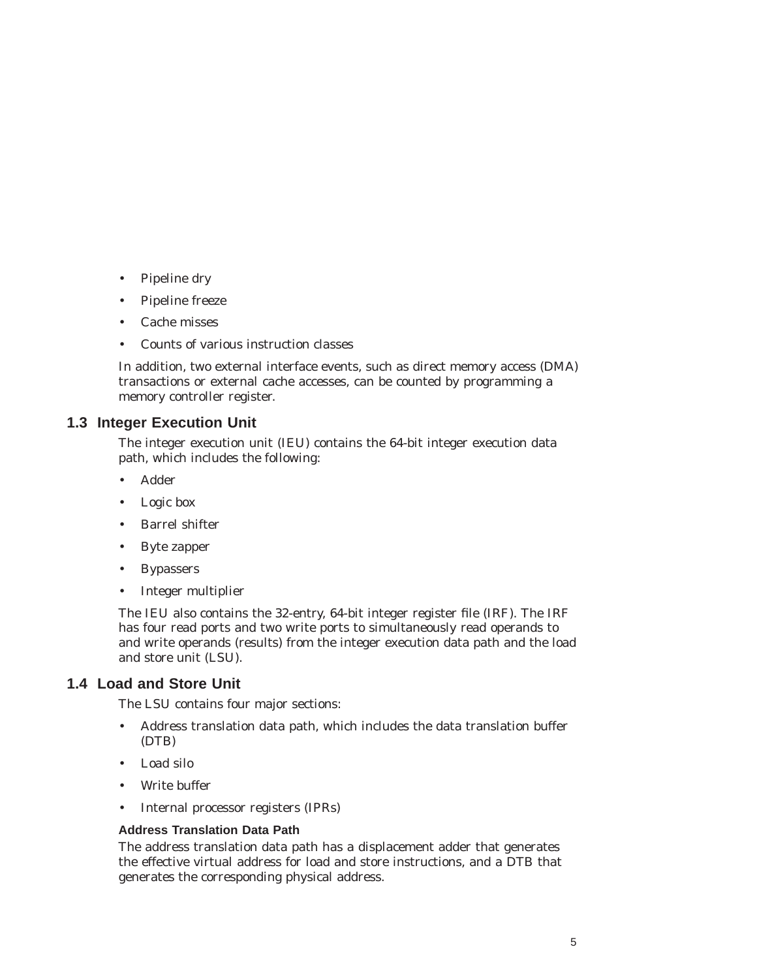- Pipeline dry
- Pipeline freeze
- Cache misses
- Counts of various instruction classes

In addition, two external interface events, such as direct memory access (DMA) transactions or external cache accesses, can be counted by programming a memory controller register.

#### **1.3 Integer Execution Unit**

The integer execution unit (IEU) contains the 64-bit integer execution data path, which includes the following:

- Adder
- Logic box
- Barrel shifter
- Byte zapper
- Bypassers
- Integer multiplier

The IEU also contains the 32-entry, 64-bit integer register file (IRF). The IRF has four read ports and two write ports to simultaneously read operands to and write operands (results) from the integer execution data path and the load and store unit (LSU).

#### **1.4 Load and Store Unit**

The LSU contains four major sections:

- Address translation data path, which includes the data translation buffer (DTB)
- Load silo
- Write buffer
- Internal processor registers (IPRs)

#### **Address Translation Data Path**

The address translation data path has a displacement adder that generates the effective virtual address for load and store instructions, and a DTB that generates the corresponding physical address.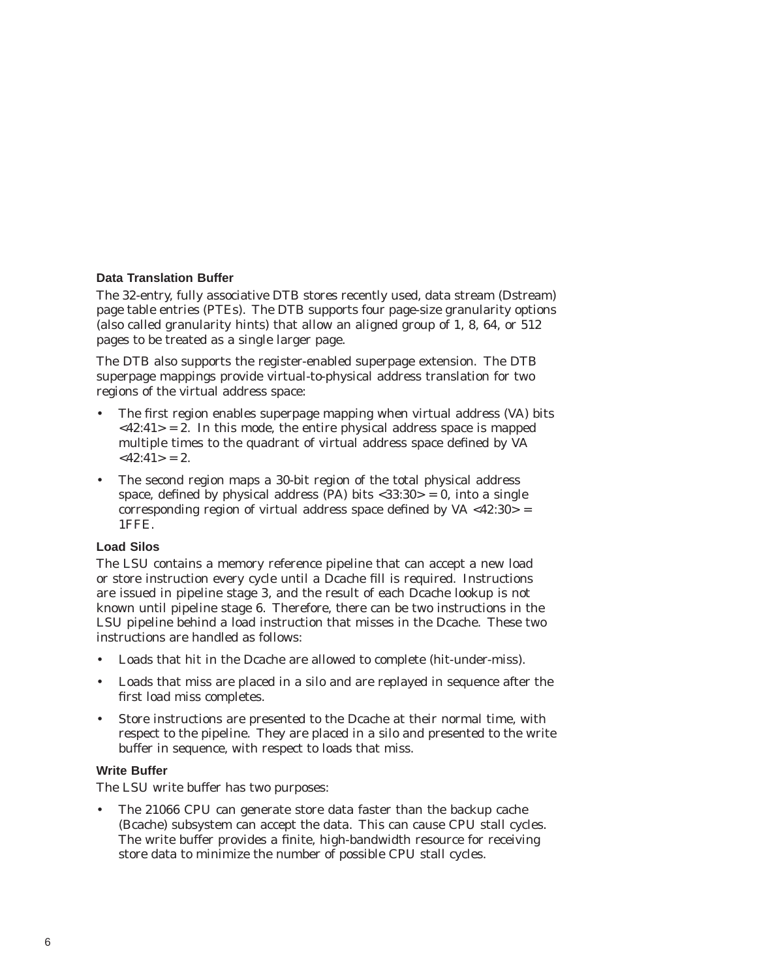#### **Data Translation Buffer**

The 32-entry, fully associative DTB stores recently used, data stream (Dstream) page table entries (PTEs). The DTB supports four page-size granularity options (also called granularity hints) that allow an aligned group of 1, 8, 64, or 512 pages to be treated as a single larger page.

The DTB also supports the register-enabled superpage extension. The DTB superpage mappings provide virtual-to-physical address translation for two regions of the virtual address space:

- The first region enables superpage mapping when virtual address (VA) bits  $\langle 42:41 \rangle = 2$ . In this mode, the entire physical address space is mapped multiple times to the quadrant of virtual address space defined by VA  $<$ 42:41> = 2.
- The second region maps a 30-bit region of the total physical address space, defined by physical address (PA) bits  $\langle 33:30 \rangle = 0$ , into a single corresponding region of virtual address space defined by VA <42:30> = 1FFE.

#### **Load Silos**

The LSU contains a memory reference pipeline that can accept a new load or store instruction every cycle until a Dcache fill is required. Instructions are issued in pipeline stage 3, and the result of each Dcache lookup is not known until pipeline stage 6. Therefore, there can be two instructions in the LSU pipeline behind a load instruction that misses in the Dcache. These two instructions are handled as follows:

- Loads that hit in the Dcache are allowed to complete (hit-under-miss).
- Loads that miss are placed in a silo and are replayed in sequence after the first load miss completes.
- Store instructions are presented to the Dcache at their normal time, with respect to the pipeline. They are placed in a silo and presented to the write buffer in sequence, with respect to loads that miss.

#### **Write Buffer**

The LSU write buffer has two purposes:

The 21066 CPU can generate store data faster than the backup cache (Bcache) subsystem can accept the data. This can cause CPU stall cycles. The write buffer provides a finite, high-bandwidth resource for receiving store data to minimize the number of possible CPU stall cycles.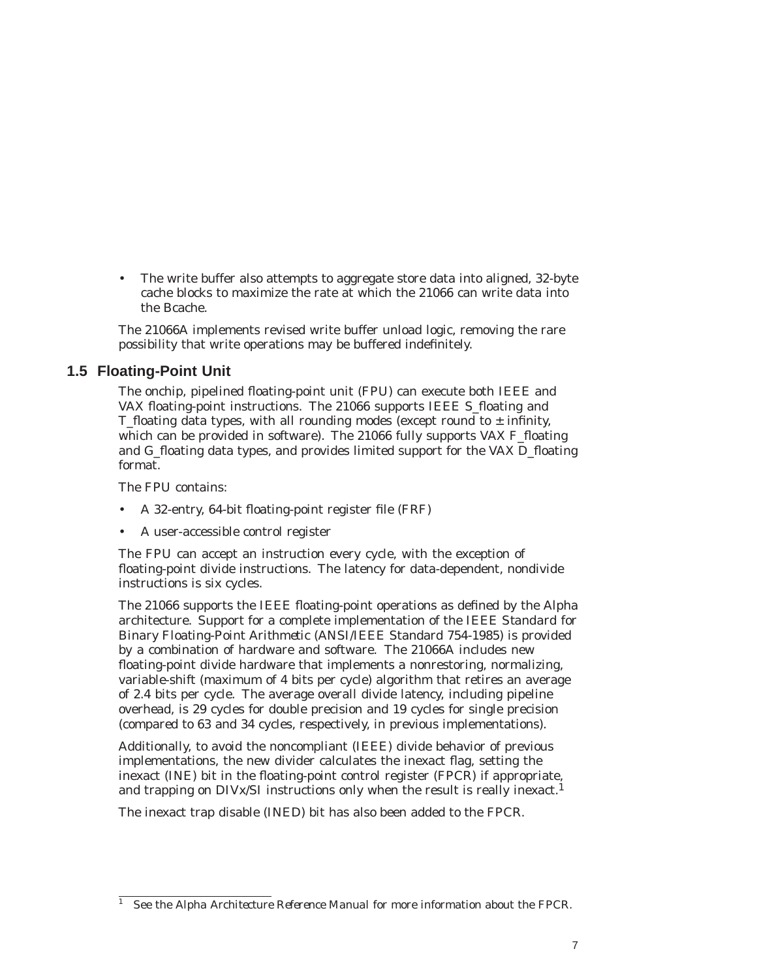The write buffer also attempts to aggregate store data into aligned, 32-byte cache blocks to maximize the rate at which the 21066 can write data into the Bcache.

The 21066A implements revised write buffer unload logic, removing the rare possibility that write operations may be buffered indefinitely.

### **1.5 Floating-Point Unit**

The onchip, pipelined floating-point unit (FPU) can execute both IEEE and VAX floating-point instructions. The 21066 supports IEEE S\_floating and T\_floating data types, with all rounding modes (except round to  $\pm$  infinity, which can be provided in software). The 21066 fully supports VAX F\_floating and G<sub>floating</sub> data types, and provides limited support for the VAX D<sub>floating</sub> format.

The FPU contains:

- A 32-entry, 64-bit floating-point register file (FRF)
- A user-accessible control register

The FPU can accept an instruction every cycle, with the exception of floating-point divide instructions. The latency for data-dependent, nondivide instructions is six cycles.

The 21066 supports the IEEE floating-point operations as defined by the Alpha architecture. Support for a complete implementation of the *IEEE Standard for Binary Floating-Point Arithmetic* (ANSI/IEEE Standard 754-1985) is provided by a combination of hardware and software. The 21066A includes new floating-point divide hardware that implements a nonrestoring, normalizing, variable-shift (maximum of 4 bits per cycle) algorithm that retires an average of 2.4 bits per cycle. The average overall divide latency, including pipeline overhead, is 29 cycles for double precision and 19 cycles for single precision (compared to 63 and 34 cycles, respectively, in previous implementations).

Additionally, to avoid the noncompliant (IEEE) divide behavior of previous implementations, the new divider calculates the inexact flag, setting the inexact (INE) bit in the floating-point control register (FPCR) if appropriate, and trapping on  $\text{DIVx/SI}$  instructions only when the result is really inexact.<sup>1</sup>

The inexact trap disable (INED) bit has also been added to the FPCR.

<sup>&</sup>lt;sup>1</sup> See the *Alpha Architecture Reference Manual* for more information about the FPCR.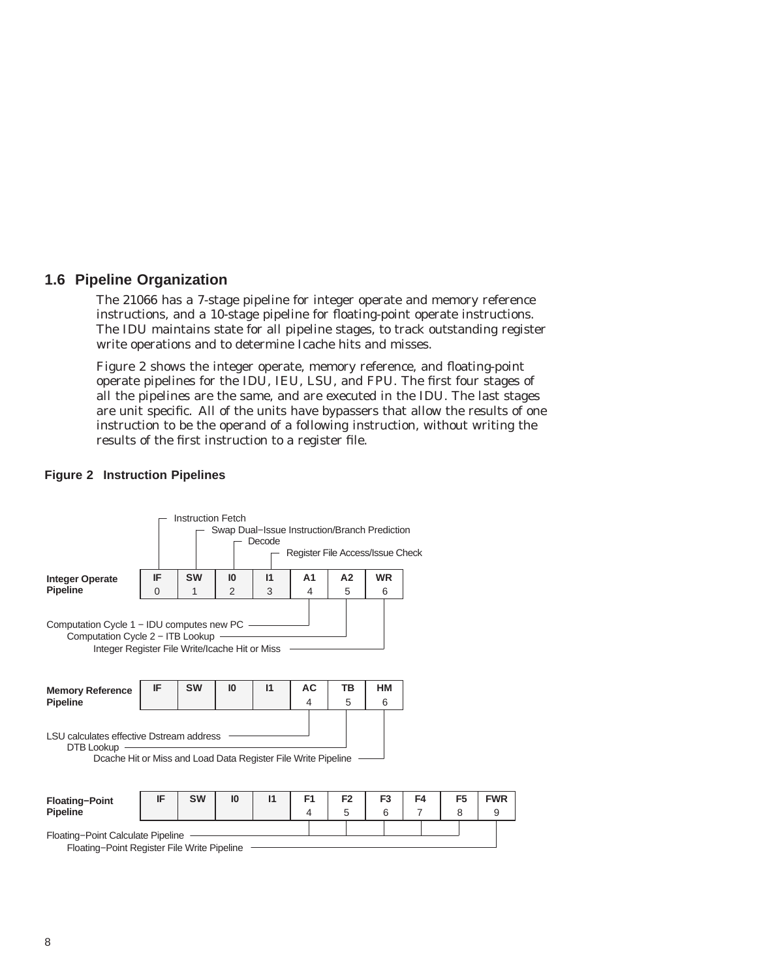#### **1.6 Pipeline Organization**

The 21066 has a 7-stage pipeline for integer operate and memory reference instructions, and a 10-stage pipeline for floating-point operate instructions. The IDU maintains state for all pipeline stages, to track outstanding register write operations and to determine Icache hits and misses.

Figure 2 shows the integer operate, memory reference, and floating-point operate pipelines for the IDU, IEU, LSU, and FPU. The first four stages of all the pipelines are the same, and are executed in the IDU. The last stages are unit specific. All of the units have bypassers that allow the results of one instruction to be the operand of a following instruction, without writing the results of the first instruction to a register file.

#### **Figure 2 Instruction Pipelines**

|                                                                                                                                 | <b>Instruction Fetch</b><br>Swap Dual-Issue Instruction/Branch Prediction<br>Decode<br>Register File Access/Issue Check |           |    |              |                     |                     |                     |                      |                     |                 |
|---------------------------------------------------------------------------------------------------------------------------------|-------------------------------------------------------------------------------------------------------------------------|-----------|----|--------------|---------------------|---------------------|---------------------|----------------------|---------------------|-----------------|
| <b>Integer Operate</b>                                                                                                          | IF                                                                                                                      | <b>SW</b> | 10 | $\mathsf{I}$ | A <sub>1</sub>      | A2                  | <b>WR</b>           |                      |                     |                 |
| <b>Pipeline</b>                                                                                                                 | $\Omega$                                                                                                                | 1         | 2  | 3            | $\overline{4}$      | 5                   | 6                   |                      |                     |                 |
| Computation Cycle 1 – IDU computes new PC<br>Computation Cycle 2 - ITB Lookup<br>Integer Register File Write/Icache Hit or Miss |                                                                                                                         |           |    |              |                     |                     |                     |                      |                     |                 |
| <b>Memory Reference</b><br><b>Pipeline</b>                                                                                      | IF                                                                                                                      | <b>SW</b> | 10 | $\mathsf{I}$ | AC<br>4             | ΤВ<br>5             | ΗМ<br>6             |                      |                     |                 |
| LSU calculates effective Dstream address<br>DTB Lookup<br>Dcache Hit or Miss and Load Data Register File Write Pipeline         |                                                                                                                         |           |    |              |                     |                     |                     |                      |                     |                 |
| <b>Floating-Point</b><br><b>Pipeline</b>                                                                                        | IF                                                                                                                      | <b>SW</b> | 10 | $\mathsf{I}$ | F <sub>1</sub><br>4 | F <sub>2</sub><br>5 | F <sub>3</sub><br>6 | F4<br>$\overline{7}$ | F <sub>5</sub><br>8 | <b>FWR</b><br>9 |
| Floating-Point Calculate Pipeline<br>Floating-Point Register File Write Pipeline                                                |                                                                                                                         |           |    |              |                     |                     |                     |                      |                     |                 |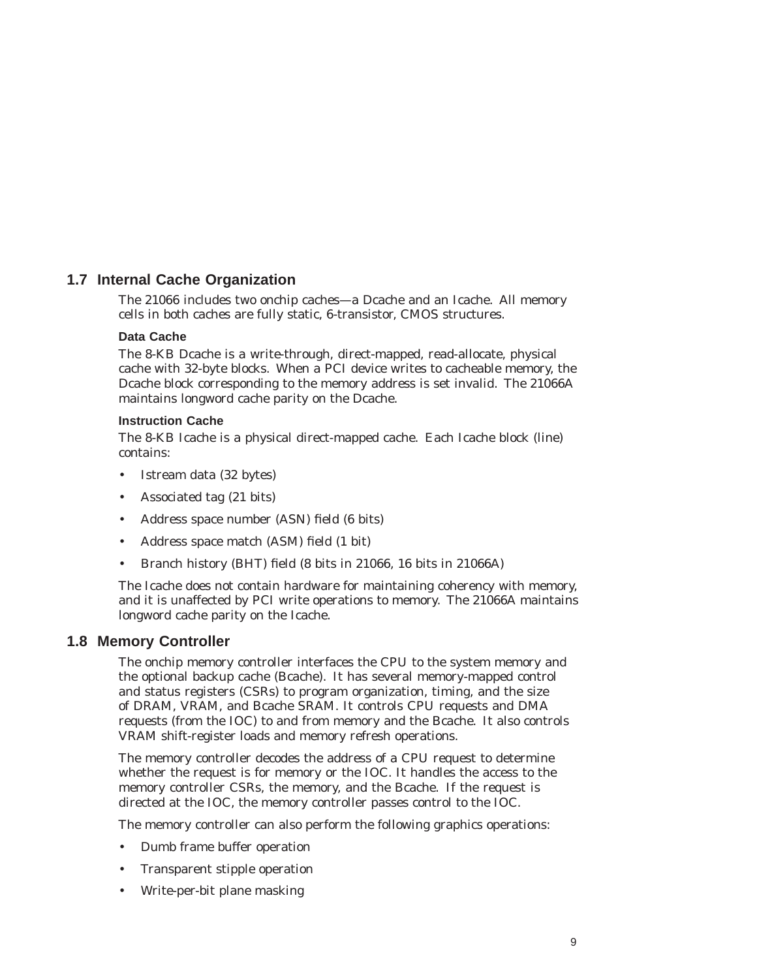### **1.7 Internal Cache Organization**

The 21066 includes two onchip caches—a Dcache and an Icache. All memory cells in both caches are fully static, 6-transistor, CMOS structures.

#### **Data Cache**

The 8-KB Dcache is a write-through, direct-mapped, read-allocate, physical cache with 32-byte blocks. When a PCI device writes to cacheable memory, the Dcache block corresponding to the memory address is set invalid. The 21066A maintains longword cache parity on the Dcache.

#### **Instruction Cache**

The 8-KB Icache is a physical direct-mapped cache. Each Icache block (line) contains:

- Istream data (32 bytes)
- Associated tag (21 bits)
- Address space number (ASN) field (6 bits)
- Address space match (ASM) field (1 bit)
- Branch history (BHT) field (8 bits in 21066, 16 bits in 21066A)

The Icache does not contain hardware for maintaining coherency with memory, and it is unaffected by PCI write operations to memory. The 21066A maintains longword cache parity on the Icache.

#### **1.8 Memory Controller**

The onchip memory controller interfaces the CPU to the system memory and the optional backup cache (Bcache). It has several memory-mapped control and status registers (CSRs) to program organization, timing, and the size of DRAM, VRAM, and Bcache SRAM. It controls CPU requests and DMA requests (from the IOC) to and from memory and the Bcache. It also controls VRAM shift-register loads and memory refresh operations.

The memory controller decodes the address of a CPU request to determine whether the request is for memory or the IOC. It handles the access to the memory controller CSRs, the memory, and the Bcache. If the request is directed at the IOC, the memory controller passes control to the IOC.

The memory controller can also perform the following graphics operations:

- Dumb frame buffer operation
- Transparent stipple operation
- Write-per-bit plane masking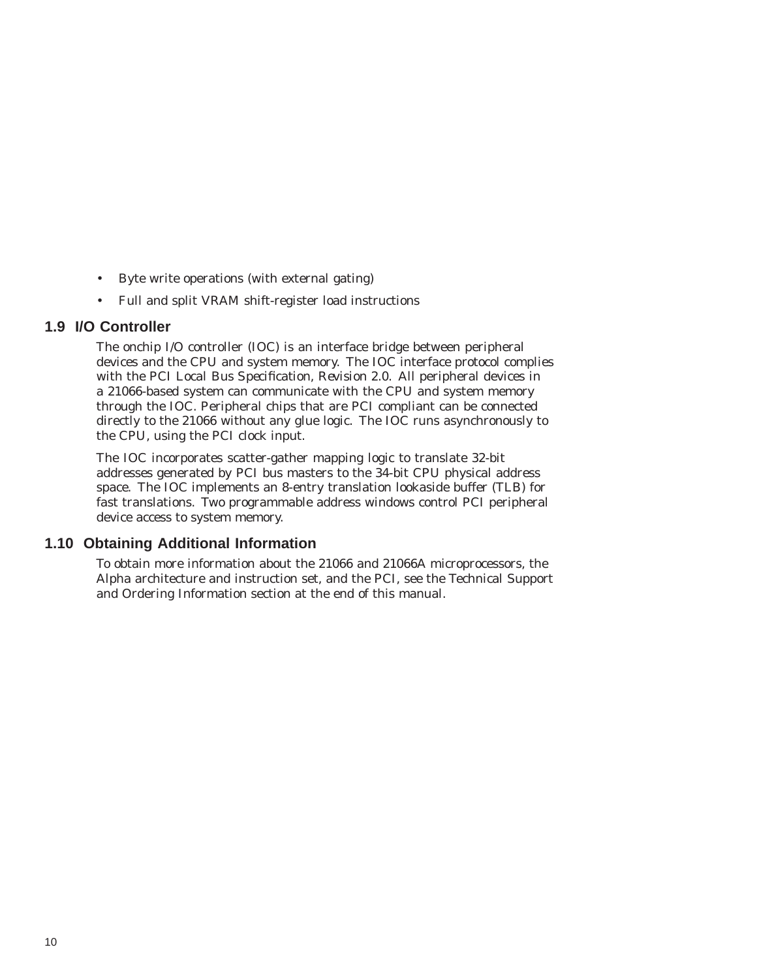- Byte write operations (with external gating)
- Full and split VRAM shift-register load instructions

#### **1.9 I/O Controller**

The onchip I/O controller (IOC) is an interface bridge between peripheral devices and the CPU and system memory. The IOC interface protocol complies with the *PCI Local Bus Specification, Revision 2.0*. All peripheral devices in a 21066-based system can communicate with the CPU and system memory through the IOC. Peripheral chips that are PCI compliant can be connected directly to the 21066 without any glue logic. The IOC runs asynchronously to the CPU, using the PCI clock input.

The IOC incorporates scatter-gather mapping logic to translate 32-bit addresses generated by PCI bus masters to the 34-bit CPU physical address space. The IOC implements an 8-entry translation lookaside buffer (TLB) for fast translations. Two programmable address windows control PCI peripheral device access to system memory.

#### **1.10 Obtaining Additional Information**

To obtain more information about the 21066 and 21066A microprocessors, the Alpha architecture and instruction set, and the PCI, see the Technical Support and Ordering Information section at the end of this manual.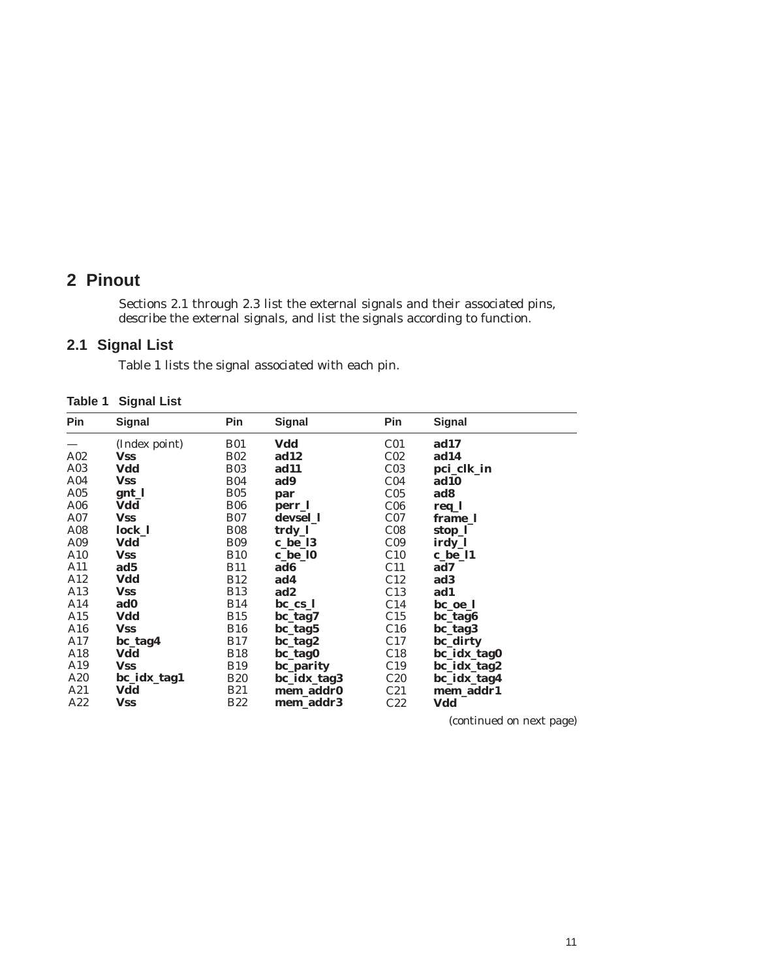## **2 Pinout**

Sections 2.1 through 2.3 list the external signals and their associated pins, describe the external signals, and list the signals according to function.

### **2.1 Signal List**

Table 1 lists the signal associated with each pin.

| Table 1 | <b>Signal List</b> |  |
|---------|--------------------|--|
|---------|--------------------|--|

| <b>Pin</b>      | Signal        | <b>Pin</b>  | <b>Signal</b>   | <b>Pin</b>      | <b>Signal</b> |
|-----------------|---------------|-------------|-----------------|-----------------|---------------|
|                 | (Index point) | <b>B01</b>  | Vdd             | C <sub>01</sub> | ad17          |
| A02             | <b>Vss</b>    | <b>B02</b>  | ad12            | C <sub>02</sub> | ad14          |
| A03             | Vdd           | <b>B03</b>  | ad11            | C <sub>03</sub> | pci_clk_in    |
| A <sub>04</sub> | <b>Vss</b>    | <b>B04</b>  | ad9             | C <sub>04</sub> | ad10          |
| A05             | gnt_l         | <b>B05</b>  | par             | C <sub>05</sub> | ad8           |
| A06             | Vdd           | <b>B06</b>  | perr_l          | C <sub>06</sub> | req_l         |
| A07             | <b>Vss</b>    | <b>B07</b>  | devsel_1        | C <sub>07</sub> | frame_l       |
| A08             | $lock_l$      | <b>B08</b>  | trdy_l          | C <sub>08</sub> | stop_l        |
| A09             | Vdd           | <b>B09</b>  | c_be_l3         | C <sub>09</sub> | irdy_l        |
| A10             | <b>Vss</b>    | <b>B10</b>  | c_be_10         | C10             | c_be_l1       |
| A11             | ad5           | <b>B11</b>  | ad6             | C11             | ad7           |
| A12             | <b>Vdd</b>    | <b>B12</b>  | ad4             | C12             | ad3           |
| A13             | <b>Vss</b>    | <b>B</b> 13 | ad <sub>2</sub> | C13             | ad1           |
| A14             | ad0           | <b>B14</b>  | bc_cs_l         | C <sub>14</sub> | bc_oe_l       |
| A15             | Vdd           | <b>B15</b>  | bc_tag7         | C15             | bc_tag6       |
| A16             | <b>Vss</b>    | <b>B16</b>  | bc_tag5         | C16             | bc_tag3       |
| A17             | bc_tag4       | <b>B17</b>  | bc_tag2         | C17             | bc_dirty      |
| A18             | Vdd           | <b>B18</b>  | bc_tag0         | C18             | bc_idx_tag0   |
| A19             | <b>Vss</b>    | <b>B19</b>  | bc_parity       | C19             | bc_idx_tag2   |
| A20             | bc_idx_tag1   | <b>B20</b>  | bc_idx_tag3     | C20             | bc_idx_tag4   |
| A21             | Vdd           | <b>B21</b>  | mem_addr0       | C21             | mem_addr1     |
| A22             | <b>Vss</b>    | <b>B22</b>  | mem_addr3       | C22             | Vdd           |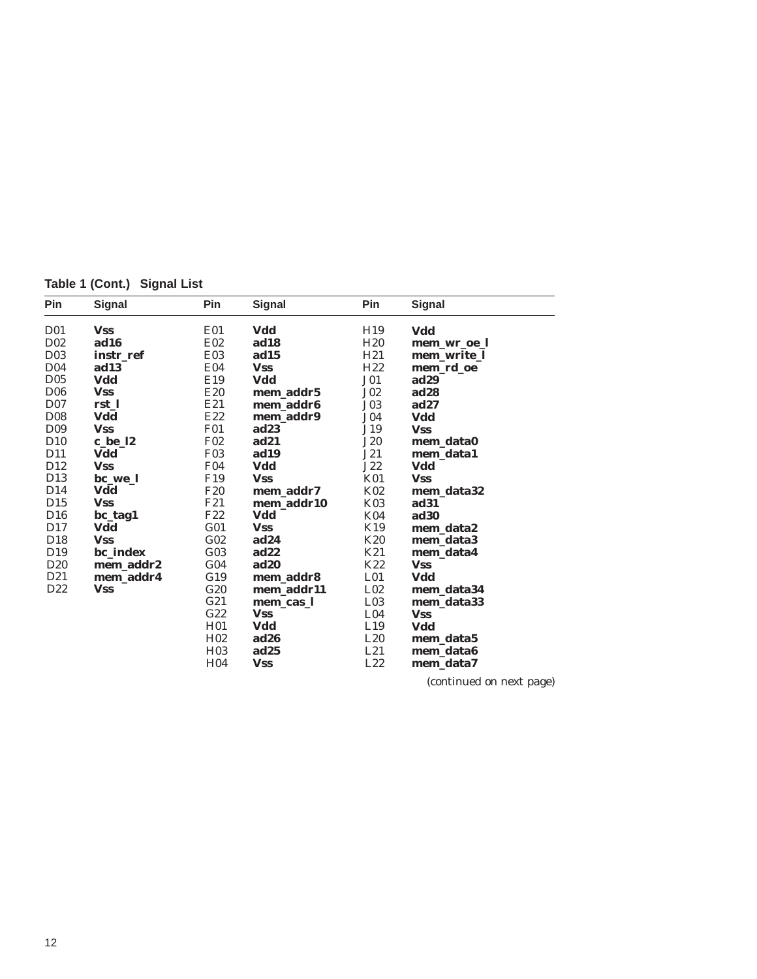**Table 1 (Cont.) Signal List**

| Pin              | <b>Signal</b> | Pin             | <b>Signal</b>    | Pin             | <b>Signal</b> |
|------------------|---------------|-----------------|------------------|-----------------|---------------|
| D <sub>0</sub> 1 | <b>Vss</b>    | E01             | Vdd              | H <sub>19</sub> | Vdd           |
| D <sub>02</sub>  | ad16          | E02             | ad18             | H20             | mem_wr_oe_l   |
| D <sub>03</sub>  | instr ref     | E <sub>03</sub> | ad15             | H21             | mem_write_l   |
| D <sub>04</sub>  | ad13          | E04             | <b>Vss</b>       | H22             | mem_rd_oe     |
| D <sub>0</sub> 5 | Vdd           | E19             | Vdd              | J <sub>01</sub> | ad29          |
| D <sub>06</sub>  | <b>Vss</b>    | E20             | mem addr5        | $J_{02}$        | ad28          |
| D <sub>07</sub>  | rst 1         | E21             | mem_addr6        | J03             | $\bf{ad}27$   |
| D <sub>08</sub>  | Vdd           | E22             | mem_addr9        | J04             | Vdd           |
| D <sub>09</sub>  | <b>Vss</b>    | <b>F01</b>      | ad23             | J19             | <b>Vss</b>    |
| D <sub>10</sub>  | c_be_l2       | F <sub>02</sub> | ad21             | <b>J20</b>      | mem data0     |
| D <sub>11</sub>  | Vdd           | <b>F03</b>      | ad19             | J21             | mem_data1     |
| D12              | <b>Vss</b>    | F <sub>04</sub> | Vdd              | J22             | Vdd           |
| D <sub>13</sub>  | bc we l       | F <sub>19</sub> | <b>Vss</b>       | K01             | <b>Vss</b>    |
| D <sub>14</sub>  | Vdd           | F <sub>20</sub> | mem addr7        | K02             | mem_data32    |
| D <sub>15</sub>  | <b>Vss</b>    | F21             | mem_addr10       | K03             | ad31          |
| D <sub>16</sub>  | bc_tag1       | F <sub>22</sub> | Vdd              | K04             | ad30          |
| D <sub>17</sub>  | Vdd           | G <sub>01</sub> | <b>Vss</b>       | K19             | mem data2     |
| D18              | <b>Vss</b>    | G <sub>02</sub> | $\bf{ad}24$      | K <sub>20</sub> | mem_data3     |
| D <sub>19</sub>  | bc_index      | G <sub>03</sub> | ad22             | K21             | mem_data4     |
| D <sub>20</sub>  | mem addr2     | G <sub>04</sub> | ad20             | K22             | <b>Vss</b>    |
| D <sub>21</sub>  | mem_addr4     | G19             | mem addr8        | L <sub>01</sub> | Vdd           |
| D <sub>22</sub>  | <b>Vss</b>    | G20             | mem addr11       | L <sub>02</sub> | mem data34    |
|                  |               | G21             | mem cas l        | L <sub>03</sub> | mem_data33    |
|                  |               | G22             | <b>Vss</b>       | L <sub>04</sub> | <b>Vss</b>    |
|                  |               | H <sub>01</sub> | Vdd              | L19             | Vdd           |
|                  |               | H <sub>02</sub> | ad26             | L20             | mem_data5     |
|                  |               | H <sub>03</sub> | ad <sub>25</sub> | L21             | mem_data6     |
|                  |               | H <sub>04</sub> | <b>Vss</b>       | L22             | mem data7     |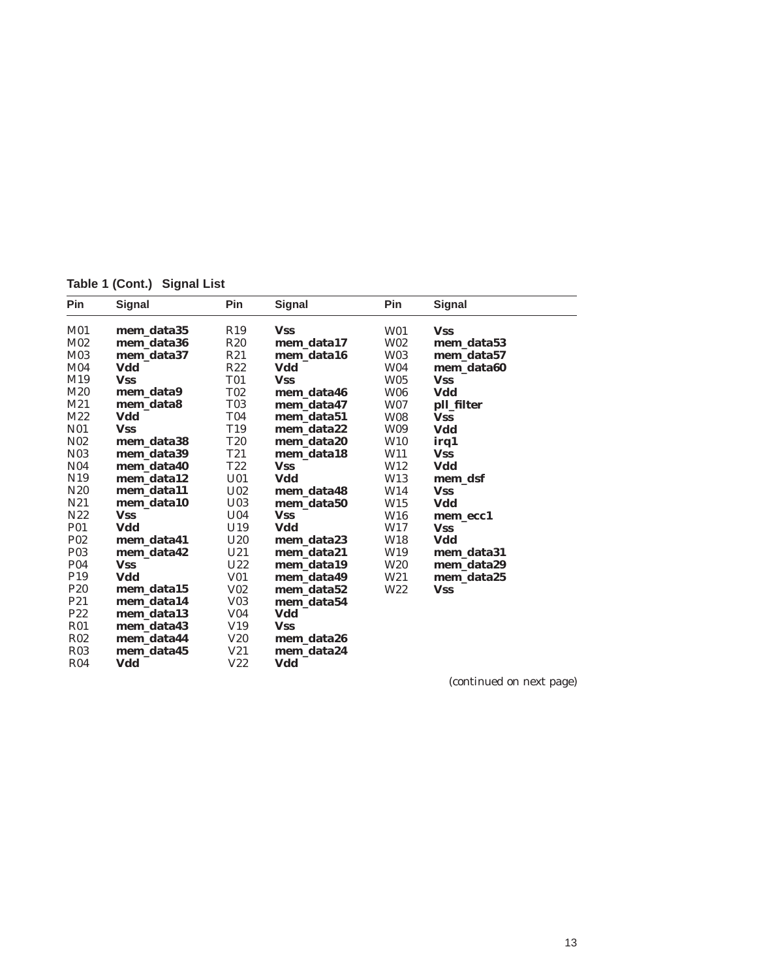**Table 1 (Cont.) Signal List**

| Pin              | <b>Signal</b> | Pin             | <b>Signal</b> | Pin             | <b>Signal</b> |
|------------------|---------------|-----------------|---------------|-----------------|---------------|
| M01              | mem data35    | R19             | <b>Vss</b>    | W01             | <b>Vss</b>    |
| M <sub>02</sub>  | mem_data36    | <b>R20</b>      | mem data17    | W02             | mem data53    |
| M03              | mem_data37    | R21             | mem_data16    | W03             | mem data57    |
| M <sub>04</sub>  | Vdd           | R22             | Vdd           | <b>W04</b>      | mem_data60    |
| M19              | <b>Vss</b>    | <b>T01</b>      | <b>Vss</b>    | <b>W05</b>      | <b>Vss</b>    |
| M20              | mem data9     | <b>T02</b>      | mem_data46    | <b>W06</b>      | Vdd           |
| M21              | mem_data8     | <b>T03</b>      | mem_data47    | W07             | pll_filter    |
| M22              | Vdd           | <b>T04</b>      | mem_data51    | <b>W08</b>      | <b>Vss</b>    |
| N01              | <b>Vss</b>    | T <sub>19</sub> | mem_data22    | <b>W09</b>      | Vdd           |
| N <sub>0</sub> 2 | mem data38    | <b>T20</b>      | mem_data20    | <b>W10</b>      | irq1          |
| N <sub>0</sub> 3 | mem_data39    | T <sub>21</sub> | mem data18    | W11             | <b>Vss</b>    |
| N <sub>0</sub> 4 | mem_data40    | T22             | <b>Vss</b>    | W12             | Vdd           |
| N <sub>19</sub>  | mem data12    | U <sub>01</sub> | Vdd           | W13             | mem dsf       |
| N <sub>20</sub>  | mem_data11    | U <sub>02</sub> | mem data48    | W14             | <b>Vss</b>    |
| N <sub>21</sub>  | mem data10    | U <sub>03</sub> | mem_data50    | W15             | Vdd           |
| N22              | <b>Vss</b>    | U <sub>04</sub> | <b>Vss</b>    | W <sub>16</sub> | mem_ecc1      |
| P01              | Vdd           | U19             | Vdd           | W17             | <b>Vss</b>    |
| P <sub>02</sub>  | mem_data41    | U20             | mem data23    | W18             | Vdd           |
| P <sub>0</sub> 3 | mem_data42    | U21             | mem_data21    | W19             | mem_data31    |
| <b>P04</b>       | <b>Vss</b>    | U22             | mem_data19    | <b>W20</b>      | mem_data29    |
| P <sub>19</sub>  | Vdd           | V01             | mem_data49    | W21             | mem_data25    |
| P <sub>20</sub>  | mem data15    | $V_{02}$        | mem_data52    | W22             | <b>Vss</b>    |
| P <sub>21</sub>  | mem_data14    | V <sub>03</sub> | mem_data54    |                 |               |
| P22              | mem_data13    | V <sub>04</sub> | Vdd           |                 |               |
| R01              | mem_data43    | V19             | <b>Vss</b>    |                 |               |
| <b>R02</b>       | mem_data44    | <b>V20</b>      | mem_data26    |                 |               |
| <b>R03</b>       | mem_data45    | V21             | mem_data24    |                 |               |
| R <sub>04</sub>  | Vdd           | V22             | Vdd           |                 |               |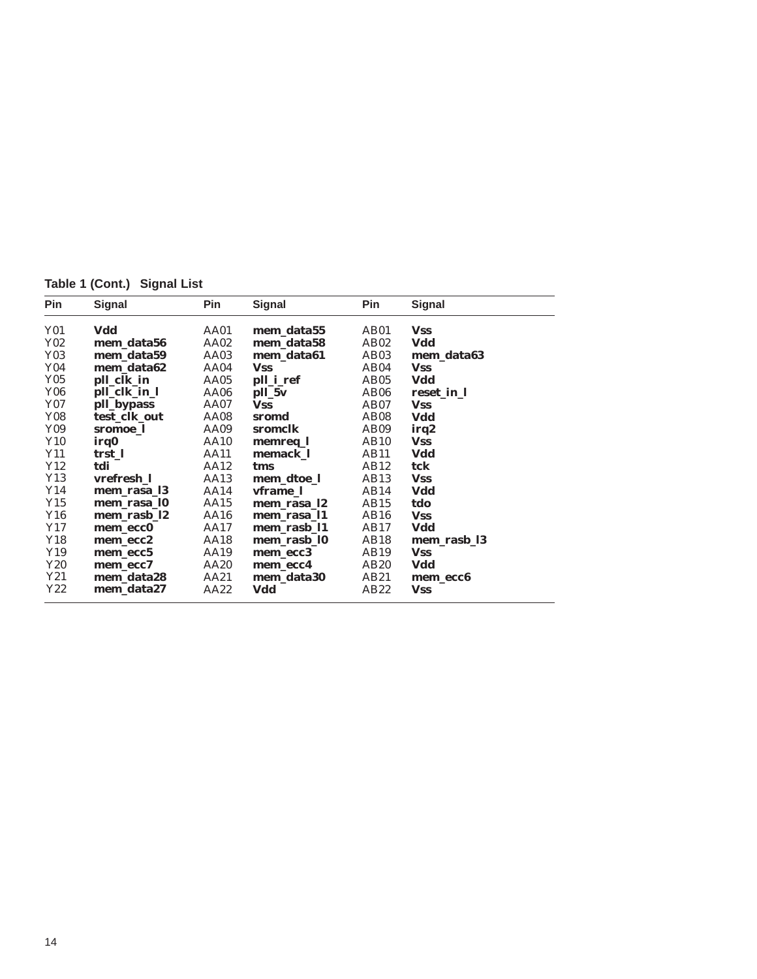**Table 1 (Cont.) Signal List**

| <b>Pin</b> | Signal       | Pin  | Signal      | Pin              | <b>Signal</b> |
|------------|--------------|------|-------------|------------------|---------------|
| <b>Y01</b> | Vdd          | AA01 | mem_data55  | AB01             | <b>Vss</b>    |
| Y02        | mem_data56   | AA02 | mem data58  | AB <sub>02</sub> | Vdd           |
| Y03        | mem data59   | AA03 | mem_data61  | AB03             | mem data63    |
| Y04        | mem data62   | AA04 | <b>Vss</b>  | AB04             | <b>Vss</b>    |
| <b>Y05</b> | pll_clk_in   | AA05 | pll_i_ref   | AB05             | Vdd           |
| <b>Y06</b> | pll_clk_in_l | AA06 | pll_5v      | AB <sub>06</sub> | reset_in_l    |
| Y07        | pll_bypass   | AA07 | <b>Vss</b>  | AB07             | <b>Vss</b>    |
| <b>Y08</b> | test clk out | AA08 | sromd       | AB <sub>08</sub> | Vdd           |
| Y09        | sromoe 1     | AA09 | sromclk     | AB09             | irq2          |
| Y10        | irq0         | AA10 | memreq_l    | AB <sub>10</sub> | <b>Vss</b>    |
| Y11        | trst_l       | AA11 | memack 1    | AB <sub>11</sub> | Vdd           |
| Y12        | tdi          | AA12 | tms         | AB12             | tck           |
| Y13        | vrefresh_l   | AA13 | mem_dtoe_l  | AB <sub>13</sub> | <b>Vss</b>    |
| Y14        | mem_rasa_13  | AA14 | vframe 1    | AB <sub>14</sub> | Vdd           |
| Y15        | mem rasa 10  | AA15 | mem rasa 12 | AB <sub>15</sub> | tdo           |
| Y16        | mem_rasb_l2  | AA16 | mem rasa 11 | AB16             | <b>Vss</b>    |
| Y17        | mem ecc0     | AA17 | mem rasb 11 | AB17             | Vdd           |
| Y18        | mem_ecc2     | AA18 | mem rasb 10 | AB18             | mem rasb 13   |
| Y19        | mem ecc5     | AA19 | mem_ecc3    | AB19             | <b>Vss</b>    |
| Y20        | mem ecc7     | AA20 | mem ecc4    | AB <sub>20</sub> | Vdd           |
| Y21        | mem_data28   | AA21 | mem_data30  | AB21             | mem ecc6      |
| Y22        | mem data27   | AA22 | Vdd         | AB22             | <b>Vss</b>    |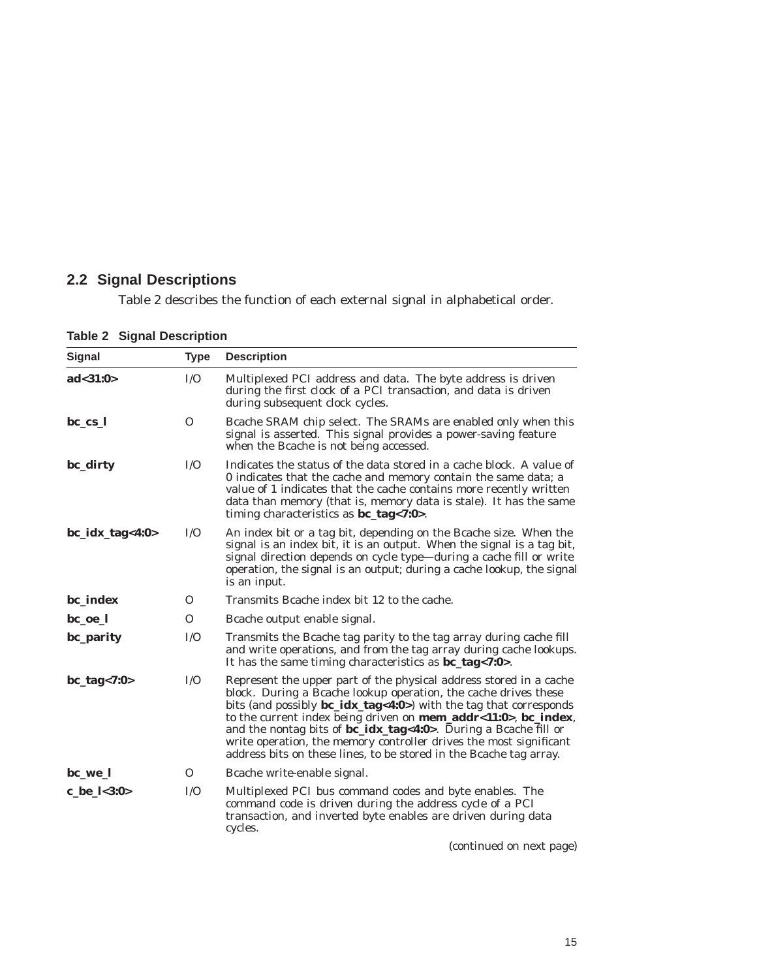## **2.2 Signal Descriptions**

Table 2 describes the function of each external signal in alphabetical order.

| Signal              | <b>Type</b>  | <b>Description</b>                                                                                                                                                                                                                                                                                                                                                                                                                                                                                     |  |  |
|---------------------|--------------|--------------------------------------------------------------------------------------------------------------------------------------------------------------------------------------------------------------------------------------------------------------------------------------------------------------------------------------------------------------------------------------------------------------------------------------------------------------------------------------------------------|--|--|
| ad < 31:0>          | I/O          | Multiplexed PCI address and data. The byte address is driven<br>during the first clock of a PCI transaction, and data is driven<br>during subsequent clock cycles.                                                                                                                                                                                                                                                                                                                                     |  |  |
| $bc_{cs}$           | $\Omega$     | Bcache SRAM chip select. The SRAMs are enabled only when this<br>signal is asserted. This signal provides a power-saving feature<br>when the Bcache is not being accessed.                                                                                                                                                                                                                                                                                                                             |  |  |
| bc_dirty            | I/O          | Indicates the status of the data stored in a cache block. A value of<br>0 indicates that the cache and memory contain the same data; a<br>value of 1 indicates that the cache contains more recently written<br>data than memory (that is, memory data is stale). It has the same<br>timing characteristics as $bc\_{tag}<7:0>$ .                                                                                                                                                                      |  |  |
| $bc\_idx\_tag<4:0>$ | I/O          | An index bit or a tag bit, depending on the Bcache size. When the<br>signal is an index bit, it is an output. When the signal is a tag bit,<br>signal direction depends on cycle type-during a cache fill or write<br>operation, the signal is an output; during a cache lookup, the signal<br>is an input.                                                                                                                                                                                            |  |  |
| bc_index            | $\mathbf{O}$ | Transmits Bcache index bit 12 to the cache.                                                                                                                                                                                                                                                                                                                                                                                                                                                            |  |  |
| bc_oe_l             | $\Omega$     | Bcache output enable signal.                                                                                                                                                                                                                                                                                                                                                                                                                                                                           |  |  |
| bc_parity           | I/O          | Transmits the Bcache tag parity to the tag array during cache fill<br>and write operations, and from the tag array during cache lookups.<br>It has the same timing characteristics as <b>bc_tag</b> <7:0>.                                                                                                                                                                                                                                                                                             |  |  |
| $bc\_tag < 7:0>$    | I/O          | Represent the upper part of the physical address stored in a cache<br>block. During a Bcache lookup operation, the cache drives these<br>bits (and possibly <b>bc_idx_tag&lt;4:0</b> >) with the tag that corresponds<br>to the current index being driven on mem_addr<11:0>, bc_index,<br>and the nontag bits of bc_idx_tag<4:0>. During a Bcache fill or<br>write operation, the memory controller drives the most significant<br>address bits on these lines, to be stored in the Bcache tag array. |  |  |
| bc_we_l             | $\mathbf{O}$ | Bcache write-enable signal.                                                                                                                                                                                                                                                                                                                                                                                                                                                                            |  |  |
| c_be_l<3:0>         | I/O          | Multiplexed PCI bus command codes and byte enables. The<br>command code is driven during the address cycle of a PCI<br>transaction, and inverted byte enables are driven during data<br>cycles.                                                                                                                                                                                                                                                                                                        |  |  |

**Table 2 Signal Description**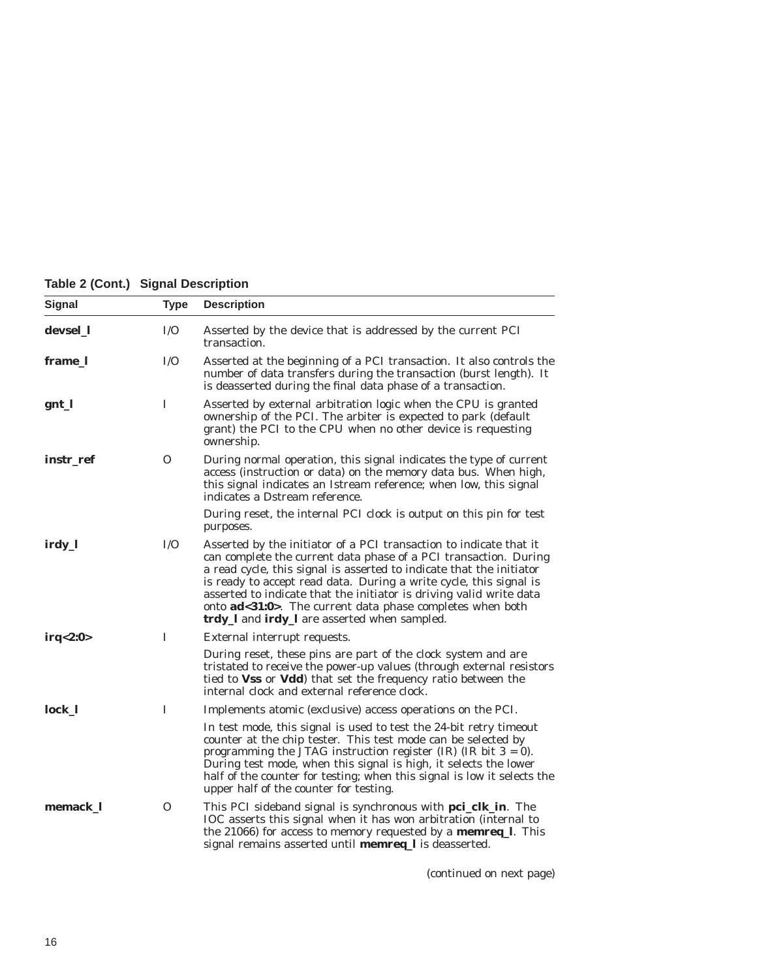|  |  |  | Table 2 (Cont.) Signal Description |
|--|--|--|------------------------------------|
|--|--|--|------------------------------------|

| Signal    | <b>Type</b> | <b>Description</b>                                                                                                                                                                                                                                                                                                                                                                                                                                                               |
|-----------|-------------|----------------------------------------------------------------------------------------------------------------------------------------------------------------------------------------------------------------------------------------------------------------------------------------------------------------------------------------------------------------------------------------------------------------------------------------------------------------------------------|
| devsel_1  | I/O         | Asserted by the device that is addressed by the current PCI<br>transaction.                                                                                                                                                                                                                                                                                                                                                                                                      |
| frame_l   | I/O         | Asserted at the beginning of a PCI transaction. It also controls the<br>number of data transfers during the transaction (burst length). It<br>is deasserted during the final data phase of a transaction.                                                                                                                                                                                                                                                                        |
| gnt_l     | I           | Asserted by external arbitration logic when the CPU is granted<br>ownership of the PCI. The arbiter is expected to park (default<br>grant) the PCI to the CPU when no other device is requesting<br>ownership.                                                                                                                                                                                                                                                                   |
| instr_ref | 0           | During normal operation, this signal indicates the type of current<br>access (instruction or data) on the memory data bus. When high,<br>this signal indicates an Istream reference; when low, this signal<br>indicates a Dstream reference.                                                                                                                                                                                                                                     |
|           |             | During reset, the internal PCI clock is output on this pin for test<br>purposes.                                                                                                                                                                                                                                                                                                                                                                                                 |
| irdy_l    | I/O         | Asserted by the initiator of a PCI transaction to indicate that it<br>can complete the current data phase of a PCI transaction. During<br>a read cycle, this signal is asserted to indicate that the initiator<br>is ready to accept read data. During a write cycle, this signal is<br>asserted to indicate that the initiator is driving valid write data<br>onto <b>ad</b> <31:0>. The current data phase completes when both<br>trdy_I and irdy_I are asserted when sampled. |
| irq<2:0>  | I           | External interrupt requests.                                                                                                                                                                                                                                                                                                                                                                                                                                                     |
|           |             | During reset, these pins are part of the clock system and are<br>tristated to receive the power-up values (through external resistors<br>tied to <b>Vss</b> or <b>Vdd</b> ) that set the frequency ratio between the<br>internal clock and external reference clock.                                                                                                                                                                                                             |
| lock 1    | T           | Implements atomic (exclusive) access operations on the PCI.                                                                                                                                                                                                                                                                                                                                                                                                                      |
|           |             | In test mode, this signal is used to test the 24-bit retry timeout<br>counter at the chip tester. This test mode can be selected by<br>programming the JTAG instruction register $(IR)$ $(IR \text{ bit } 3 = 0)$ .<br>During test mode, when this signal is high, it selects the lower<br>half of the counter for testing; when this signal is low it selects the<br>upper half of the counter for testing.                                                                     |
| memack_l  | 0           | This PCI sideband signal is synchronous with pci_clk_in. The<br>IOC asserts this signal when it has won arbitration (internal to<br>the 21066) for access to memory requested by a memreq_l. This<br>signal remains asserted until <b>memreq_l</b> is deasserted.                                                                                                                                                                                                                |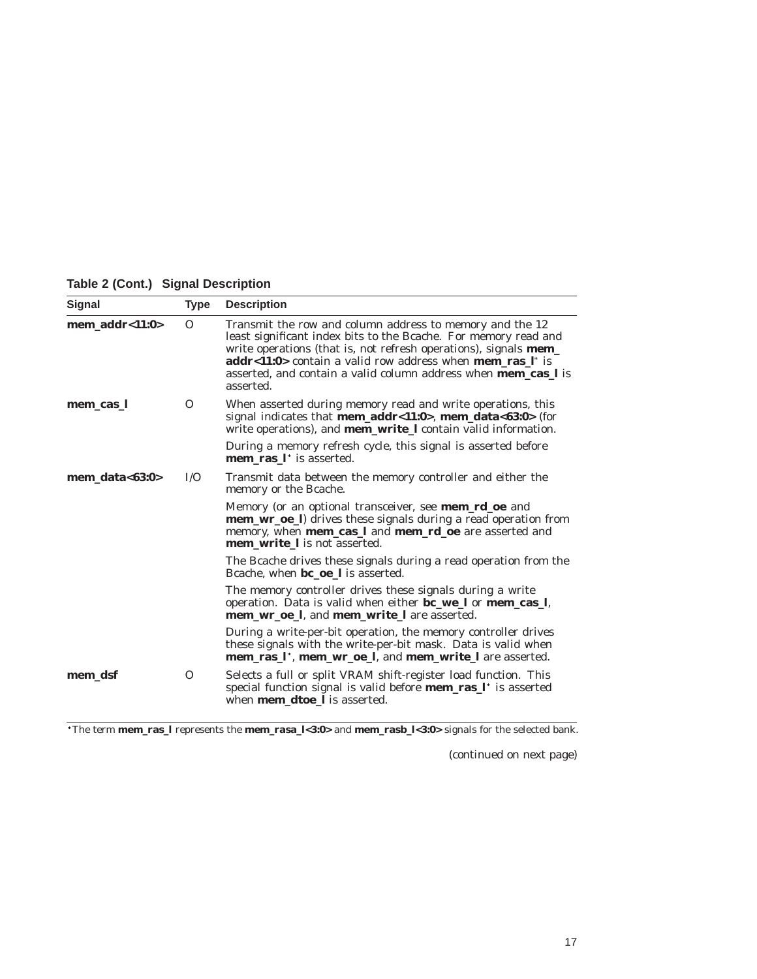**Table 2 (Cont.) Signal Description**

| <b>Signal</b>                        | <b>Type</b> | <b>Description</b>                                                                                                                                                                                                                                                                                                                                                             |
|--------------------------------------|-------------|--------------------------------------------------------------------------------------------------------------------------------------------------------------------------------------------------------------------------------------------------------------------------------------------------------------------------------------------------------------------------------|
| mem addr< $1:0>$                     | $\Omega$    | Transmit the row and column address to memory and the 12<br>least significant index bits to the Bcache. For memory read and<br>write operations (that is, not refresh operations), signals <b>mem_</b><br><b>addr&lt;11:0&gt;</b> contain a valid row address when <b>mem_ras_l</b> * is<br>asserted, and contain a valid column address when <b>mem_cas_l</b> is<br>asserted. |
| mem_cas_l                            | $\Omega$    | When asserted during memory read and write operations, this<br>signal indicates that mem_addr<11:0>, mem_data<63:0> (for<br>write operations), and <b>mem_write_l</b> contain valid information.                                                                                                                                                                               |
|                                      |             | During a memory refresh cycle, this signal is asserted before<br><b>mem ras</b> I <sup>*</sup> is asserted.                                                                                                                                                                                                                                                                    |
| $\bf{mem\_data}\text{-}63:0\text{-}$ | I/O         | Transmit data between the memory controller and either the<br>memory or the Bcache.                                                                                                                                                                                                                                                                                            |
|                                      |             | Memory (or an optional transceiver, see <b>mem_rd_oe</b> and<br><b>mem_wr_oe_l</b> ) drives these signals during a read operation from<br>memory, when mem_cas_l and mem_rd_oe are asserted and<br>mem write I is not asserted.                                                                                                                                                |
|                                      |             | The Bcache drives these signals during a read operation from the<br>Bcache, when <b>bc oe l</b> is asserted.                                                                                                                                                                                                                                                                   |
|                                      |             | The memory controller drives these signals during a write<br>operation. Data is valid when either bc_we_l or mem_cas_l,<br>mem wr oe I, and mem write I are asserted.                                                                                                                                                                                                          |
|                                      |             | During a write-per-bit operation, the memory controller drives<br>these signals with the write-per-bit mask. Data is valid when<br>mem_ras_l*, mem_wr_oe_l, and mem_write_l are asserted.                                                                                                                                                                                      |
| mem_dsf                              | $\Omega$    | Selects a full or split VRAM shift-register load function. This<br>special function signal is valid before <b>mem_ras_l</b> * is asserted<br>when <b>mem_dtoe_l</b> is asserted.                                                                                                                                                                                               |

The term **mem\_ras\_l** represents the **mem\_rasa\_l<3:0>** and **mem\_rasb\_l<3:0>** signals for the selected bank.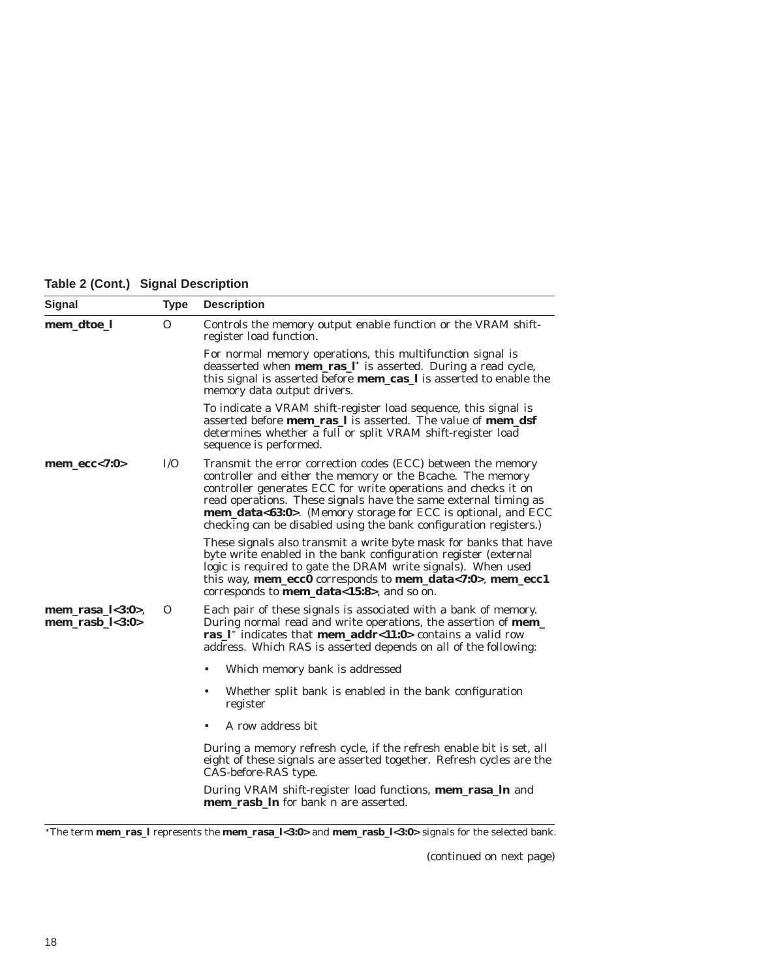### **Table 2 (Cont.) Signal Description**

| <b>Signal</b>                                    | <b>Type</b>  | <b>Description</b>                                                                                                                                                                                                                                                                                                                                                                                   |
|--------------------------------------------------|--------------|------------------------------------------------------------------------------------------------------------------------------------------------------------------------------------------------------------------------------------------------------------------------------------------------------------------------------------------------------------------------------------------------------|
| mem_dtoe_l                                       | $\mathbf{O}$ | Controls the memory output enable function or the VRAM shift-<br>register load function.                                                                                                                                                                                                                                                                                                             |
|                                                  |              | For normal memory operations, this multifunction signal is<br>deasserted when <b>mem_ras_l</b> * is asserted. During a read cycle,<br>this signal is asserted before <b>mem_cas_l</b> is asserted to enable the<br>memory data output drivers.                                                                                                                                                       |
|                                                  |              | To indicate a VRAM shift-register load sequence, this signal is<br>asserted before <b>mem</b> ras 1 is asserted. The value of <b>mem_dsf</b><br>determines whether a full or split VRAM shift-register load<br>sequence is performed.                                                                                                                                                                |
| $mem\_ecc<7:0>$                                  | I/O          | Transmit the error correction codes (ECC) between the memory<br>controller and either the memory or the Bcache. The memory<br>controller generates ECC for write operations and checks it on<br>read operations. These signals have the same external timing as<br>mem_data<63:0>. (Memory storage for ECC is optional, and ECC<br>checking can be disabled using the bank configuration registers.) |
|                                                  |              | These signals also transmit a write byte mask for banks that have<br>byte write enabled in the bank configuration register (external<br>logic is required to gate the DRAM write signals). When used<br>this way, mem_ecc0 corresponds to mem_data<7:0>, mem_ecc1<br>corresponds to <b>mem_data</b> <15:8>, and so on.                                                                               |
| $mem\_rasa_l < 3:0$<br>$\bf{mem\_rash\_l}$ <3:0> | Ω            | Each pair of these signals is associated with a bank of memory.<br>During normal read and write operations, the assertion of <b>mem_</b><br>ras $I^*$ indicates that <b>mem_addr</b> <11:0> contains a valid row<br>address. Which RAS is asserted depends on all of the following:                                                                                                                  |
|                                                  |              | Which memory bank is addressed<br>٠                                                                                                                                                                                                                                                                                                                                                                  |
|                                                  |              | Whether split bank is enabled in the bank configuration<br>٠<br>register                                                                                                                                                                                                                                                                                                                             |
|                                                  |              | A row address bit                                                                                                                                                                                                                                                                                                                                                                                    |
|                                                  |              | During a memory refresh cycle, if the refresh enable bit is set, all<br>eight of these signals are asserted together. Refresh cycles are the<br>CAS-before-RAS type.                                                                                                                                                                                                                                 |
|                                                  |              | During VRAM shift-register load functions, mem_rasa_ln and<br><b>mem rash In</b> for bank <i>n</i> are asserted.                                                                                                                                                                                                                                                                                     |

The term **mem\_ras\_l** represents the **mem\_rasa\_l<3:0>** and **mem\_rasb\_l<3:0>** signals for the selected bank.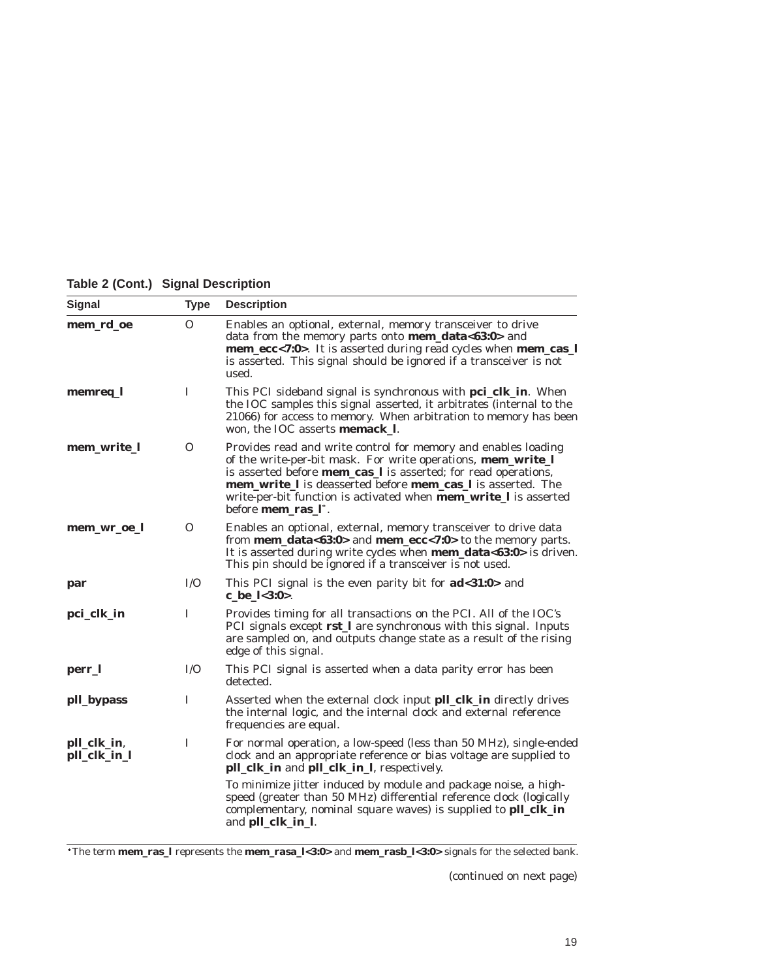| <b>Signal</b>               | <b>Type</b> | <b>Description</b>                                                                                                                                                                                                                                                                                                                                                                                                                            |
|-----------------------------|-------------|-----------------------------------------------------------------------------------------------------------------------------------------------------------------------------------------------------------------------------------------------------------------------------------------------------------------------------------------------------------------------------------------------------------------------------------------------|
| mem_rd_oe                   | 0           | Enables an optional, external, memory transceiver to drive<br>data from the memory parts onto mem_data<63:0> and<br>mem_ecc<7:0>. It is asserted during read cycles when mem_cas_l<br>is asserted. This signal should be ignored if a transceiver is not<br>used.                                                                                                                                                                             |
| memreq_l                    | T           | This PCI sideband signal is synchronous with <b>pci_clk_in</b> . When<br>the IOC samples this signal asserted, it arbitrates (internal to the<br>21066) for access to memory. When arbitration to memory has been<br>won, the IOC asserts memack 1.                                                                                                                                                                                           |
| mem_write_l                 | 0           | Provides read and write control for memory and enables loading<br>of the write-per-bit mask. For write operations, mem_write_l<br>is asserted before <b>mem_cas_l</b> is asserted; for read operations,<br><b>mem_write_I</b> is deasserted before <b>mem_cas_I</b> is asserted. The<br>write-per-bit function is activated when <b>mem_write_l</b> is asserted<br>before <b>mem ras</b> l <sup>*</sup> .                                     |
| mem_wr_oe_l                 | 0           | Enables an optional, external, memory transceiver to drive data<br>from <b>mem_data&lt;63:0&gt;</b> and <b>mem_ecc&lt;7:0&gt;</b> to the memory parts.<br>It is asserted during write cycles when <b>mem_data&lt;63:0&gt;</b> is driven.<br>This pin should be ignored if a transceiver is not used.                                                                                                                                          |
| par                         | I/O         | This PCI signal is the even parity bit for <b>ad</b> <31:0> and<br>c be $1 < 3:0>$ .                                                                                                                                                                                                                                                                                                                                                          |
| pci_clk_in                  | I           | Provides timing for all transactions on the PCI. All of the IOC's<br>PCI signals except rst_I are synchronous with this signal. Inputs<br>are sampled on, and outputs change state as a result of the rising<br>edge of this signal.                                                                                                                                                                                                          |
| perr_l                      | I/O         | This PCI signal is asserted when a data parity error has been<br>detected.                                                                                                                                                                                                                                                                                                                                                                    |
| pll_bypass                  | I           | Asserted when the external clock input pll_clk_in directly drives<br>the internal logic, and the internal clock and external reference<br>frequencies are equal.                                                                                                                                                                                                                                                                              |
| pll_clk_in,<br>pll_clk_in_l | I           | For normal operation, a low-speed (less than 50 MHz), single-ended<br>clock and an appropriate reference or bias voltage are supplied to<br><b>pll_clk_in</b> and <b>pll_clk_in_l</b> , respectively.<br>To minimize jitter induced by module and package noise, a high-<br>speed (greater than 50 MHz) differential reference clock (logically<br>complementary, nominal square waves) is supplied to <b>pll_clk_in</b><br>and pll_clk_in_l. |
|                             |             |                                                                                                                                                                                                                                                                                                                                                                                                                                               |

**Table 2 (Cont.) Signal Description**

The term **mem\_ras\_l** represents the **mem\_rasa\_l<3:0>** and **mem\_rasb\_l<3:0>** signals for the selected bank.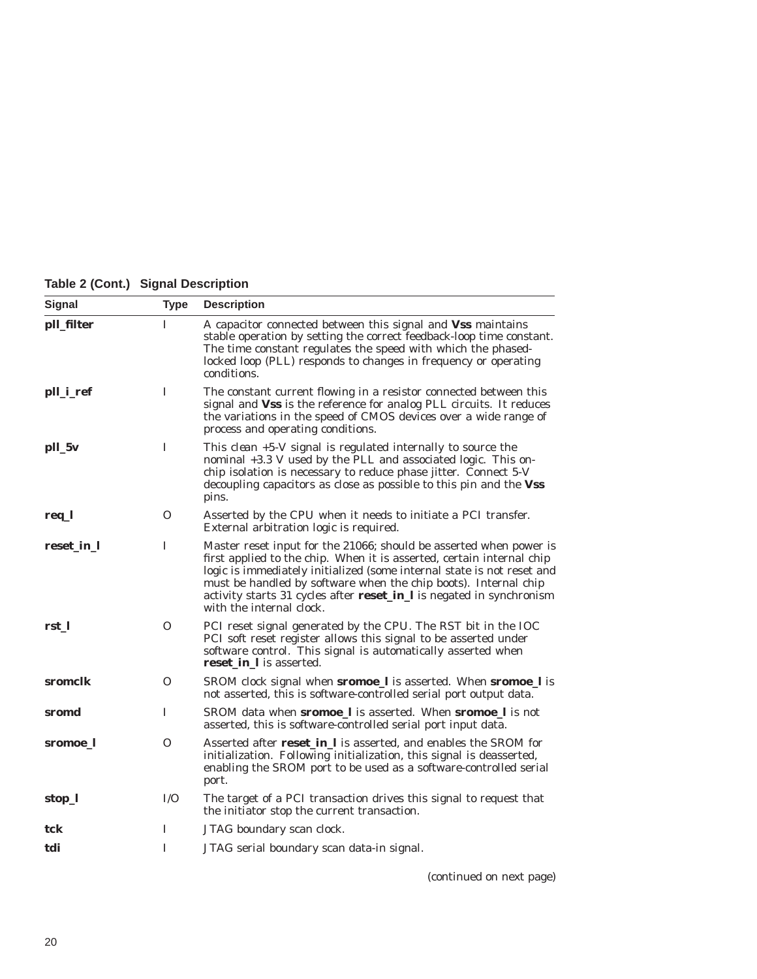|  | Table 2 (Cont.) Signal Description |
|--|------------------------------------|
|  |                                    |

| <b>Signal</b> | <b>Type</b> | <b>Description</b>                                                                                                                                                                                                                                                                                                                                                                           |
|---------------|-------------|----------------------------------------------------------------------------------------------------------------------------------------------------------------------------------------------------------------------------------------------------------------------------------------------------------------------------------------------------------------------------------------------|
| pll_filter    | I           | A capacitor connected between this signal and Vss maintains<br>stable operation by setting the correct feedback-loop time constant.<br>The time constant regulates the speed with which the phased-<br>locked loop (PLL) responds to changes in frequency or operating<br>conditions.                                                                                                        |
| pll_i_ref     | I           | The constant current flowing in a resistor connected between this<br>signal and Vss is the reference for analog PLL circuits. It reduces<br>the variations in the speed of CMOS devices over a wide range of<br>process and operating conditions.                                                                                                                                            |
| pll_5v        | I           | This <i>clean</i> +5-V signal is regulated internally to source the<br>nominal +3.3 V used by the PLL and associated logic. This on-<br>chip isolation is necessary to reduce phase jitter. Connect 5-V<br>decoupling capacitors as close as possible to this pin and the Vss<br>pins.                                                                                                       |
| req_l         | 0           | Asserted by the CPU when it needs to initiate a PCI transfer.<br>External arbitration logic is required.                                                                                                                                                                                                                                                                                     |
| reset_in_l    | I           | Master reset input for the 21066; should be asserted when power is<br>first applied to the chip. When it is asserted, certain internal chip<br>logic is immediately initialized (some internal state is not reset and<br>must be handled by software when the chip boots). Internal chip<br>activity starts 31 cycles after reset_in_l is negated in synchronism<br>with the internal clock. |
| rst 1         | 0           | PCI reset signal generated by the CPU. The RST bit in the IOC<br>PCI soft reset register allows this signal to be asserted under<br>software control. This signal is automatically asserted when<br>reset_in_l is asserted.                                                                                                                                                                  |
| sromclk       | $\Omega$    | SROM clock signal when <b>sromoe</b> I is asserted. When <b>sromoe</b> I is<br>not asserted, this is software-controlled serial port output data.                                                                                                                                                                                                                                            |
| sromd         | I           | SROM data when <b>sromoe_l</b> is asserted. When <b>sromoe_l</b> is not<br>asserted, this is software-controlled serial port input data.                                                                                                                                                                                                                                                     |
| sromoe_l      | 0           | Asserted after reset in 1 is asserted, and enables the SROM for<br>initialization. Following initialization, this signal is deasserted,<br>enabling the SROM port to be used as a software-controlled serial<br>port.                                                                                                                                                                        |
| stop_l        | I/O         | The target of a PCI transaction drives this signal to request that<br>the initiator stop the current transaction.                                                                                                                                                                                                                                                                            |
| tck           | I           | JTAG boundary scan clock.                                                                                                                                                                                                                                                                                                                                                                    |
| tdi           | I           | JTAG serial boundary scan data-in signal.                                                                                                                                                                                                                                                                                                                                                    |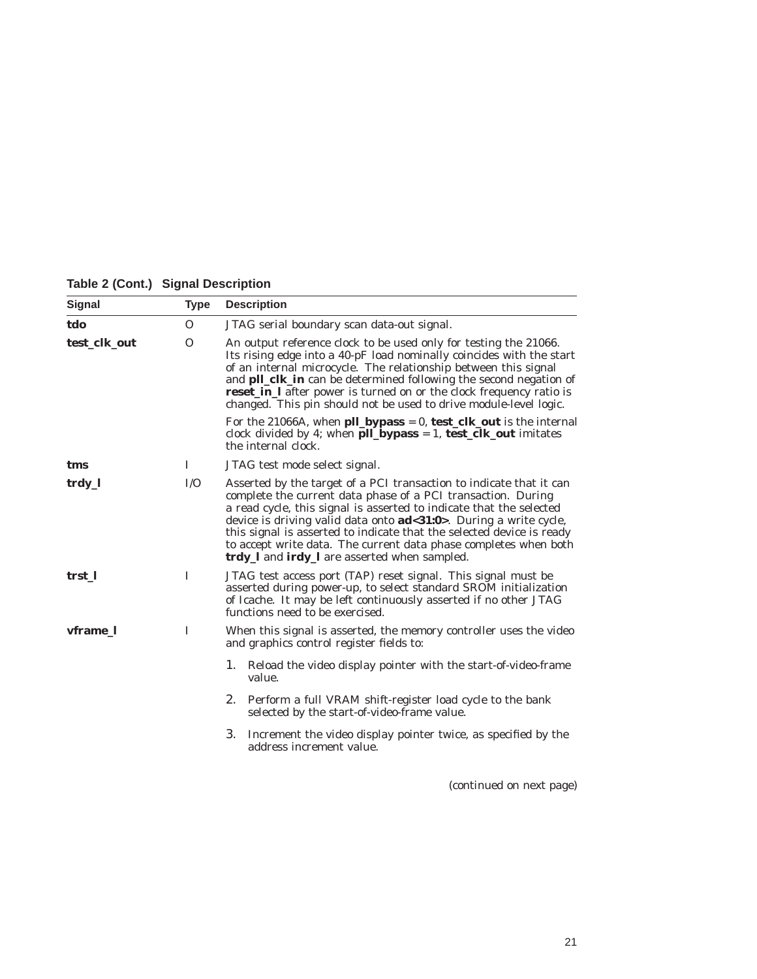**Table 2 (Cont.) Signal Description**

| <b>Signal</b> | <b>Type</b>  | <b>Description</b>                                                                                                                                                                                                                                                                                                                                                                                                                                                           |
|---------------|--------------|------------------------------------------------------------------------------------------------------------------------------------------------------------------------------------------------------------------------------------------------------------------------------------------------------------------------------------------------------------------------------------------------------------------------------------------------------------------------------|
| tdo           | $\mathbf{O}$ | JTAG serial boundary scan data-out signal.                                                                                                                                                                                                                                                                                                                                                                                                                                   |
| test_clk_out  | $\Omega$     | An output reference clock to be used only for testing the 21066.<br>Its rising edge into a 40-pF load nominally coincides with the start<br>of an internal microcycle. The relationship between this signal<br>and <b>pll_clk_in</b> can be determined following the second negation of<br><b>reset_in_l</b> after power is turned on or the clock frequency ratio is<br>changed. This pin should not be used to drive module-level logic.                                   |
|               |              | For the 21066A, when <b>pll_bypass</b> = 0, <b>test_clk_out</b> is the internal<br>clock divided by 4; when $\text{pll\_bypass} = 1$ , $\text{test\_clk\_out}$ imitates<br>the internal clock.                                                                                                                                                                                                                                                                               |
| tms           | 1            | JTAG test mode select signal.                                                                                                                                                                                                                                                                                                                                                                                                                                                |
| trdy_l        | I/O          | Asserted by the target of a PCI transaction to indicate that it can<br>complete the current data phase of a PCI transaction. During<br>a read cycle, this signal is asserted to indicate that the selected<br>device is driving valid data onto ad<31:0>. During a write cycle,<br>this signal is asserted to indicate that the selected device is ready<br>to accept write data. The current data phase completes when both<br>trdy_I and irdy_I are asserted when sampled. |
| trst_l        | I            | JTAG test access port (TAP) reset signal. This signal must be<br>asserted during power-up, to select standard SROM initialization<br>of Icache. It may be left continuously asserted if no other JTAG<br>functions need to be exercised.                                                                                                                                                                                                                                     |
| vframe 1      | I            | When this signal is asserted, the memory controller uses the video<br>and graphics control register fields to:                                                                                                                                                                                                                                                                                                                                                               |
|               |              | 1. Reload the video display pointer with the start-of-video-frame<br>value.                                                                                                                                                                                                                                                                                                                                                                                                  |
|               |              | 2.<br>Perform a full VRAM shift-register load cycle to the bank<br>selected by the start-of-video-frame value.                                                                                                                                                                                                                                                                                                                                                               |
|               |              | 3.<br>Increment the video display pointer twice, as specified by the<br>address increment value.                                                                                                                                                                                                                                                                                                                                                                             |
|               |              |                                                                                                                                                                                                                                                                                                                                                                                                                                                                              |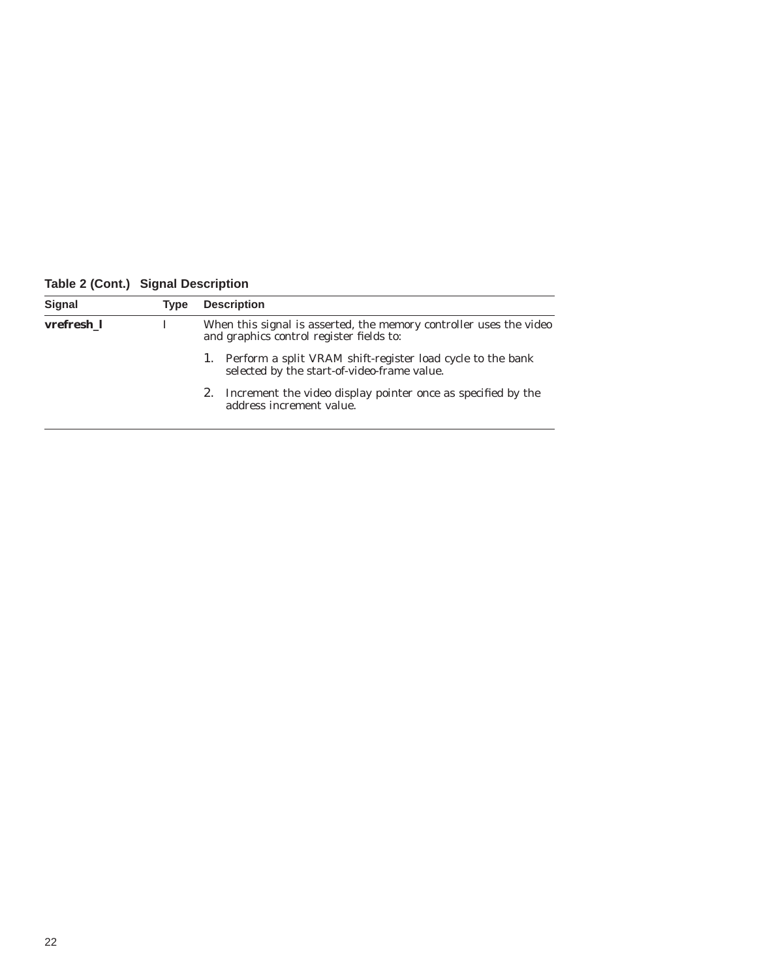**Table 2 (Cont.) Signal Description**

| Signal     | Type | <b>Description</b>                                                                                             |
|------------|------|----------------------------------------------------------------------------------------------------------------|
| vrefresh 1 |      | When this signal is asserted, the memory controller uses the video<br>and graphics control register fields to: |
|            |      | 1. Perform a split VRAM shift-register load cycle to the bank<br>selected by the start-of-video-frame value.   |
|            |      | 2. Increment the video display pointer once as specified by the<br>address increment value.                    |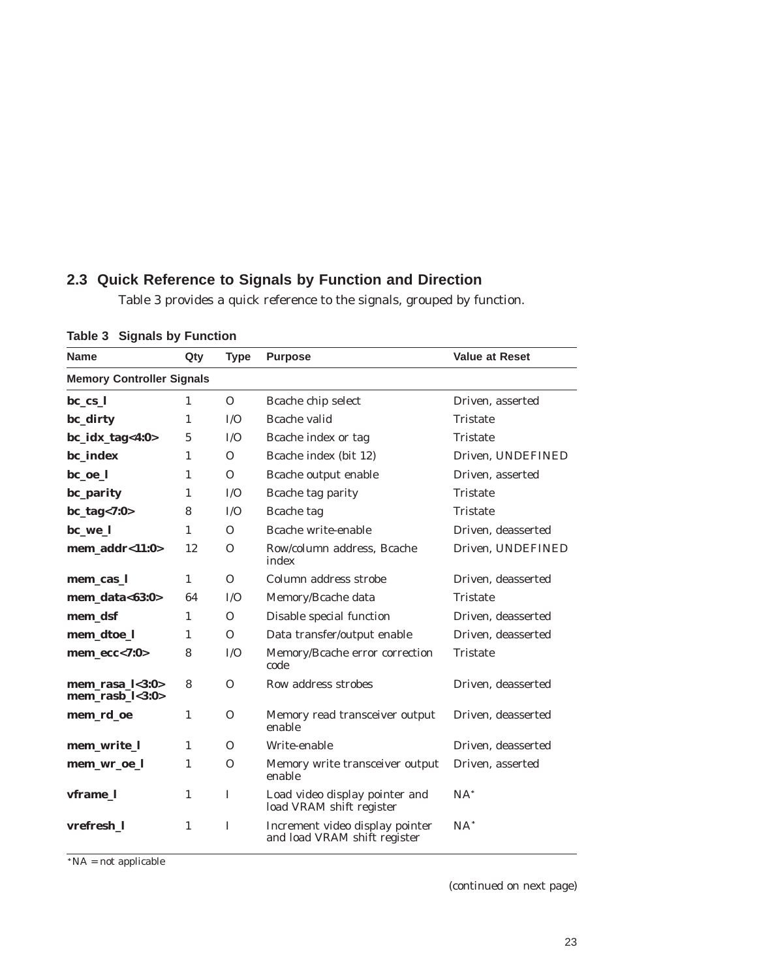### **2.3 Quick Reference to Signals by Function and Direction**

Table 3 provides a quick reference to the signals, grouped by function.

| <b>Name</b>                                        | Qty            | <b>Type</b>  | <b>Purpose</b>                                                  | <b>Value at Reset</b> |
|----------------------------------------------------|----------------|--------------|-----------------------------------------------------------------|-----------------------|
| <b>Memory Controller Signals</b>                   |                |              |                                                                 |                       |
| $bc_{cs}$                                          | 1              | $\Omega$     | Bcache chip select                                              | Driven, asserted      |
| bc_dirty                                           | 1              | I/O          | Bcache valid                                                    | <b>Tristate</b>       |
| $bc\_idx\_tag<4:0>$                                | $\overline{5}$ | I/O          | Bcache index or tag                                             | <b>Tristate</b>       |
| bc_index                                           | 1              | $\Omega$     | Bcache index (bit 12)                                           | Driven, UNDEFINED     |
| bc_oe_l                                            | 1              | $\Omega$     | Bcache output enable                                            | Driven. asserted      |
| bc_parity                                          | 1              | I/O          | Bcache tag parity                                               | <b>Tristate</b>       |
| $bc\_tag < 7:0>$                                   | 8              | I/O          | Bcache tag                                                      | <b>Tristate</b>       |
| bc_we_l                                            | 1              | $\Omega$     | Bcache write-enable                                             | Driven. deasserted    |
| mem addr< $11:0>$                                  | 12             | $\Omega$     | Row/column address, Bcache<br>index                             | Driven, UNDEFINED     |
| mem_cas_l                                          | $\mathbf{1}$   | $\Omega$     | Column address strobe                                           | Driven, deasserted    |
| mem data< $63:0>$                                  | 64             | I/O          | Memory/Bcache data                                              | <b>Tristate</b>       |
| mem dsf                                            | 1              | $\Omega$     | Disable special function                                        | Driven. deasserted    |
| mem_dtoe_l                                         | 1              | $\Omega$     | Data transfer/output enable                                     | Driven, deasserted    |
| $mem\_ecc<7:0>$                                    | 8              | I/O          | Memory/Bcache error correction<br>code                          | <b>Tristate</b>       |
| $mem\_rasa_l < 3:0>$<br>mem rasb $\frac{1}{3}$ :0> | 8              | $\Omega$     | Row address strobes                                             | Driven, deasserted    |
| mem_rd_oe                                          | 1              | $\Omega$     | Memory read transceiver output<br>enable                        | Driven, deasserted    |
| mem_write_l                                        | $\mathbf{1}$   | $\Omega$     | Write-enable                                                    | Driven, deasserted    |
| mem_wr_oe_l                                        | 1              | $\Omega$     | Memory write transceiver output<br>enable                       | Driven, asserted      |
| vframe_l                                           | 1              | $\mathbf{I}$ | Load video display pointer and<br>load VRAM shift register      | $NA^*$                |
| vrefresh_1                                         | $\mathbf{1}$   | $\mathbf{I}$ | Increment video display pointer<br>and load VRAM shift register | $NA^*$                |

**Table 3 Signals by Function**

 $N_A = not applicable$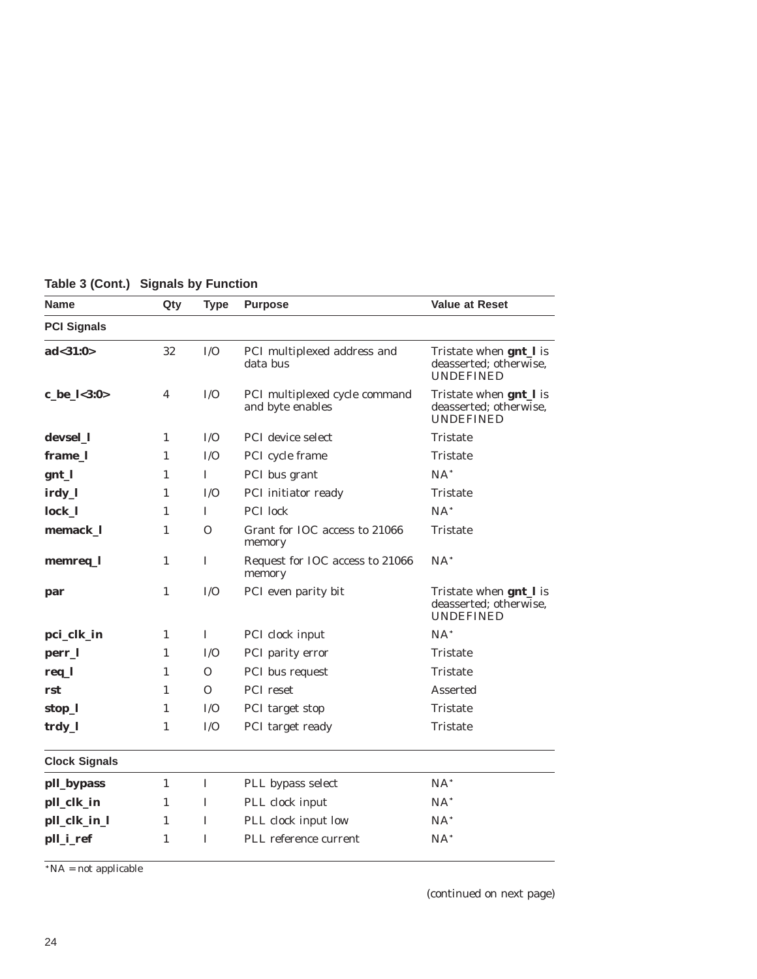| <b>Name</b>          | Qty          | <b>Type</b>  | <b>Purpose</b>                                    | <b>Value at Reset</b>                                                        |
|----------------------|--------------|--------------|---------------------------------------------------|------------------------------------------------------------------------------|
| <b>PCI Signals</b>   |              |              |                                                   |                                                                              |
| ad < 31:0>           | 32           | I/O          | PCI multiplexed address and<br>data bus           | Tristate when gnt_l is<br>deasserted; otherwise.<br><b>UNDEFINED</b>         |
| c_be_l<3:0>          | 4            | I/O          | PCI multiplexed cycle command<br>and byte enables | Tristate when gnt_l is<br>deasserted; otherwise,<br><b>UNDEFINED</b>         |
| devsel_l             | $\mathbf{1}$ | I/O          | PCI device select                                 | Tristate                                                                     |
| frame_l              | 1            | I/O          | PCI cycle frame                                   | Tristate                                                                     |
| gnt_l                | 1            | $\mathbf I$  | PCI bus grant                                     | $NA^*$                                                                       |
| irdy_l               | $\mathbf{1}$ | I/O          | PCI initiator ready                               | Tristate                                                                     |
| lock_l               | $\mathbf{1}$ | L            | PCI lock                                          | $NA*$                                                                        |
| memack_l             | 1            | $\Omega$     | Grant for IOC access to 21066<br>memory           | Tristate                                                                     |
| memreq_l             | 1            | I            | Request for IOC access to 21066<br>memory         | $NA^*$                                                                       |
| par                  | 1            | I/O          | PCI even parity bit                               | Tristate when <b>gnt</b> _l is<br>deasserted; otherwise,<br><b>UNDEFINED</b> |
| pci_clk_in           | 1            | Ι.           | PCI clock input                                   | $NA^*$                                                                       |
| perr_l               | $\mathbf{1}$ | I/O          | PCI parity error                                  | Tristate                                                                     |
| req_l                | 1            | $\Omega$     | PCI bus request                                   | Tristate                                                                     |
| rst                  | $\mathbf{1}$ | $\mathbf{O}$ | PCI reset                                         | Asserted                                                                     |
| stop_l               | 1            | I/O          | PCI target stop                                   | Tristate                                                                     |
| trdy_l               | 1            | I/O          | PCI target ready                                  | Tristate                                                                     |
| <b>Clock Signals</b> |              |              |                                                   |                                                                              |
| pll_bypass           | 1            | I            | PLL bypass select                                 | $NA^*$                                                                       |
| pll_clk_in           | 1            | 1            | PLL clock input                                   | $NA^*$                                                                       |
| pll_clk_in_l         | 1            | 1            | PLL clock input low                               | $NA^*$                                                                       |
| pll_i_ref            | $\mathbf{1}$ | I            | PLL reference current                             | $NA^*$                                                                       |

**Table 3 (Cont.) Signals by Function**

 $N_A = not applicable$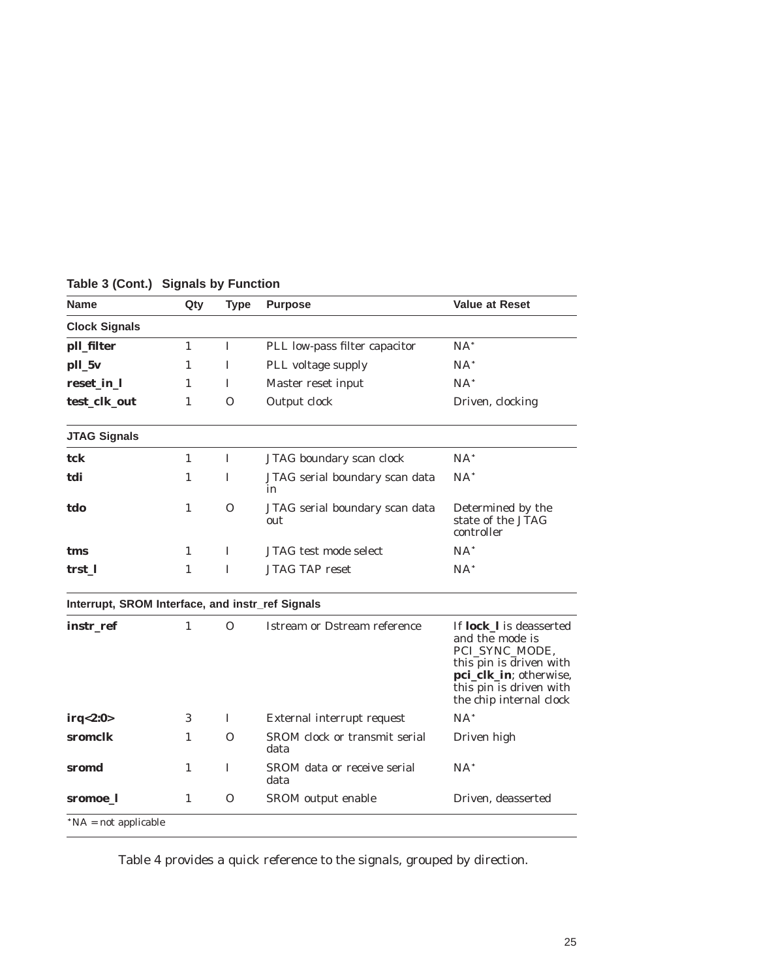| <b>Name</b>                                      | Qty          | <b>Type</b>  | <b>Purpose</b>                        | <b>Value at Reset</b>                                                                          |
|--------------------------------------------------|--------------|--------------|---------------------------------------|------------------------------------------------------------------------------------------------|
| <b>Clock Signals</b>                             |              |              |                                       |                                                                                                |
| pll_filter                                       | $\mathbf{1}$ | $\mathbf{I}$ | PLL low-pass filter capacitor         | $NA^*$                                                                                         |
| pll_5v                                           | $\mathbf{1}$ | L            | PLL voltage supply                    | $NA^*$                                                                                         |
| reset_in_l                                       | $\mathbf{1}$ | Ι.           | Master reset input                    | $NA^*$                                                                                         |
| test_clk_out                                     | $\mathbf{1}$ | $\Omega$     | Output clock                          | Driven, clocking                                                                               |
| <b>JTAG Signals</b>                              |              |              |                                       |                                                                                                |
| tck                                              | 1            | L            | JTAG boundary scan clock              | $NA^*$                                                                                         |
| tdi                                              | $\mathbf{1}$ | I            | JTAG serial boundary scan data<br>in  | $NA^*$                                                                                         |
| tdo                                              | $\mathbf{1}$ | $\Omega$     | JTAG serial boundary scan data<br>out | Determined by the<br>state of the JTAG<br>controller                                           |
| tms                                              | 1            | L            | <b>JTAG</b> test mode select          | $NA^*$                                                                                         |
| trst 1                                           | 1            | $\mathbf I$  | <b>JTAG TAP reset</b>                 | $NA^*$                                                                                         |
| Interrupt, SROM Interface, and instr_ref Signals |              |              |                                       |                                                                                                |
| instr_ref                                        | $\mathbf{1}$ | $\Omega$     | Istream or Dstream reference          | If <b>lock_l</b> is deasserted<br>and the mode is<br>PCI_SYNC_MODE,<br>this pin is driven with |
|                                                  |              |              |                                       | pci_clk_in; otherwise,<br>this pin is driven with<br>the chip internal clock                   |
|                                                  | 3            | $\mathbf I$  | External interrupt request            | $NA^*$                                                                                         |
|                                                  | $\mathbf{1}$ | $\Omega$     | SROM clock or transmit serial<br>data | Driven high                                                                                    |
| irq<2:0><br>sromclk<br>sromd                     | $\mathbf{1}$ | $\mathbf I$  | SROM data or receive serial<br>data   | $NA^*$                                                                                         |

**Table 3 (Cont.) Signals by Function**

Table 4 provides a quick reference to the signals, grouped by direction.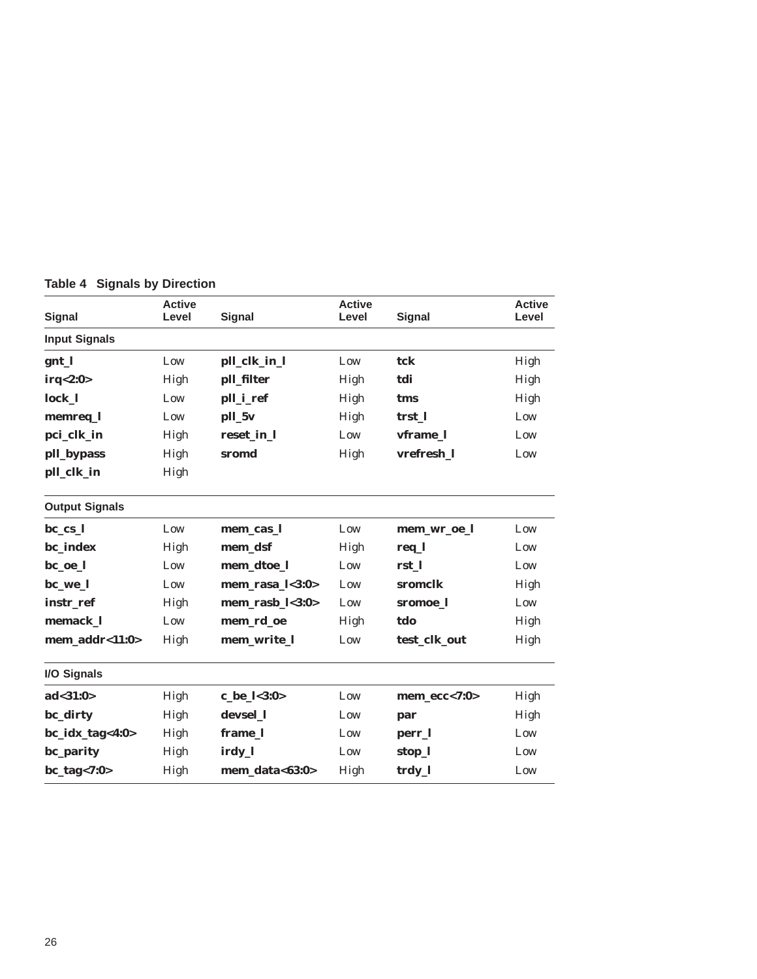| <b>Signal</b>         | <b>Active</b><br>Level | <b>Signal</b>        | <b>Active</b><br>Level | <b>Signal</b>   | <b>Active</b><br>Level |
|-----------------------|------------------------|----------------------|------------------------|-----------------|------------------------|
| <b>Input Signals</b>  |                        |                      |                        |                 |                        |
| gnt_l                 | Low                    | pll_clk_in_l         | Low                    | tck             | High                   |
| irq<2:0>              | High                   | pll_filter           | High                   | tdi             | High                   |
| lock_l                | Low                    | pll_i_ref            | High                   | tms             | High                   |
| memreq_l              | Low                    | pll_5v               | High                   | trst 1          | Low                    |
| pci_clk_in            | High                   | reset_in_l           | Low                    | vframe_l        | Low                    |
| pll_bypass            | High                   | sromd                | High                   | vrefresh_l      | Low                    |
| pll_clk_in            | High                   |                      |                        |                 |                        |
| <b>Output Signals</b> |                        |                      |                        |                 |                        |
| bc_cs_l               | Low                    | mem_cas_l            | Low                    | mem_wr_oe_l     | Low                    |
| bc_index              | High                   | mem_dsf              | High                   | req_l           | Low                    |
| bc_oe_l               | Low                    | mem_dtoe_l           | Low                    | rst_l           | Low                    |
| bc_we_l               | Low                    | $mem\_rasa_l < 3:0>$ | Low                    | sromclk         | High                   |
| instr_ref             | High                   | mem_rasb_l<3:0>      | Low                    | sromoe_l        | Low                    |
| memack_l              | Low                    | mem_rd_oe            | High                   | tdo             | High                   |
| mem_addr<11:0>        | High                   | mem_write_l          | Low                    | test_clk_out    | High                   |
| I/O Signals           |                        |                      |                        |                 |                        |
| ad<31:0>              | High                   | $c_be_l<3:0>$        | Low                    | $mem\_ecc<7:0>$ | High                   |
| bc_dirty              | High                   | devsel_l             | Low                    | par             | High                   |
| bc_idx_tag<4:0>       | High                   | frame_l              | Low                    | perr_l          | Low                    |
| bc_parity             | High                   | irdy_l               | Low                    | stop_l          | Low                    |
| $bc\_tag < 7:0>$      | High                   | mem data< $63:0>$    | High                   | trdy_l          | Low                    |

**Table 4 Signals by Direction**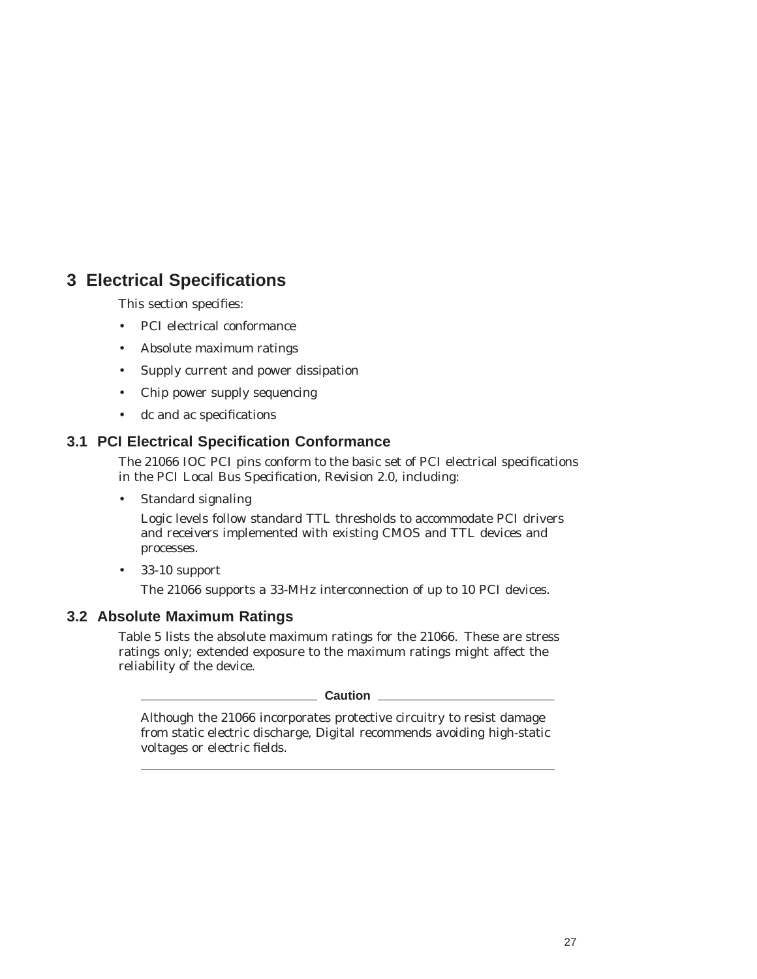## **3 Electrical Specifications**

This section specifies:

- PCI electrical conformance
- Absolute maximum ratings
- Supply current and power dissipation
- Chip power supply sequencing
- dc and ac specifications

#### **3.1 PCI Electrical Specification Conformance**

The 21066 IOC PCI pins conform to the basic set of PCI electrical specifications in the *PCI Local Bus Specification, Revision 2.0,* including:

• Standard signaling

Logic levels follow standard TTL thresholds to accommodate PCI drivers and receivers implemented with existing CMOS and TTL devices and processes.

• 33-10 support

The 21066 supports a 33-MHz interconnection of up to 10 PCI devices.

#### **3.2 Absolute Maximum Ratings**

Table 5 lists the absolute maximum ratings for the 21066. These are stress ratings only; extended exposure to the maximum ratings might affect the reliability of the device.

**Caution** 

Although the 21066 incorporates protective circuitry to resist damage from static electric discharge, Digital recommends avoiding high-static voltages or electric fields.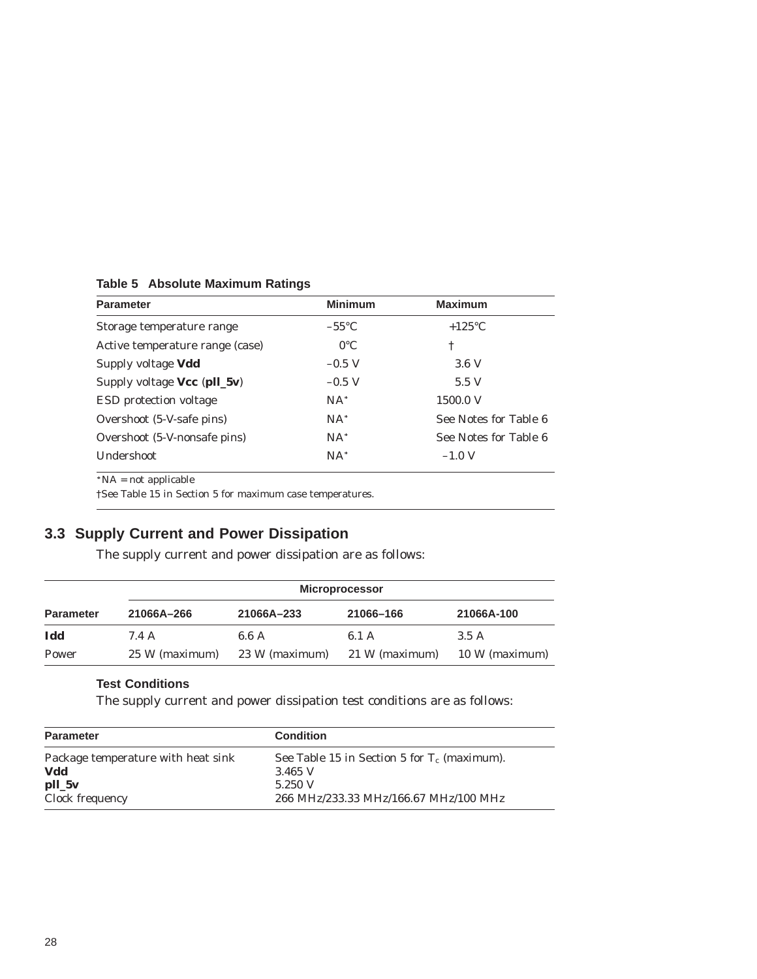| <b>Parameter</b>                | <b>Minimum</b>  | <b>Maximum</b>        |
|---------------------------------|-----------------|-----------------------|
| Storage temperature range       | $-55^{\circ}$ C | $+125^{\circ}$ C      |
| Active temperature range (case) | $0^{\circ}$ C   | ÷                     |
| Supply voltage Vdd              | $-0.5$ V        | 3.6V                  |
| Supply voltage $Vec$ (pll_5v)   | $-0.5$ V        | 5.5 V                 |
| <b>ESD</b> protection voltage   | $NA^*$          | 1500.0 V              |
| Overshoot (5-V-safe pins)       | $NA^*$          | See Notes for Table 6 |
| Overshoot (5-V-nonsafe pins)    | $NA^*$          | See Notes for Table 6 |
| <b>Undershoot</b>               | $NA^*$          | $-1.0$ V              |

**Table 5 Absolute Maximum Ratings**

 $N_A = not applicable$ 

†See Table 15 in Section 5 for maximum case temperatures.

## **3.3 Supply Current and Power Dissipation**

The supply current and power dissipation are as follows:

|                  | <b>Microprocessor</b> |                |                |                |  |  |  |
|------------------|-----------------------|----------------|----------------|----------------|--|--|--|
| <b>Parameter</b> | 21066A-266            | 21066A-233     | 21066-166      | 21066A-100     |  |  |  |
| Idd              | 7.4 A                 | 6.6 A          | 6.1 A          | 3.5A           |  |  |  |
| Power            | 25 W (maximum)        | 23 W (maximum) | 21 W (maximum) | 10 W (maximum) |  |  |  |

#### **Test Conditions**

The supply current and power dissipation test conditions are as follows:

| <b>Parameter</b>                   | <b>Condition</b>                               |
|------------------------------------|------------------------------------------------|
| Package temperature with heat sink | See Table 15 in Section 5 for $T_c$ (maximum). |
| Vdd                                | 3.465 V                                        |
| $pll_5v$                           | 5.250 V                                        |
| Clock frequency                    | 266 MHz/233.33 MHz/166.67 MHz/100 MHz          |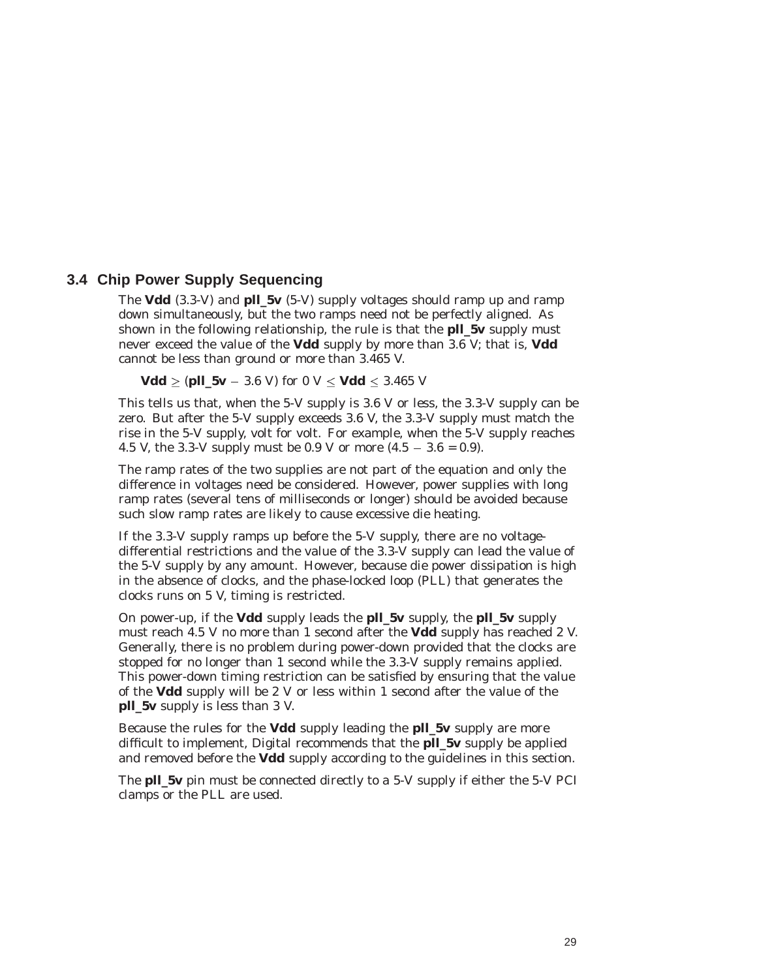#### **3.4 Chip Power Supply Sequencing**

The **Vdd** (3.3-V) and **pll\_5v** (5-V) supply voltages should ramp up and ramp down simultaneously, but the two ramps need not be perfectly aligned. As shown in the following relationship, the rule is that the **pll\_5v** supply must never exceed the value of the **Vdd** supply by more than 3.6 V; that is, **Vdd** cannot be less than ground or more than 3.465 V.

**Vdd**  $\ge$  (**pll\_5v** – 3.6 V) for 0 V  $\le$  **Vdd**  $\le$  3.465 V

This tells us that, when the 5-V supply is 3.6 V or less, the 3.3-V supply can be zero. But after the 5-V supply exceeds 3.6 V, the 3.3-V supply must match the rise in the 5-V supply, volt for volt. For example, when the 5-V supply reaches 4.5 V, the 3.3-V supply must be 0.9 V or more  $(4.5 - 3.6 = 0.9)$ .

The ramp rates of the two supplies are not part of the equation and only the difference in voltages need be considered. However, power supplies with long ramp rates (several tens of milliseconds or longer) should be avoided because such slow ramp rates are likely to cause excessive die heating.

If the 3.3-V supply ramps up before the 5-V supply, there are no voltagedifferential restrictions and the value of the 3.3-V supply can lead the value of the 5-V supply by any amount. However, because die power dissipation is high in the absence of clocks, and the phase-locked loop (PLL) that generates the clocks runs on 5 V, timing is restricted.

On power-up, if the **Vdd** supply leads the **pll\_5v** supply, the **pll\_5v** supply must reach 4.5 V no more than 1 second after the **Vdd** supply has reached 2 V. Generally, there is no problem during power-down provided that the clocks are stopped for no longer than 1 second while the 3.3-V supply remains applied. This power-down timing restriction can be satisfied by ensuring that the value of the **Vdd** supply will be 2 V or less within 1 second after the value of the **pll\_5v** supply is less than 3 V.

Because the rules for the **Vdd** supply leading the **pll\_5v** supply are more difficult to implement, Digital recommends that the **pll\_5v** supply be applied and removed before the **Vdd** supply according to the guidelines in this section.

The **pll\_5v** pin must be connected directly to a 5-V supply if either the 5-V PCI clamps or the PLL are used.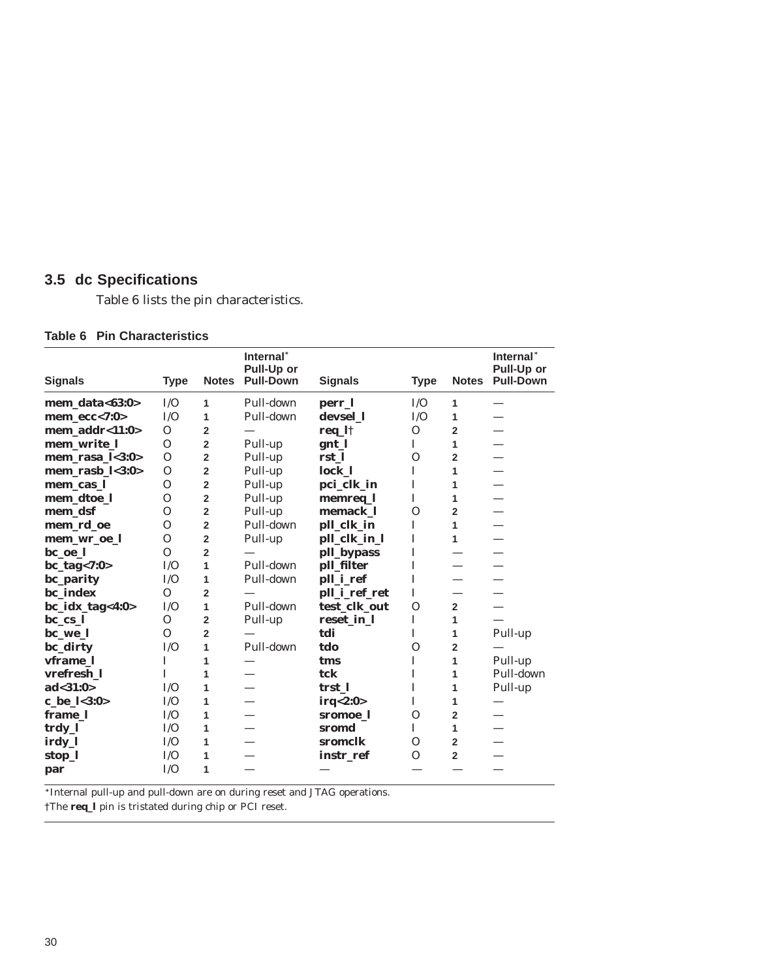### **3.5 dc Specifications**

Table 6 lists the pin characteristics.

#### **Table 6 Pin Characteristics**

| <b>Signals</b>    | <b>Type</b>  | <b>Notes</b>   | Internal*<br>Pull-Up or<br><b>Pull-Down</b> | <b>Signals</b> | <b>Type</b> | <b>Notes</b>             | Internal*<br>Pull-Up or<br><b>Pull-Down</b> |
|-------------------|--------------|----------------|---------------------------------------------|----------------|-------------|--------------------------|---------------------------------------------|
| mem_data<63:0>    | I/O          | 1              | Pull-down                                   | perr_l         | I/O         | 1                        |                                             |
| $mem\_ecc < 7:0>$ | I/O          | 1              | Pull-down                                   | devsel 1       | I/O         | 1                        | $\overline{\phantom{0}}$                    |
| mem_addr<11:0>    | $\Omega$     | $\overline{2}$ |                                             | req_l†         | $\Omega$    | $\overline{2}$           |                                             |
| mem_write_l       | $\Omega$     | $\overline{2}$ | Pull-up                                     | gnt_l          | L           | 1                        |                                             |
| mem_rasa_l<3:0>   | $\Omega$     | $\overline{2}$ | Pull-up                                     | rst 1          | $\Omega$    | $\overline{2}$           |                                             |
| mem_rasb_l<3:0>   | $\Omega$     | $\overline{2}$ | Pull-up                                     | lock_l         | I           | 1                        |                                             |
| mem_cas_l         | $\Omega$     | $\overline{2}$ | Pull-up                                     | pci_clk_in     | I           | 1                        |                                             |
| mem_dtoe_l        | $\Omega$     | $\overline{2}$ | Pull-up                                     | memreq_l       | I           | 1                        |                                             |
| mem_dsf           | $\Omega$     | $\overline{2}$ | Pull-up                                     | memack 1       | $\Omega$    | $\overline{2}$           |                                             |
| mem_rd_oe         | $\Omega$     | $\overline{2}$ | Pull-down                                   | pll_clk_in     | I           | $\mathbf{1}$             | —                                           |
| mem_wr_oe_l       | $\Omega$     | $\overline{2}$ | Pull-up                                     | pll_clk_in_l   | I           | 1                        |                                             |
| bc_oe_l           | $\Omega$     | $\overline{2}$ |                                             | pll_bypass     | I           |                          |                                             |
| $bc\_tag < 7:0>$  | I/O          | 1              | Pull-down                                   | pll_filter     | I           | $\overline{\phantom{0}}$ |                                             |
| bc_parity         | I/O          | 1              | Pull-down                                   | pll_i_ref      | I           |                          |                                             |
| bc_index          | $\Omega$     | $\overline{2}$ |                                             | pll_i_ref_ret  | I           |                          |                                             |
| bc_idx_tag<4:0>   | I/O          | 1              | Pull-down                                   | test_clk_out   | $\Omega$    | $\overline{2}$           |                                             |
| $bc_{cs}$ ]       | $\Omega$     | $\overline{2}$ | Pull-up                                     | reset_in_l     | I           | 1                        |                                             |
| bc_we_l           | $\Omega$     | $\overline{2}$ |                                             | tdi            | I           | 1                        | Pull-up                                     |
| bc_dirty          | I/O          | 1              | Pull-down                                   | tdo            | $\Omega$    | $\overline{2}$           |                                             |
| vframe_l          | $\mathbf{I}$ | 1              |                                             | tms            | T           | 1                        | Pull-up                                     |
| vrefresh 1        | $\mathbf{I}$ | 1              |                                             | tck            | $\mathbf I$ | 1                        | Pull-down                                   |
| ad < 31:0>        | I/O          | 1              |                                             | trst 1         | I           | 1                        | Pull-up                                     |
| c_be_l<3:0>       | I/O          | 1              |                                             | irq<2:0>       | I           | 1                        |                                             |
| frame_l           | I/O          | 1              |                                             | sromoe 1       | $\Omega$    | $\overline{2}$           |                                             |
| trdy_l            | I/O          | 1              |                                             | sromd          | T           | 1                        |                                             |
| irdy_l            | I/O          | 1              |                                             | sromclk        | $\Omega$    | $\overline{2}$           |                                             |
| stop_l            | I/O          | 1              |                                             | instr ref      | $\Omega$    | $\overline{2}$           |                                             |
| par               | I/O          | 1              |                                             |                |             |                          |                                             |

 $\overline{\phantom{a}}$  Internal pull-up and pull-down are on during reset and JTAG operations.

†The **req\_l** pin is tristated during chip or PCI reset.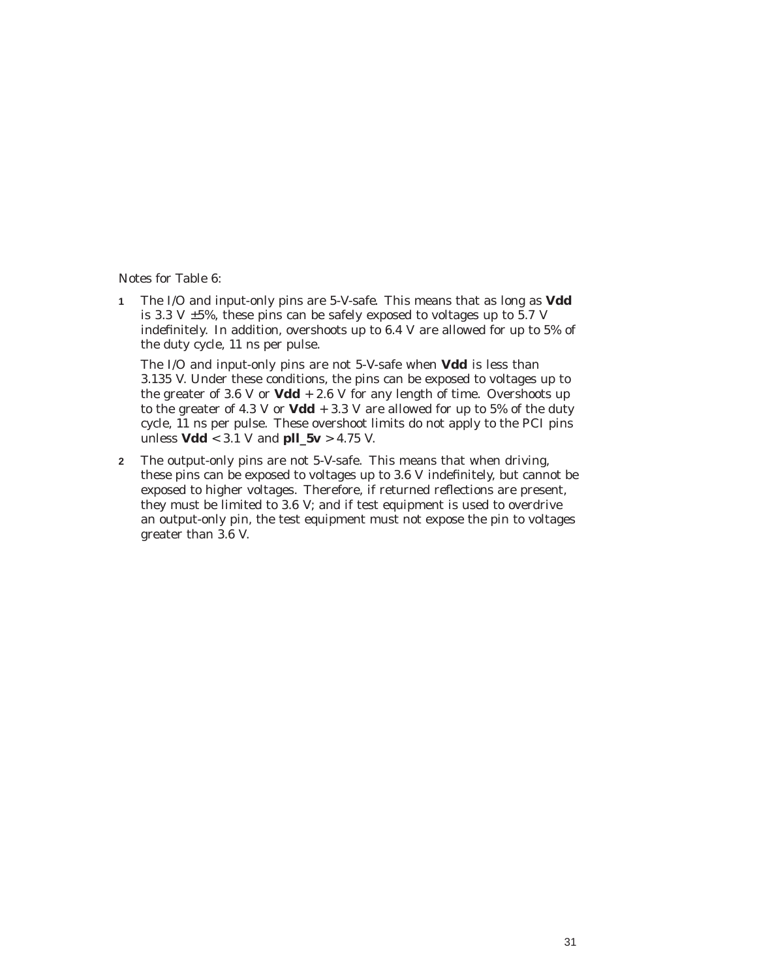Notes for Table 6:

**1** The I/O and input-only pins are *5-V-safe.* This means that as long as **Vdd** is 3.3 V  $\pm$ 5%, these pins can be safely exposed to voltages up to 5.7 V indefinitely. In addition, overshoots up to 6.4 V are allowed for up to 5% of the duty cycle, 11 ns per pulse.

The I/O and input-only pins are not 5-V-safe when **Vdd** is less than 3.135 V. Under these conditions, the pins can be exposed to voltages up to the greater of 3.6 V or  $Vdd + 2.6$  V for any length of time. Overshoots up to the greater of 4.3 V or  $Vdd + 3.3$  V are allowed for up to 5% of the duty cycle, 11 ns per pulse. These overshoot limits do not apply to the PCI pins unless **Vdd** < 3.1 V and **pll\_5v** > 4.75 V.

**2** The output-only pins are not 5-V-safe. This means that when driving, these pins can be exposed to voltages up to 3.6 V indefinitely, but cannot be exposed to higher voltages. Therefore, if returned reflections are present, they must be limited to 3.6 V; and if test equipment is used to overdrive an output-only pin, the test equipment must not expose the pin to voltages greater than 3.6 V.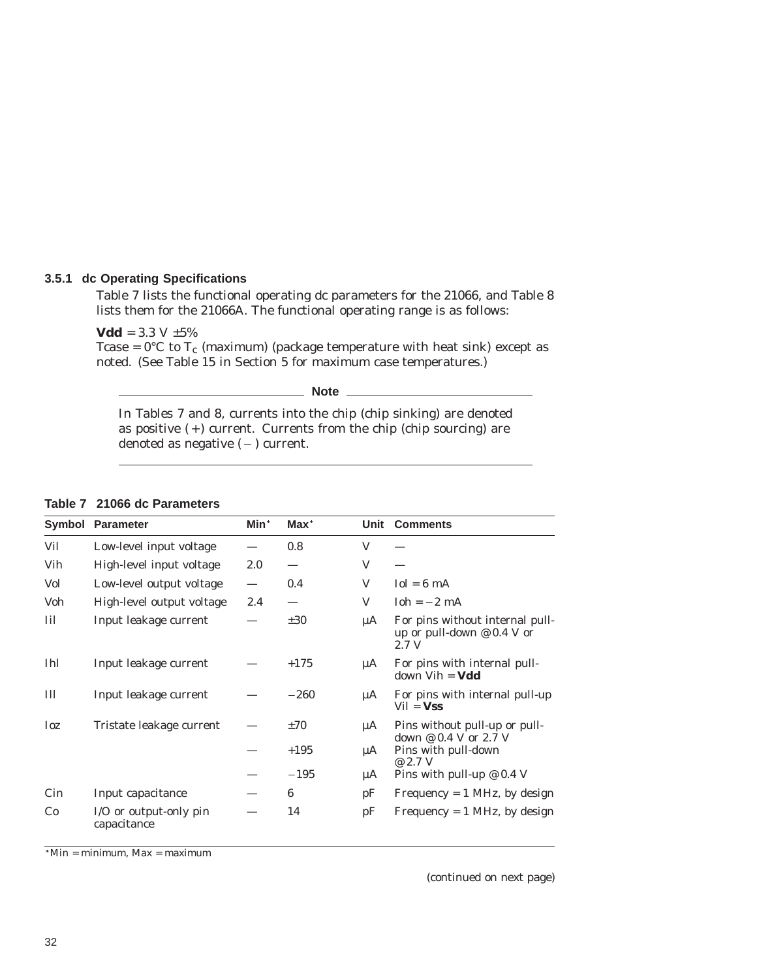#### **3.5.1 dc Operating Specifications**

Table 7 lists the functional operating dc parameters for the 21066, and Table 8 lists them for the 21066A. The functional operating range is as follows:

**Vdd** =  $3.3 \text{ V } \pm 5\%$ 

Tcase =  $0^{\circ}$ C to T<sub>c</sub> (maximum) (package temperature with heat sink) except as noted. (See Table 15 in Section 5 for maximum case temperatures.)

**Note**

In Tables 7 and 8, currents into the chip (chip sinking) are denoted as positive  $(+)$  current. Currents from the chip (chip sourcing) are denoted as negative  $(-)$  current.

|  |  |  |  |  | Table 7 21066 dc Parameters |
|--|--|--|--|--|-----------------------------|
|--|--|--|--|--|-----------------------------|

|            | <b>Symbol Parameter</b>               | Min* | $Max^*$  |    | Unit Comments                                                            |
|------------|---------------------------------------|------|----------|----|--------------------------------------------------------------------------|
| Vil        | Low-level input voltage               |      | 0.8      | V  |                                                                          |
| Vih        | High-level input voltage              | 2.0  |          | V  |                                                                          |
| Vol        | Low-level output voltage              |      | 0.4      | V  | $I_0 = 6$ mA                                                             |
| Voh        | High-level output voltage             | 2.4  |          | V  | $Ioh = -2 mA$                                                            |
| Iil        | Input leakage current                 |      | $\pm 30$ | μA | For pins without internal pull-<br>up or pull-down $@$ 0.4 V or<br>2.7 V |
| <b>Ihl</b> | Input leakage current                 |      | $+175$   | μA | For pins with internal pull-<br>$down$ Vih = <b>Vdd</b>                  |
| Ill        | Input leakage current                 |      | $-260$   | μA | For pins with internal pull-up<br>$Vil = Vss$                            |
| <b>Ioz</b> | Tristate leakage current              |      | $\pm 70$ | μA | Pins without pull-up or pull-                                            |
|            |                                       |      | $+195$   | μA | down $@0.4$ V or 2.7 V<br>Pins with pull-down<br>@ 2.7 V                 |
|            |                                       |      | $-195$   | μA | Pins with pull-up $\varnothing$ 0.4 V                                    |
| Cin        | Input capacitance                     |      | 6        | pF | Frequency $= 1$ MHz, by design                                           |
| Co         | I/O or output-only pin<br>capacitance |      | 14       | pF | Frequency = $1$ MHz, by design                                           |

 $*$ Min = minimum, Max = maximum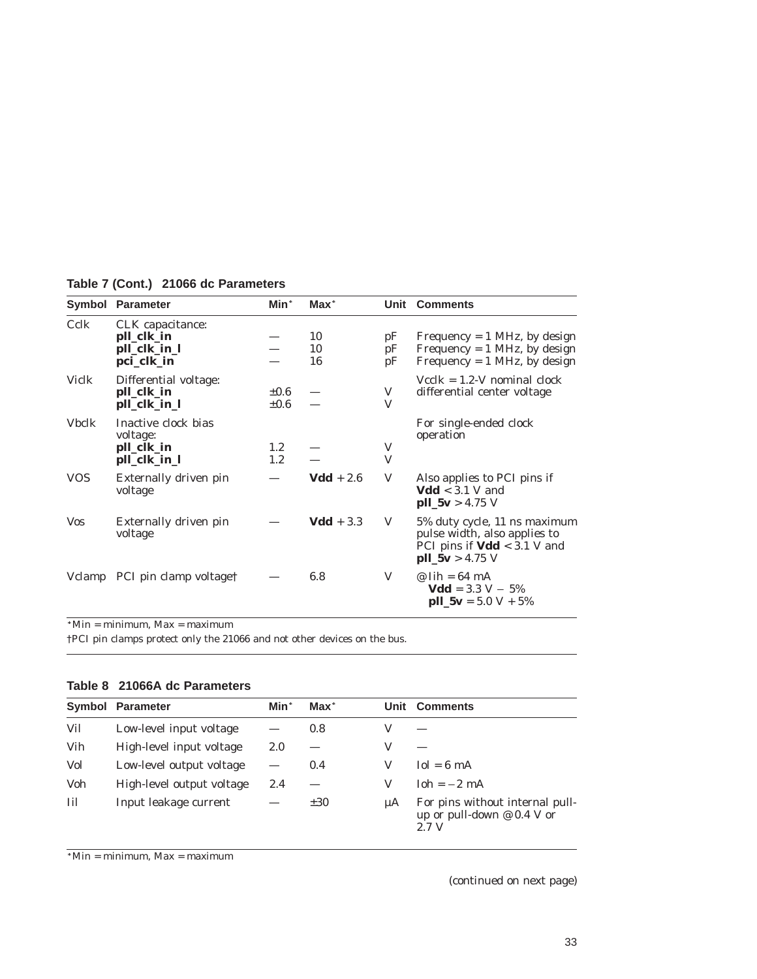|              | <b>Symbol Parameter</b>                                       | Min*                    | $Max^*$        |                | Unit Comments                                                                                                      |
|--------------|---------------------------------------------------------------|-------------------------|----------------|----------------|--------------------------------------------------------------------------------------------------------------------|
| Cclk         | CLK capacitance:<br>pll_clk_in<br>pll_clk_in_l<br>pci_clk_in  |                         | 10<br>10<br>16 | pF<br>pF<br>pF | Frequency $= 1$ MHz, by design<br>Frequency $= 1$ MHz, by design<br>Frequency = $1$ MHz, by design                 |
| Viclk        | Differential voltage:<br>pll_clk_in<br>pll_clk_in_l           | $\pm 0.6$<br>$\pm 0.6$  |                | V<br>V         | $Vcclk = 1.2-V$ nominal clock<br>differential center voltage                                                       |
| <b>Vbclk</b> | Inactive clock bias<br>voltage:<br>pll_clk_in<br>pll_clk_in_l | 1.2 <sub>1</sub><br>1.2 |                | V<br>V         | For single-ended clock<br>operation                                                                                |
| <b>VOS</b>   | Externally driven pin<br>voltage                              |                         | $Vdd + 2.6$    | V              | Also applies to PCI pins if<br>$Vdd < 3.1$ V and<br>$pll_5v > 4.75 V$                                              |
| <b>Vos</b>   | Externally driven pin<br>voltage                              |                         | $Vdd + 3.3$    | V              | 5% duty cycle, 11 ns maximum<br>pulse width, also applies to<br>PCI pins if $Vdd < 3.1$ V and<br>$pll_5v > 4.75 V$ |
|              | Vclamp PCI pin clamp voltage†                                 |                         | 6.8            | V              | $\mathcal{Q}$ lih = 64 mA<br>$Vdd = 3.3 V - 5%$<br>$\text{pll}_-5\text{v} = 5.0 \text{ V} + 5\%$                   |

**Table 7 (Cont.) 21066 dc Parameters**

 $*$ Min = minimum, Max = maximum

†PCI pin clamps protect only the 21066 and not other devices on the bus.

#### **Table 8 21066A dc Parameters**

|     | Symbol Parameter          | Min*                     | $Max^*$  |         | <b>Unit Comments</b>                                                     |
|-----|---------------------------|--------------------------|----------|---------|--------------------------------------------------------------------------|
| Vil | Low-level input voltage   |                          | 0.8      |         |                                                                          |
| Vih | High-level input voltage  | 2.0                      |          | v       |                                                                          |
| Vol | Low-level output voltage  | $\overline{\phantom{0}}$ | 0.4      |         | $I_0l = 6$ mA                                                            |
| Voh | High-level output voltage | 2.4                      |          | V       | $Ioh = -2 mA$                                                            |
| Iil | Input leakage current     |                          | $\pm 30$ | $\mu A$ | For pins without internal pull-<br>up or pull-down $@$ 0.4 V or<br>2.7 V |

 $*$ Min = minimum, Max = maximum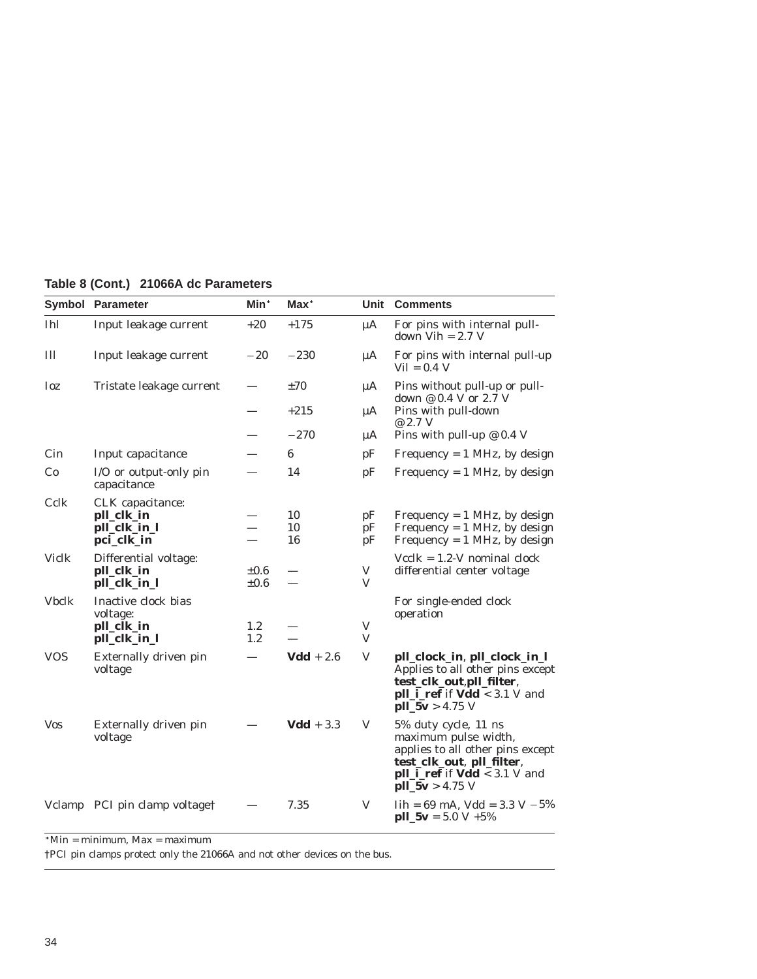|              | <b>Symbol Parameter</b>                                       | Min <sup>*</sup>         | $Max^*$        |                | Unit Comments                                                                                                                                                               |
|--------------|---------------------------------------------------------------|--------------------------|----------------|----------------|-----------------------------------------------------------------------------------------------------------------------------------------------------------------------------|
| <b>Ihl</b>   | Input leakage current                                         | $+20$                    | $+175$         | μA             | For pins with internal pull-<br>down $Vih = 2.7 V$                                                                                                                          |
| III          | Input leakage current                                         | $-20$                    | $-230$         | μA             | For pins with internal pull-up<br>$Vil = 0.4 V$                                                                                                                             |
| Ioz          | Tristate leakage current                                      | $\overline{\phantom{0}}$ | ±70            | μA             | Pins without pull-up or pull-<br>down @ 0.4 V or 2.7 V                                                                                                                      |
|              |                                                               |                          | $+215$         | μA             | Pins with pull-down<br>@ 2.7 V                                                                                                                                              |
|              |                                                               |                          | $-270$         | μA             | Pins with pull-up $\varnothing$ 0.4 V                                                                                                                                       |
| Cin          | Input capacitance                                             |                          | 6              | pF             | Frequency = $1$ MHz, by design                                                                                                                                              |
| Co           | I/O or output-only pin<br>capacitance                         |                          | 14             | pF             | Frequency = $1$ MHz, by design                                                                                                                                              |
| Cclk         | CLK capacitance:<br>pll_clk_in<br>pll_clk_in_l<br>pci_clk_in  |                          | 10<br>10<br>16 | pF<br>pF<br>pF | Frequency = $1$ MHz, by design<br>Frequency = $1$ MHz, by design<br>Frequency = $1$ MHz, by design                                                                          |
| <b>Viclk</b> | Differential voltage:<br>pll_clk_in<br>pll_clk_in_l           | $\pm 0.6$<br>$\pm 0.6$   |                | V<br>V         | $Vcclk = 1.2$ -V nominal clock<br>differential center voltage                                                                                                               |
| <b>Vbclk</b> | Inactive clock bias<br>voltage:<br>pll_clk_in<br>pll_clk_in_l | 1.2<br>1.2               |                | V<br>V         | For single-ended clock<br>operation                                                                                                                                         |
| <b>VOS</b>   | Externally driven pin<br>voltage                              |                          | $Vdd + 2.6$    | V              | pll_clock_in, pll_clock_in_l<br>Applies to all other pins except<br>test_clk_out,pll_filter,<br>pll_i_ref if Vdd < 3.1 V and<br>$pll_5v > 4.75 V$                           |
| <b>Vos</b>   | Externally driven pin<br>voltage                              |                          | $Vdd + 3.3$    | V              | 5% duty cycle, 11 ns<br>maximum pulse width,<br>applies to all other pins except<br>test_clk_out, pll_filter,<br><b>pll_i_ref</b> if $Vdd < 3.1 V$ and<br>$pll_5v > 4.75 V$ |
|              | Vclamp PCI pin clamp voltage†                                 |                          | 7.35           | V              | $Iih = 69 \text{ mA}$ , $Vdd = 3.3 \text{ V} - 5\%$<br>$pll_5v = 5.0 V + 5\%$                                                                                               |

**Table 8 (Cont.) 21066A dc Parameters**

 $*$ Min = minimum, Max = maximum

†PCI pin clamps protect only the 21066A and not other devices on the bus.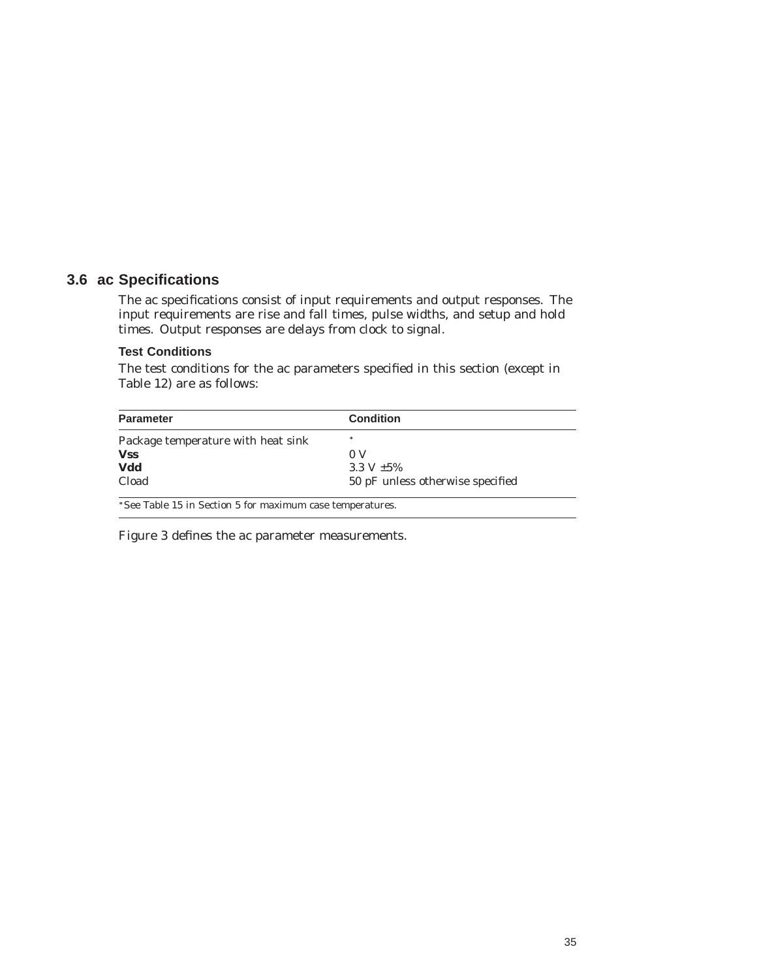#### **3.6 ac Specifications**

The ac specifications consist of input requirements and output responses. The input requirements are rise and fall times, pulse widths, and setup and hold times. Output responses are delays from clock to signal.

#### **Test Conditions**

The test conditions for the ac parameters specified in this section (except in Table 12) are as follows:

| <b>Parameter</b>                   | <b>Condition</b>                 |
|------------------------------------|----------------------------------|
| Package temperature with heat sink | *                                |
| <b>Vss</b>                         | 0 <sup>o</sup>                   |
| Vdd                                | 3.3 V $\pm 5\%$                  |
| Cload                              | 50 pF unless otherwise specified |

Figure 3 defines the ac parameter measurements.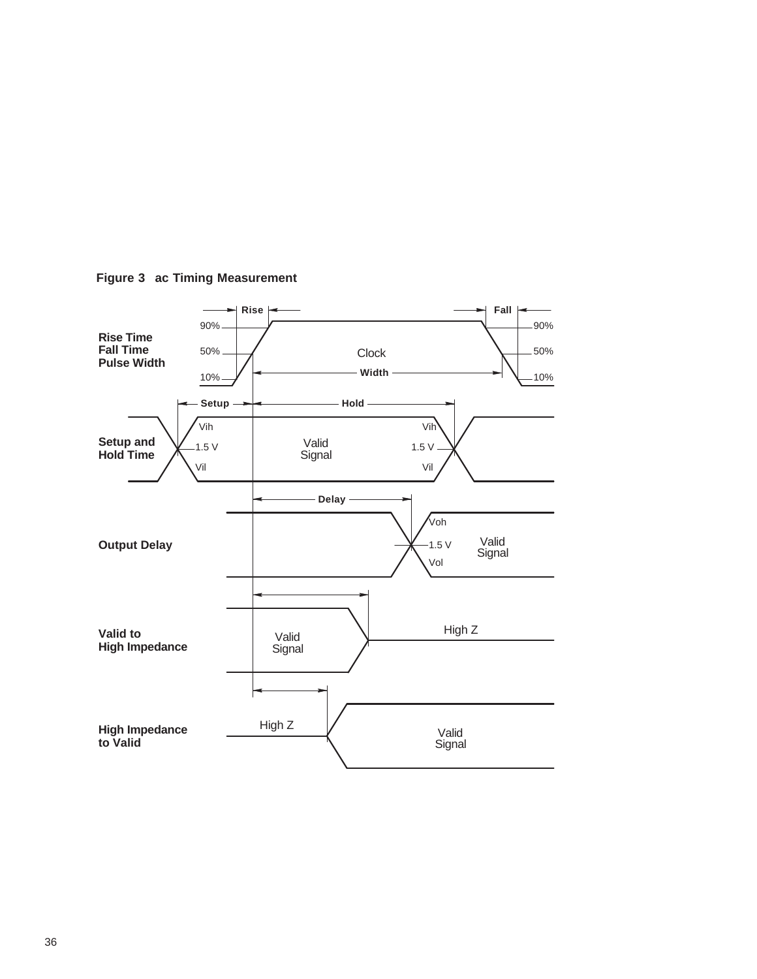

**Figure 3 ac Timing Measurement**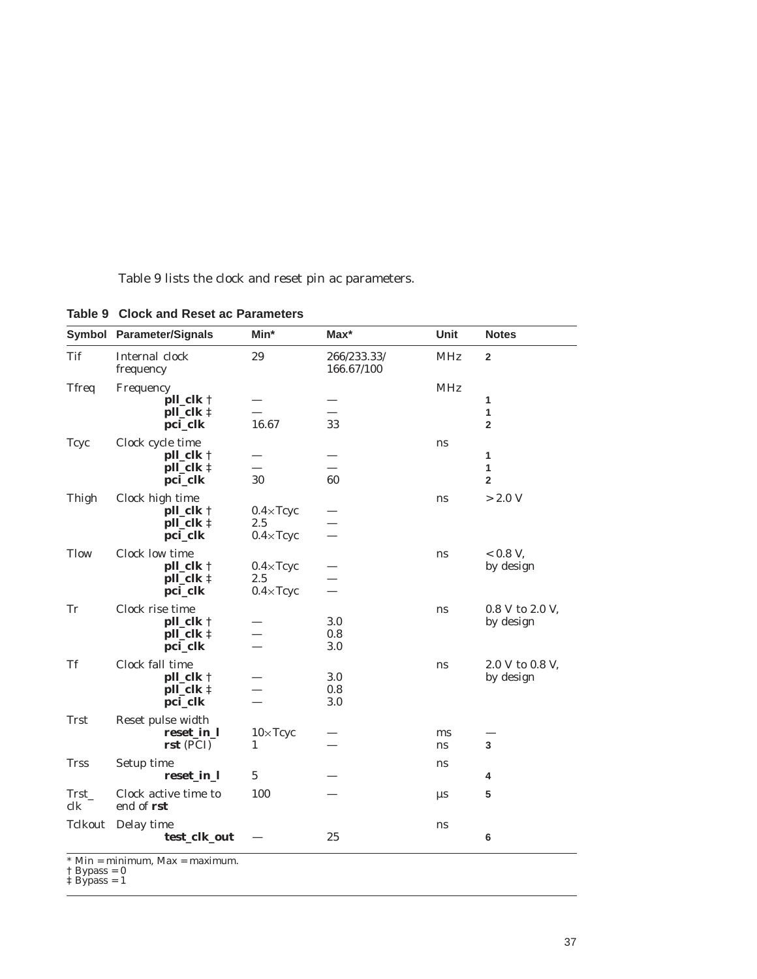Table 9 lists the clock and reset pin ac parameters.

|                       | Symbol Parameter/Signals                     | Min*                     | $Max^*$                   | Unit       | <b>Notes</b>                 |
|-----------------------|----------------------------------------------|--------------------------|---------------------------|------------|------------------------------|
| <b>Tif</b>            | Internal clock<br>frequency                  | 29                       | 266/233.33/<br>166.67/100 | <b>MHz</b> | $\overline{2}$               |
| <b>Tfreq</b>          | Frequency                                    |                          |                           | <b>MHz</b> |                              |
|                       | pll_clk †                                    |                          |                           |            | 1                            |
|                       | pll_clk ‡<br>pci_clk                         | 16.67                    | 33                        |            | $\mathbf{1}$<br>$\mathbf{2}$ |
| <b>Tcyc</b>           | Clock cycle time                             |                          |                           | ns         |                              |
|                       | pll_clk †                                    |                          |                           |            | $\mathbf{1}$                 |
|                       | pll_clk ‡                                    |                          |                           |            | $\mathbf{1}$                 |
|                       | pci_clk                                      | 30                       | 60                        |            | $\overline{2}$               |
| Thigh                 | Clock high time                              |                          |                           | ns         | > 2.0 V                      |
|                       | pll_clk †                                    | $0.4 \times Tcyc$        |                           |            |                              |
|                       | pll_clk ‡                                    | 2.5                      |                           |            |                              |
|                       | pci_clk                                      | $0.4 \times Tcyc$        | $\overline{\phantom{0}}$  |            |                              |
| <b>Tlow</b>           | Clock low time                               |                          |                           | ns         | $< 0.8 V$ .                  |
|                       | pll_clk †<br>$pll$ <sub>clk</sub> $\ddagger$ | $0.4 \times Tcyc$<br>2.5 |                           |            | by design                    |
|                       | pci_clk                                      | $0.4 \times Tcyc$        | $\overline{\phantom{0}}$  |            |                              |
| Tr                    | Clock rise time                              |                          |                           | ns         | 0.8 V to 2.0 V,              |
|                       | $pll$ <sub>clk</sub> $\dagger$               |                          | 3.0                       |            | by design                    |
|                       | pll_clk ‡                                    |                          | 0.8                       |            |                              |
|                       | pci_clk                                      |                          | 3.0                       |            |                              |
| <b>Tf</b>             | Clock fall time                              |                          |                           | ns         | 2.0 V to 0.8 V,              |
|                       | pll_clk †                                    |                          | 3.0                       |            | by design                    |
|                       | pll_clk ‡<br>pci_clk                         |                          | 0.8<br>3.0                |            |                              |
|                       |                                              |                          |                           |            |                              |
| <b>Trst</b>           | Reset pulse width                            |                          |                           |            |                              |
|                       | reset_in_l<br>$rst$ (PCI)                    | $10\times$ Tcyc<br>1     |                           | ms<br>ns   | 3                            |
| <b>Trss</b>           |                                              |                          |                           |            |                              |
|                       | Setup time<br>reset_in_l                     | $\overline{5}$           |                           | ns         | 4                            |
|                       |                                              |                          |                           |            |                              |
| Trst<br>$_{\rm{clk}}$ | Clock active time to<br>end of rst           | 100                      |                           | μs         | 5                            |
| Tclkout               | Delay time                                   |                          |                           | ns         |                              |
|                       | test_clk_out                                 |                          | 25                        |            | 6                            |
|                       |                                              |                          |                           |            |                              |

#### **Table 9 Clock and Reset ac Parameters**

\* Min = minimum, Max = maximum. † Bypass = 0 ‡ Bypass = 1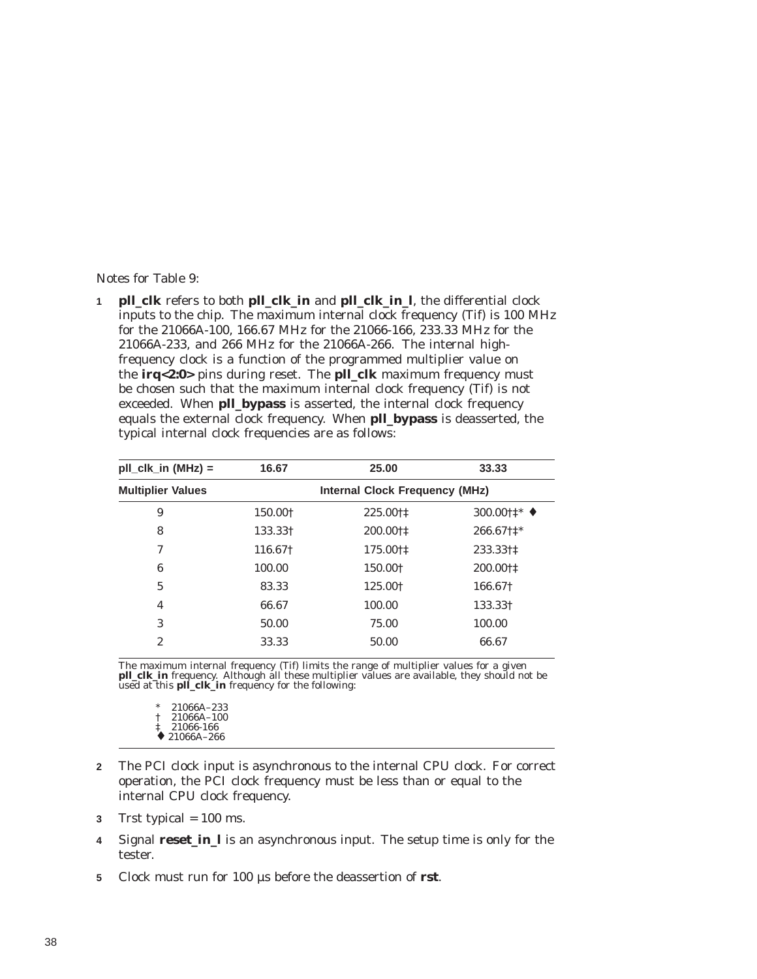Notes for Table 9:

**1 pll\_clk** refers to both **pll\_clk\_in** and **pll\_clk\_in\_l**, the differential clock inputs to the chip. The maximum internal clock frequency (Tif) is 100 MHz for the 21066A-100, 166.67 MHz for the 21066-166, 233.33 MHz for the 21066A-233, and 266 MHz for the 21066A-266. The internal highfrequency clock is a function of the programmed multiplier value on the **irq<2:0>** pins during reset. The **pll\_clk** maximum frequency must be chosen such that the maximum internal clock frequency (Tif) is not exceeded. When **pll bypass** is asserted, the internal clock frequency equals the external clock frequency. When **pll\_bypass** is deasserted, the typical internal clock frequencies are as follows:

| $pII_clk_in (MHz) =$     | 16.67                                 | 25.00    | 33.33                                        |  |  |  |
|--------------------------|---------------------------------------|----------|----------------------------------------------|--|--|--|
| <b>Multiplier Values</b> | <b>Internal Clock Frequency (MHz)</b> |          |                                              |  |  |  |
| 9                        | 150.00+                               | 225.00†‡ | 300.00 $\uparrow \uparrow^*$ $\blacklozenge$ |  |  |  |
| 8                        | 133.33†                               | 200.00†‡ | 266.67†1*                                    |  |  |  |
| 7                        | 116.67†                               | 175.00†‡ | 233.33†‡                                     |  |  |  |
| 6                        | 100.00                                | 150.00+  | 200.00†‡                                     |  |  |  |
| 5                        | 83.33                                 | 125.00+  | 166.67†                                      |  |  |  |
| 4                        | 66.67                                 | 100.00   | 133.331                                      |  |  |  |
| 3                        | 50.00                                 | 75.00    | 100.00                                       |  |  |  |
| $\overline{2}$           | 33.33                                 | 50.00    | 66.67                                        |  |  |  |
|                          |                                       |          |                                              |  |  |  |

The maximum internal frequency (Tif) limits the range of multiplier values for a given **pll\_clk\_in** frequency. Although all these multiplier values are available, they should not be used at this **pll\_clk\_in** frequency for the following:

21066A-233 † 21066A–100 ‡ 21066-166  $\div$  21066A-266

- **2** The PCI clock input is asynchronous to the internal CPU clock. For correct operation, the PCI clock frequency must be less than or equal to the internal CPU clock frequency.
- **3** Trst typical = 100 ms.
- **4** Signal **reset\_in\_l** is an asynchronous input. The setup time is only for the tester.
- **5** Clock must run for 100 µs before the deassertion of **rst**.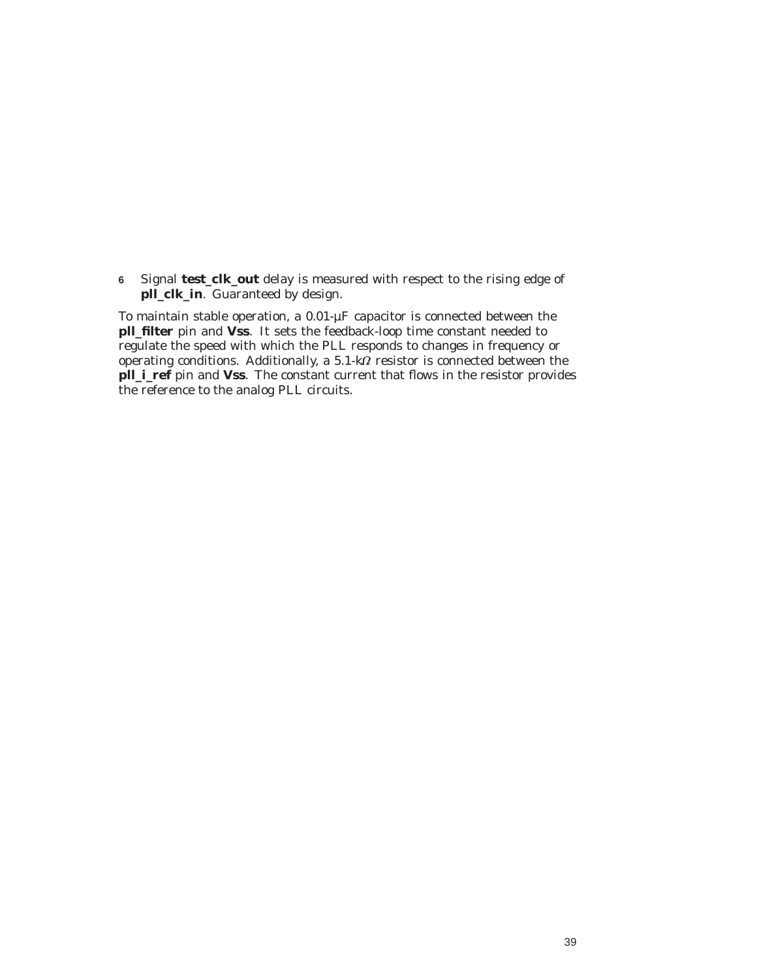**6** Signal **test\_clk\_out** delay is measured with respect to the rising edge of **pll\_clk\_in**. Guaranteed by design.

To maintain stable operation, a 0.01-µF capacitor is connected between the **pll\_filter** pin and **Vss**. It sets the feedback-loop time constant needed to regulate the speed with which the PLL responds to changes in frequency or operating conditions. Additionally, a 5.1-k $\Omega$  resistor is connected between the **pll\_i\_ref** pin and **Vss**. The constant current that flows in the resistor provides the reference to the analog PLL circuits.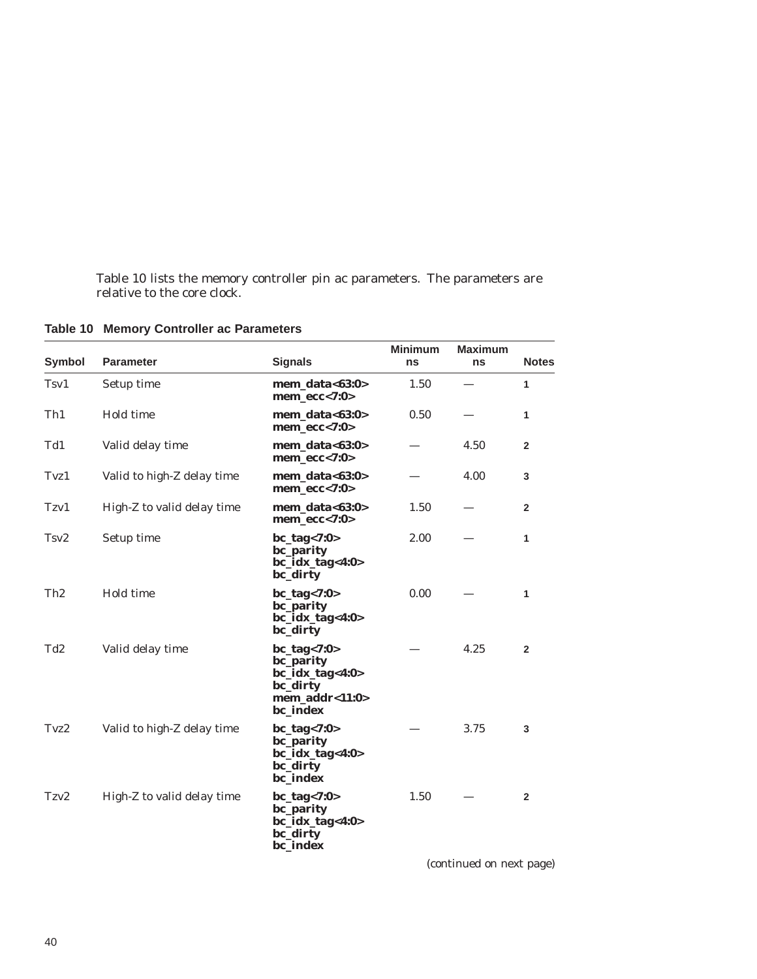Table 10 lists the memory controller pin ac parameters. The parameters are relative to the core clock.

| <b>Symbol</b>   | <b>Parameter</b>           | <b>Signals</b>                                                                                 | <b>Minimum</b><br>ns | <b>Maximum</b><br>ns | <b>Notes</b>   |
|-----------------|----------------------------|------------------------------------------------------------------------------------------------|----------------------|----------------------|----------------|
| Tsv1            | Setup time                 | mem data< $63:0>$<br>mem $ecc<7:0>$                                                            | 1.50                 |                      | 1              |
| Th <sub>1</sub> | Hold time                  | mem_data<63:0><br>$mem\_ecc<7:0>$                                                              | 0.50                 |                      | 1              |
| Td1             | Valid delay time           | $\boldsymbol{m$ em_data<63:0><br>$mem\_ecc<7:0>$                                               |                      | 4.50                 | $\mathbf{2}$   |
| Tvz1            | Valid to high-Z delay time | $\boldsymbol{m$ em_data<63:0><br>$mem\_ecc<7:0>$                                               |                      | 4.00                 | 3              |
| Tzv1            | High-Z to valid delay time | $\boldsymbol{m$ em_data<63:0><br>$mem\_ecc<7:0>$                                               | 1.50                 |                      | $\overline{2}$ |
| Tsv2            | Setup time                 | $bc\_tag < 7:0>$<br><b>bc_parity</b><br>$bc\_idx\_tag<4:0>$<br>bc_dirty                        | 2.00                 |                      | 1              |
| Th <sub>2</sub> | Hold time                  | $bc\_tag < 7:0>$<br>bc_parity<br>$bc\_idx\_tag<4:0>$<br>bc_dirty                               | 0.00                 |                      | 1              |
| Td <sub>2</sub> | Valid delay time           | $bc\_tag < 7:0>$<br>bc_parity<br>$bc\_idx\_tag<4:0>$<br>bc_dirty<br>mem_addr<11:0><br>bc index |                      | 4.25                 | $\overline{2}$ |
| Tvz2            | Valid to high-Z delay time | $bc\_tag < 7:0>$<br><b>bc_parity</b><br>$bc\_idx\_tag<4:0>$<br>bc_dirty<br>bc_index            |                      | 3.75                 | 3              |
| Tzv2            | High-Z to valid delay time | $bc\_tag < 7:0>$<br>bc_parity<br>$bc\_idx\_tag<4:0>$<br>bc_dirty<br>bc_index                   | 1.50                 |                      | $\overline{2}$ |

**Table 10 Memory Controller ac Parameters**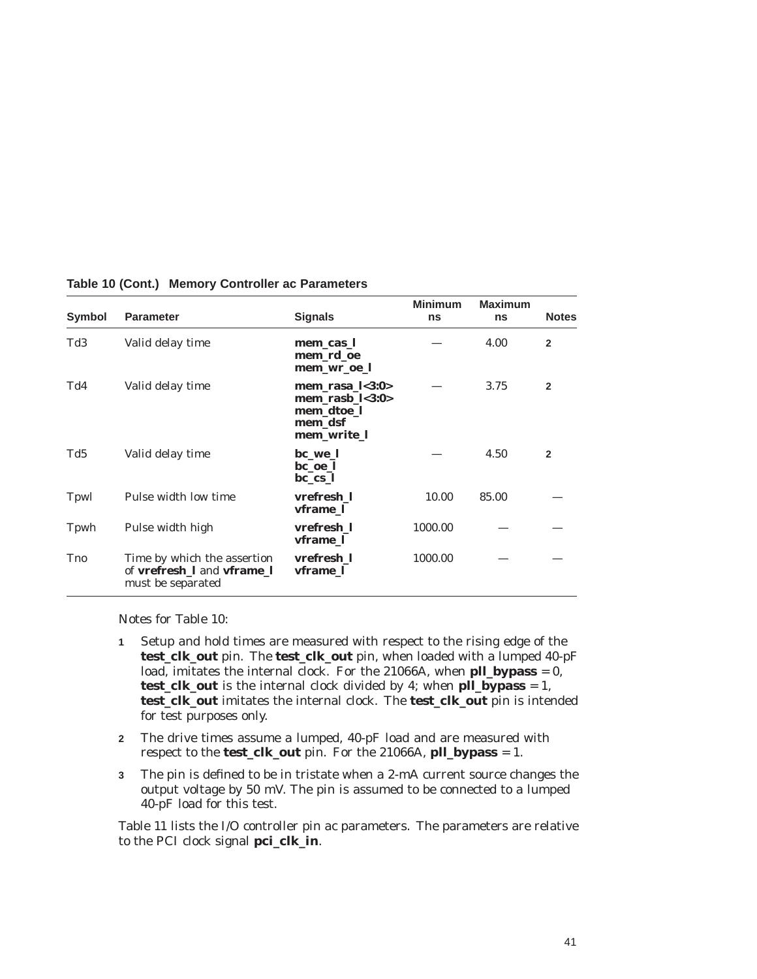| Symbol      | <b>Parameter</b>                                                                             | <b>Signals</b>                                                                   | <b>Minimum</b><br>ns | <b>Maximum</b><br>ns | <b>Notes</b>   |
|-------------|----------------------------------------------------------------------------------------------|----------------------------------------------------------------------------------|----------------------|----------------------|----------------|
| Td3         | Valid delay time                                                                             | mem_cas_l<br>mem_rd_oe<br>mem_wr_oe_l                                            |                      | 4.00                 | $\overline{2}$ |
| Td4         | Valid delay time                                                                             | mem_rasa_ $l$ <3:0><br>mem rasb $1<3:0>$<br>mem_dtoe_l<br>mem_dsf<br>mem write 1 |                      | 3.75                 | $\overline{2}$ |
| Td5         | Valid delay time                                                                             | bc we 1<br>bc oe 1<br>bc cs l                                                    |                      | 4.50                 | $\overline{2}$ |
| Tpwl        | Pulse width low time                                                                         | vrefresh 1<br>vframe 1                                                           | 10.00                | 85.00                |                |
| Tpwh        | Pulse width high                                                                             | vrefresh 1<br>vframe 1                                                           | 1000.00              |                      |                |
| <b>T</b> no | Time by which the assertion<br>of <b>vrefresh</b> I and <b>vframe</b> I<br>must be separated | vrefresh 1<br>vframe 1                                                           | 1000.00              |                      |                |

**Table 10 (Cont.) Memory Controller ac Parameters**

Notes for Table 10:

- **1** Setup and hold times are measured with respect to the rising edge of the **test\_clk\_out** pin. The **test\_clk\_out** pin, when loaded with a lumped 40-pF load, imitates the internal clock. For the 21066A, when **pll\_bypass** = 0, **test\_clk\_out** is the internal clock divided by 4; when **pll\_bypass** = 1, **test\_clk\_out** imitates the internal clock. The **test\_clk\_out** pin is intended for test purposes only.
- **2** The drive times assume a lumped, 40-pF load and are measured with respect to the **test\_clk\_out** pin. For the 21066A, **pll\_bypass** = 1.
- **3** The pin is defined to be in tristate when a 2-mA current source changes the output voltage by 50 mV. The pin is assumed to be connected to a lumped 40-pF load for this test.

Table 11 lists the I/O controller pin ac parameters. The parameters are relative to the PCI clock signal **pci\_clk\_in**.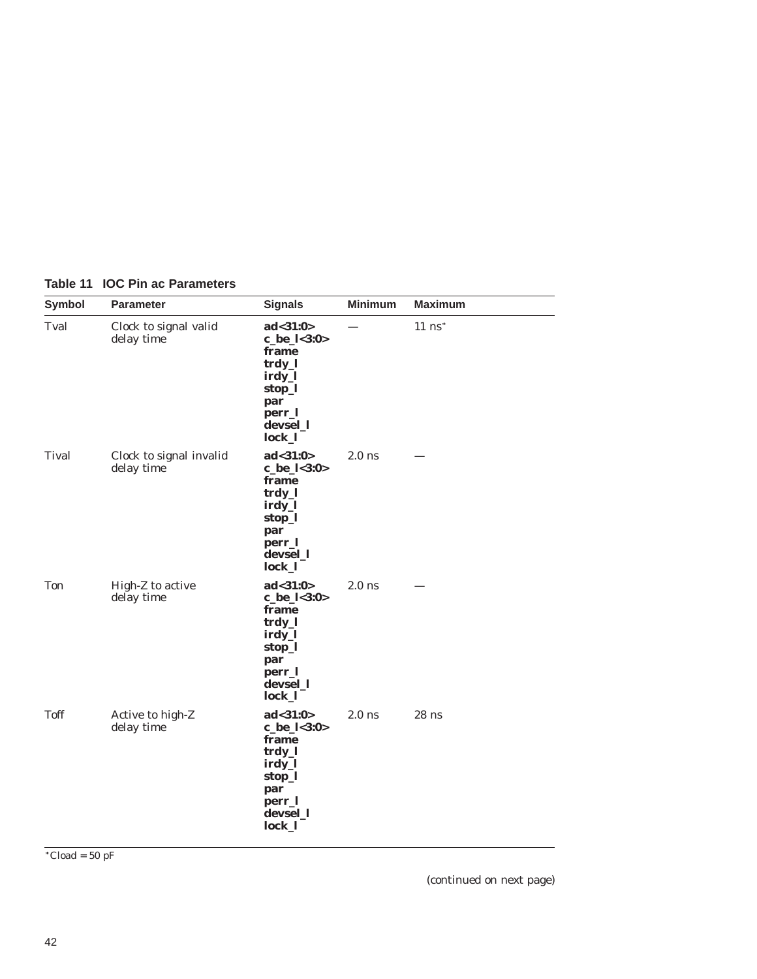| Symbol       | <b>Parameter</b>                      | <b>Signals</b>                                                                                            | <b>Minimum</b> | <b>Maximum</b>       |
|--------------|---------------------------------------|-----------------------------------------------------------------------------------------------------------|----------------|----------------------|
| Tval         | Clock to signal valid<br>delay time   | ad < 31:0><br>c_be_l<3:0><br>frame<br>trdy_l<br>irdy_l<br>stop_l<br>par<br>perr_l<br>devsel_1<br>$lock_1$ |                | $11$ ns <sup>*</sup> |
| <b>Tival</b> | Clock to signal invalid<br>delay time | ad < 31:0><br>c_be_l<3:0><br>frame<br>trdy_l<br>irdy_l<br>stop_l<br>par<br>perr_l<br>devsel_l<br>lock_l   | $2.0$ ns       |                      |
| <b>Ton</b>   | High-Z to active<br>delay time        | ad < 31:0><br>c_be_l<3:0><br>frame<br>trdy_l<br>irdy_l<br>stop_l<br>par<br>perr_l<br>devsel_l<br>lock_l   | $2.0$ ns       |                      |
| <b>Toff</b>  | Active to high-Z<br>delay time        | ad < 31:0><br>c_be_l<3:0><br>frame<br>trdy_l<br>irdy_l<br>stop_l<br>par<br>perr_l<br>devsel_1<br>lock_l   | $2.0$ ns       | $28$ ns              |

#### **Table 11 IOC Pin ac Parameters**

 $\sqrt{\text{Cloud}} = 50 \text{ pF}$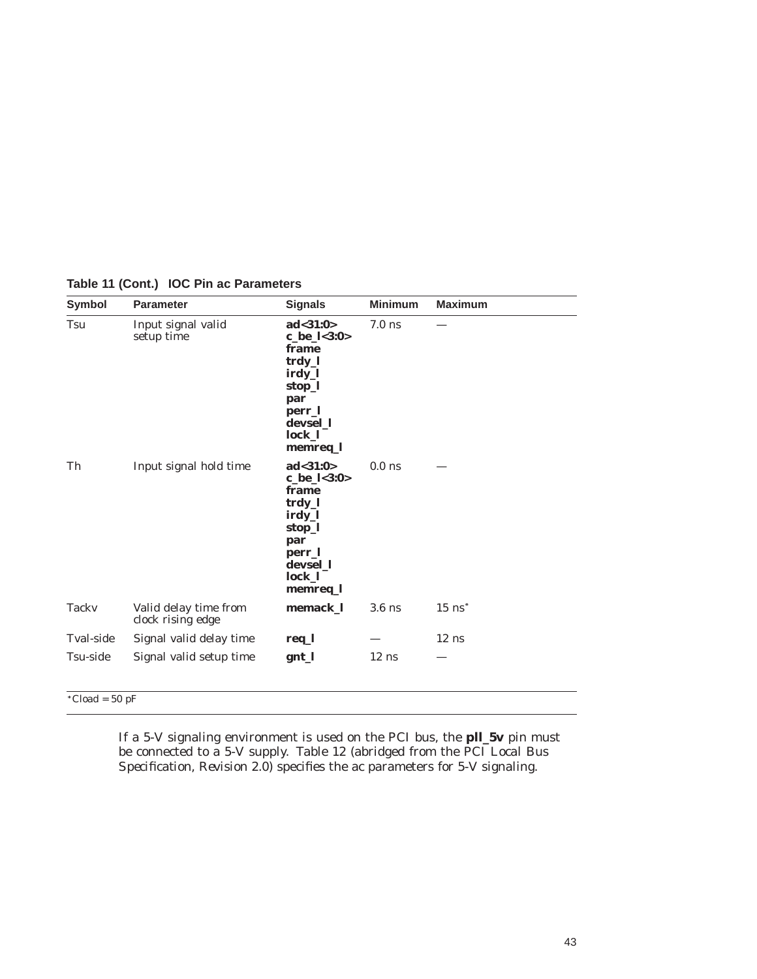| <b>Symbol</b>    | <b>Parameter</b>                           | <b>Signals</b>                                                                                                      | <b>Minimum</b> | <b>Maximum</b>       |
|------------------|--------------------------------------------|---------------------------------------------------------------------------------------------------------------------|----------------|----------------------|
| Tsu              | Input signal valid<br>setup time           | ad < 31:0><br>c_be_l<3:0><br>frame<br>trdy_l<br>irdy_l<br>stop_l<br>par<br>perr_l<br>devsel_1<br>lock_l<br>memreq_l | $7.0$ ns       |                      |
| Th               | Input signal hold time                     | ad < 31:0><br>c_be_l<3:0><br>frame<br>trdy_l<br>irdy_l<br>stop_l<br>par<br>perr_l<br>devsel 1<br>lock_l<br>memreq_l | $0.0$ ns       |                      |
| <b>Tacky</b>     | Valid delay time from<br>clock rising edge | memack_l                                                                                                            | $3.6$ ns       | $15$ ns <sup>*</sup> |
| <b>Tval-side</b> | Signal valid delay time                    | req_l                                                                                                               |                | $12$ ns              |
| Tsu-side         | Signal valid setup time                    | gnt_l                                                                                                               | $12$ ns        |                      |

### **Table 11 (Cont.) IOC Pin ac Parameters**

If a 5-V signaling environment is used on the PCI bus, the **pll\_5v** pin must be connected to a 5-V supply. Table 12 (abridged from the *PCI Local Bus Specification, Revision 2.0*) specifies the ac parameters for 5-V signaling.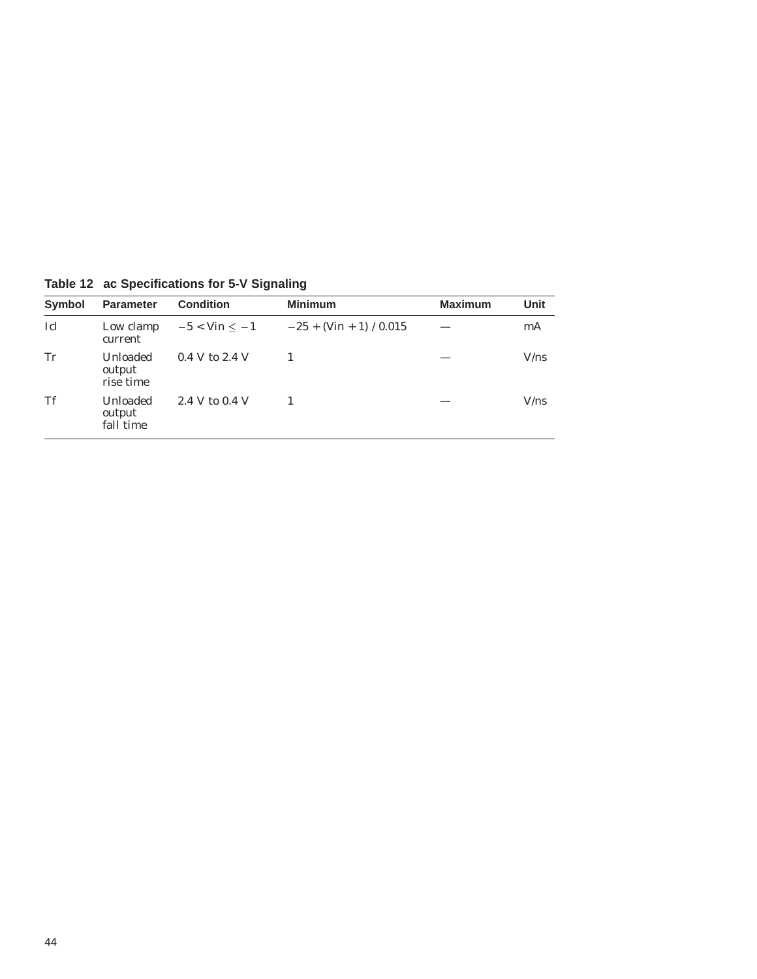| <b>Symbol</b> | <b>Parameter</b>                | <b>Condition</b>  | <b>Minimum</b>            | <b>Maximum</b> | Unit |
|---------------|---------------------------------|-------------------|---------------------------|----------------|------|
| Icl           | Low clamp<br>current            | $-5 <$ Vin $< -1$ | $-25 + (Vin + 1) / 0.015$ |                | mA   |
| Tr            | Unloaded<br>output<br>rise time | $0.4$ V to 2.4 V  |                           |                | V/ns |
| Tf            | Unloaded<br>output<br>fall time | 2.4 V to 0.4 V    |                           |                | V/ns |

**Table 12 ac Specifications for 5-V Signaling**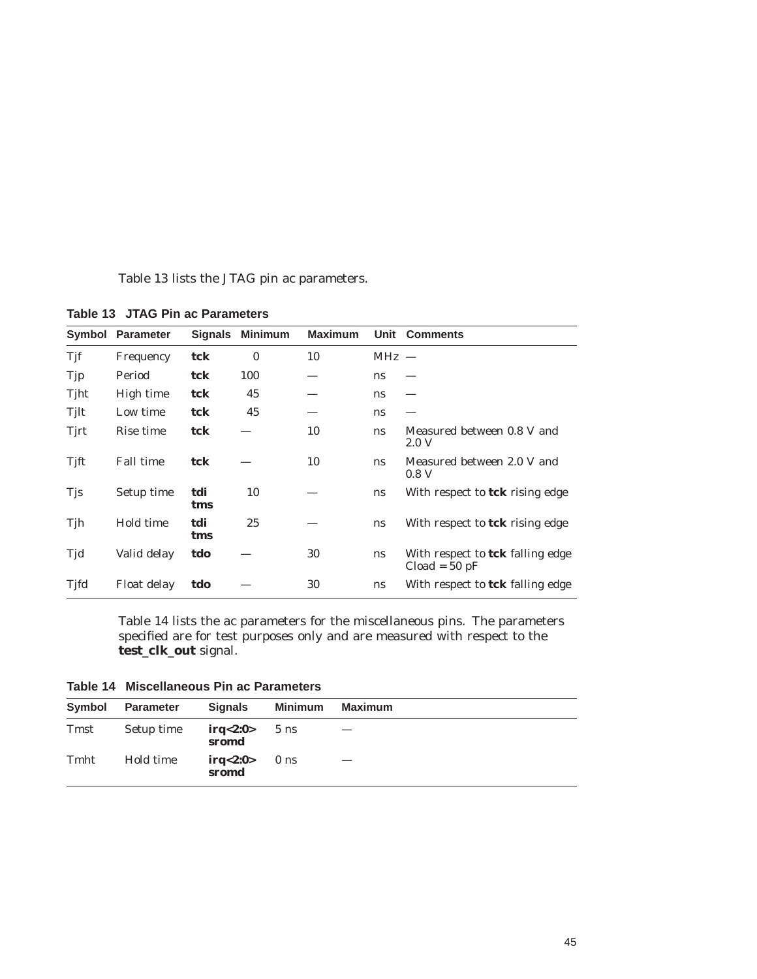Table 13 lists the JTAG pin ac parameters.

| Symbol     | <b>Parameter</b> | <b>Signals</b> | Minimum  | <b>Maximum</b> |         | Unit Comments                                       |
|------------|------------------|----------------|----------|----------------|---------|-----------------------------------------------------|
| Tjf        | Frequency        | tck            | $\bf{0}$ | 10             | $MHz -$ |                                                     |
| Tjp        | Period           | tck            | 100      |                | ns      |                                                     |
| Tjht       | High time        | tck            | 45       |                | ns      |                                                     |
| Tjlt       | Low time         | tck            | 45       |                | ns      |                                                     |
| Tirt       | Rise time        | tck            |          | 10             | ns      | Measured between 0.8 V and<br>2.0 V                 |
| Tift       | <b>Fall time</b> | tck            |          | 10             | ns      | Measured between 2.0 V and<br>0.8 <sub>V</sub>      |
| <b>Tjs</b> | Setup time       | tdi<br>tms     | 10       |                | ns      | With respect to <b>tck</b> rising edge              |
| Tjh        | Hold time        | tdi<br>tms     | 25       |                | ns      | With respect to <b>tck</b> rising edge              |
| Tjd        | Valid delay      | tdo            |          | 30             | ns      | With respect to tck falling edge<br>$Cloud = 50 pF$ |
| Tjfd       | Float delay      | tdo            |          | 30             | ns      | With respect to tck falling edge                    |

**Table 13 JTAG Pin ac Parameters**

Table 14 lists the ac parameters for the miscellaneous pins. The parameters specified are for test purposes only and are measured with respect to the **test\_clk\_out** signal.

**Table 14 Miscellaneous Pin ac Parameters**

| Symbol | Parameter  | <b>Signals</b>          | Minimum        | Maximum |
|--------|------------|-------------------------|----------------|---------|
| Tmst   | Setup time | irq<2:0><br>sromd       | $5 \text{ ns}$ |         |
| Tmht   | Hold time  | $irq<2:0>0$ ns<br>sromd |                |         |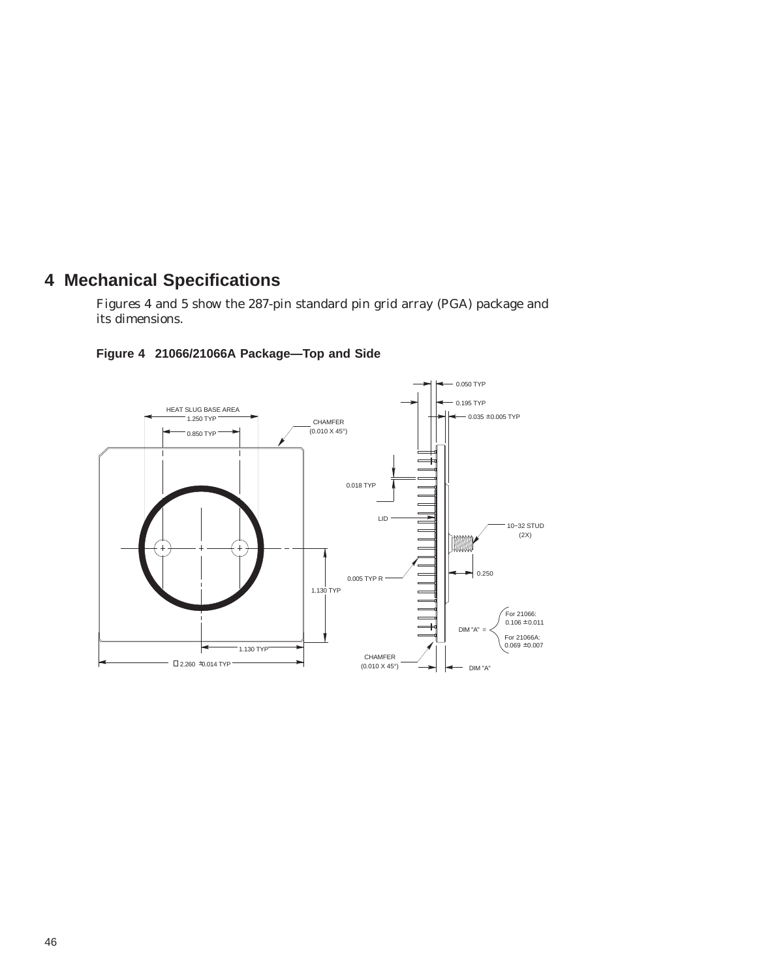## **4 Mechanical Specifications**

Figures 4 and 5 show the 287-pin standard pin grid array (PGA) package and its dimensions.



#### **Figure 4 21066/21066A Package—Top and Side**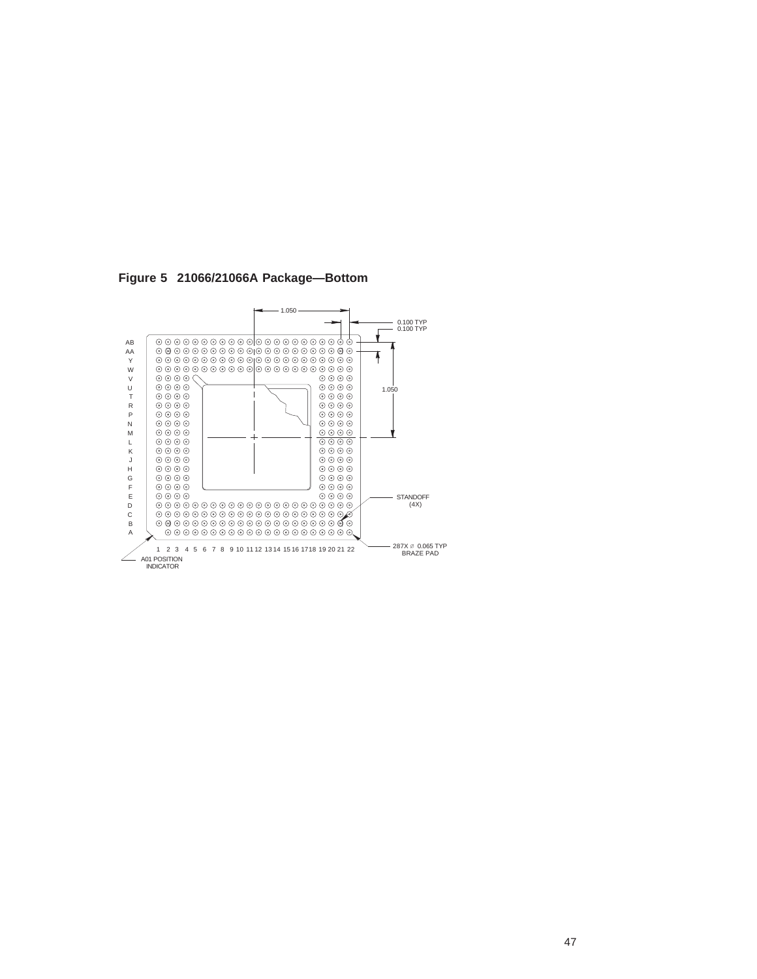

**Figure 5 21066/21066A Package—Bottom**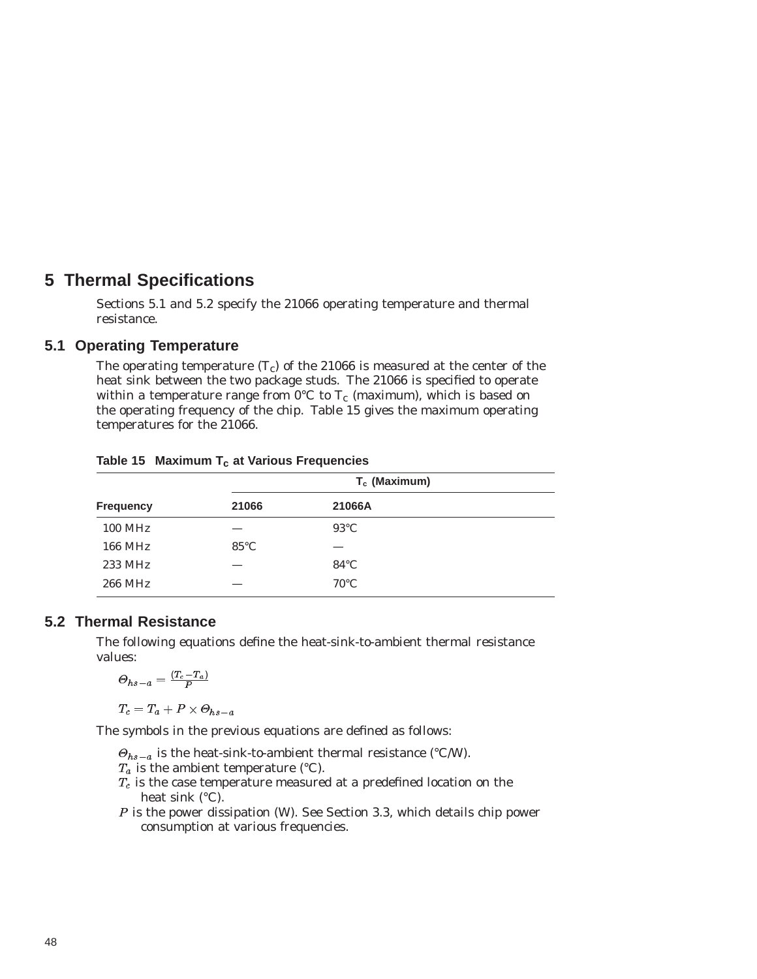## **5 Thermal Specifications**

Sections 5.1 and 5.2 specify the 21066 operating temperature and thermal resistance.

#### **5.1 Operating Temperature**

The operating temperature  $(T_c)$  of the 21066 is measured at the center of the heat sink between the two package studs. The 21066 is specified to operate within a temperature range from  $0^{\circ}C$  to  $T_c$  (maximum), which is based on the operating frequency of the chip. Table 15 gives the maximum operating temperatures for the 21066.

|                  | T <sub>c</sub> (Maximum) |                |  |  |
|------------------|--------------------------|----------------|--|--|
| <b>Frequency</b> | 21066                    | 21066A         |  |  |
| <b>100 MHz</b>   |                          | $93^{\circ}$ C |  |  |
| 166 MHz          | $85^{\circ}$ C           |                |  |  |
| 233 MHz          |                          | $84^{\circ}$ C |  |  |
| 266 MHz          |                          | $70^{\circ}$ C |  |  |

#### Table 15 Maximum T<sub>c</sub> at Various Frequencies

#### **5.2 Thermal Resistance**

The following equations define the heat-sink-to-ambient thermal resistance values:

$$
\varTheta_{hs-a}=\tfrac{(T_c-T_a)}{P}
$$

 $T_c = T_a + P \times \Theta_{hs-a}$ 

The symbols in the previous equations are defined as follows:

- $\Theta_{hs-a}$  is the heat-sink-to-ambient thermal resistance (°C/W).
- $T_a$  is the ambient temperature (°C).
- $T_c$  is the case temperature measured at a predefined location on the heat sink (°C).
- P is the power dissipation (W). See Section 3.3, which details chip power consumption at various frequencies.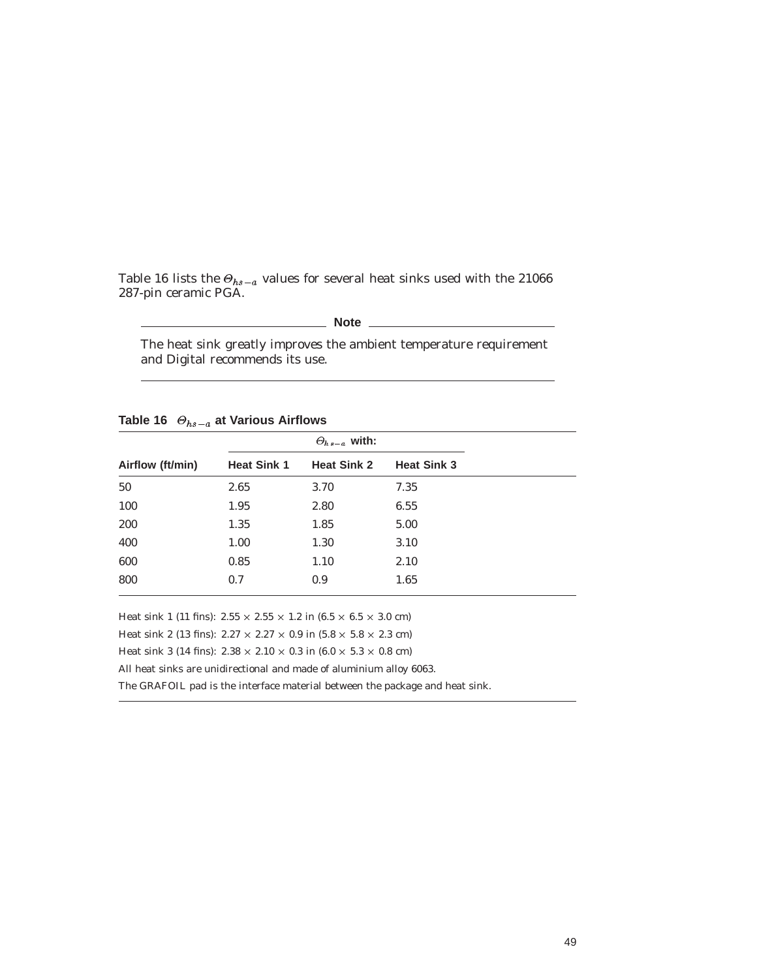Table 16 lists the  $\Theta_{hs-a}$  values for several heat sinks used with the 21066 287-pin ceramic PGA.

### **Note**

The heat sink greatly improves the ambient temperature requirement and Digital recommends its use.

|                  |                    | $\Theta_{hs-a}$ with: |                    |  |
|------------------|--------------------|-----------------------|--------------------|--|
| Airflow (ft/min) | <b>Heat Sink 1</b> | <b>Heat Sink 2</b>    | <b>Heat Sink 3</b> |  |
| 50               | 2.65               | 3.70                  | 7.35               |  |
| 100              | 1.95               | 2.80                  | 6.55               |  |
| 200              | 1.35               | 1.85                  | 5.00               |  |
| 400              | 1.00               | 1.30                  | 3.10               |  |
| 600              | 0.85               | 1.10                  | 2.10               |  |
| 800              | 0.7                | 0.9                   | 1.65               |  |

Table 16  $\Theta_{hs-a}$  at Various Airflows

Heat sink 1 (11 fins):  $2.55 \times 2.55 \times 1.2$  in  $(6.5 \times 6.5 \times 3.0 \text{ cm})$ 

Heat sink 2 (13 fins):  $2.27 \times 2.27 \times 0.9$  in  $(5.8 \times 5.8 \times 2.3$  cm)

Heat sink 3 (14 fins):  $2.38 \times 2.10 \times 0.3$  in  $(6.0 \times 5.3 \times 0.8$  cm)

All heat sinks are unidirectional and made of aluminium alloy 6063.

The GRAFOIL pad is the interface material between the package and heat sink.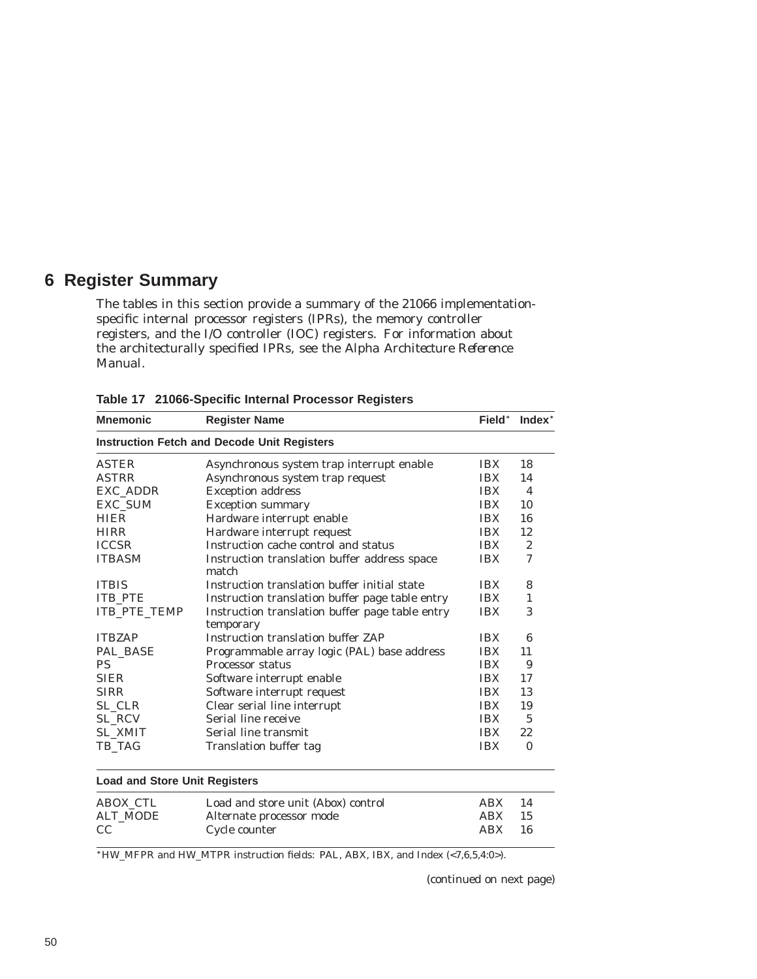## **6 Register Summary**

The tables in this section provide a summary of the 21066 implementationspecific internal processor registers (IPRs), the memory controller registers, and the I/O controller (IOC) registers. For information about the architecturally specified IPRs, see the *Alpha Architecture Reference Manual*.

| <b>Mnemonic</b>                      | <b>Register Name</b>                                         | Field*     | Index <sup>*</sup> |
|--------------------------------------|--------------------------------------------------------------|------------|--------------------|
|                                      | <b>Instruction Fetch and Decode Unit Registers</b>           |            |                    |
| <b>ASTER</b>                         | Asynchronous system trap interrupt enable                    | <b>IBX</b> | 18                 |
| <b>ASTRR</b>                         | Asynchronous system trap request                             | <b>IBX</b> | 14                 |
| EXC_ADDR                             | <b>Exception address</b>                                     | <b>IBX</b> | $\overline{4}$     |
| <b>EXC SUM</b>                       | <b>Exception summary</b>                                     | <b>IBX</b> | 10                 |
| <b>HIER</b>                          | Hardware interrupt enable                                    | <b>IBX</b> | 16                 |
| <b>HIRR</b>                          | Hardware interrupt request                                   | <b>IBX</b> | 12                 |
| <b>ICCSR</b>                         | Instruction cache control and status                         | <b>IBX</b> | $\overline{2}$     |
| <b>ITBASM</b>                        | Instruction translation buffer address space<br>match        | <b>IBX</b> | 7                  |
| <b>ITBIS</b>                         | Instruction translation buffer initial state                 | <b>IBX</b> | 8                  |
| <b>ITB PTE</b>                       | Instruction translation buffer page table entry              | <b>IBX</b> | $\mathbf{1}$       |
| ITB_PTE_TEMP                         | Instruction translation buffer page table entry<br>temporary | <b>IBX</b> | 3                  |
| <b>ITBZAP</b>                        | <b>Instruction translation buffer ZAP</b>                    | <b>IBX</b> | 6                  |
| PAL BASE                             | Programmable array logic (PAL) base address                  | <b>IBX</b> | 11                 |
| <b>PS</b>                            | Processor status                                             | <b>IBX</b> | 9                  |
| <b>SIER</b>                          | Software interrupt enable                                    | <b>IBX</b> | 17                 |
| <b>SIRR</b>                          | Software interrupt request                                   | <b>IBX</b> | 13                 |
| SL_CLR                               | Clear serial line interrupt                                  | <b>IBX</b> | 19                 |
| SL_RCV                               | Serial line receive                                          | <b>IBX</b> | $\overline{5}$     |
| <b>SL XMIT</b>                       | Serial line transmit                                         | <b>IBX</b> | 22                 |
| TB_TAG                               | <b>Translation buffer tag</b>                                | <b>IBX</b> | $\Omega$           |
| <b>Load and Store Unit Registers</b> |                                                              |            |                    |
| ABOX CTL                             | Load and store unit (Abox) control                           | ABX        | 14                 |
| <b>ALT_MODE</b>                      | Alternate processor mode                                     | <b>ABX</b> | 15                 |
| CC                                   | Cycle counter                                                | <b>ABX</b> | 16                 |

**Table 17 21066-Specific Internal Processor Registers**

 $HW_M$ FPR and HW\_MTPR instruction fields: PAL, ABX, IBX, and Index (<7,6,5,4:0>).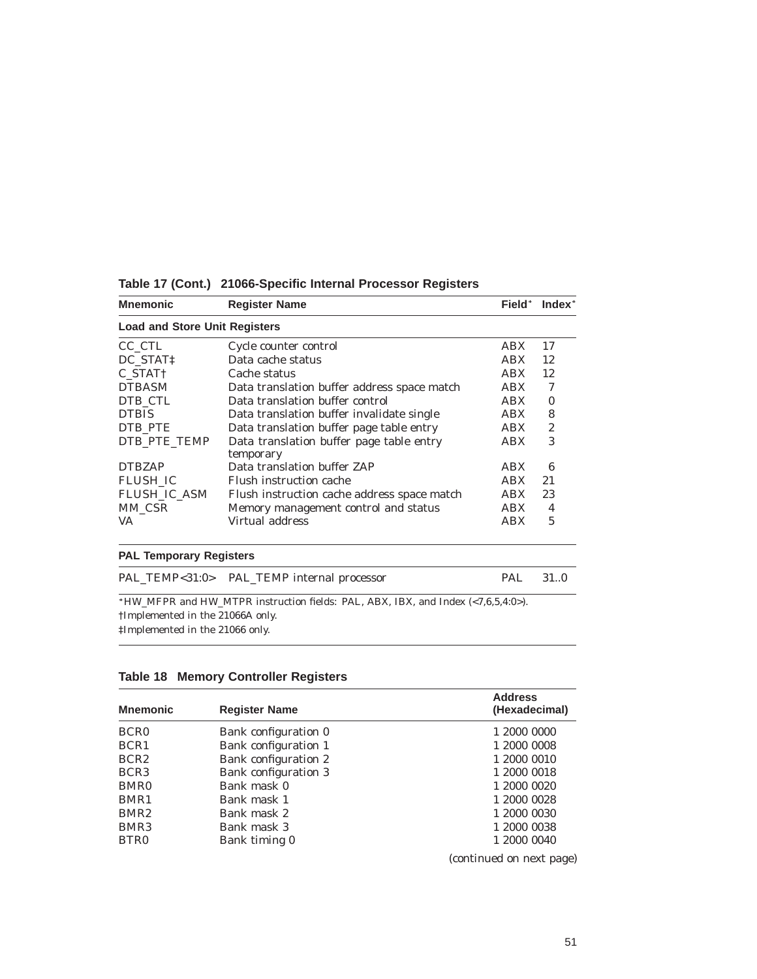| <b>Mnemonic</b>                      | <b>Register Name</b>                        | <b>Field</b> * | Index <sup>*</sup> |
|--------------------------------------|---------------------------------------------|----------------|--------------------|
| <b>Load and Store Unit Registers</b> |                                             |                |                    |
| CC CTL                               | Cycle counter control                       | ABX            | 17                 |
| DC STAT <sub>1</sub>                 | Data cache status                           | <b>ABX</b>     | 12                 |
| C STAT <sub>†</sub>                  | Cache status                                | <b>ABX</b>     | 12                 |
| <b>DTBASM</b>                        | Data translation buffer address space match | <b>ABX</b>     | 7                  |
| DTB_CTL                              | Data translation buffer control             | <b>ABX</b>     | 0                  |
| <b>DTBIS</b>                         | Data translation buffer invalidate single   | <b>ABX</b>     | 8                  |
| DTB PTE                              | Data translation buffer page table entry    | <b>ABX</b>     | 2                  |
| DTB PTE TEMP                         | Data translation buffer page table entry    | <b>ABX</b>     | 3                  |
|                                      | temporary                                   |                |                    |
| <b>DTBZAP</b>                        | Data translation buffer ZAP                 | ABX            | 6                  |
| <b>FLUSH IC</b>                      | Flush instruction cache                     | <b>ABX</b>     | 21                 |
| <b>FLUSH IC ASM</b>                  | Flush instruction cache address space match | <b>ABX</b>     | 23                 |
| MM CSR                               | Memory management control and status        | <b>ABX</b>     | 4                  |
| VA                                   | Virtual address                             | <b>ABX</b>     | 5                  |
|                                      |                                             |                |                    |

**Table 17 (Cont.) 21066-Specific Internal Processor Registers**

#### **PAL Temporary Registers**

|                                  | PAL_TEMP<31:0> PAL_TEMP internal processor                                                     | PAL. | $-31.0$ |
|----------------------------------|------------------------------------------------------------------------------------------------|------|---------|
|                                  | *HW MFPR and HW MTPR instruction fields: PAL, ABX, IBX, and Index $\langle$ < 7, 6, 5, 4: 0>). |      |         |
| †Implemented in the 21066A only. |                                                                                                |      |         |

‡Implemented in the 21066 only.

### **Table 18 Memory Controller Registers**

| <b>Mnemonic</b>  | <b>Register Name</b> | <b>Address</b><br>(Hexadecimal) |
|------------------|----------------------|---------------------------------|
| <b>BCR0</b>      | Bank configuration 0 | 1 2000 0000                     |
| BCR <sub>1</sub> | Bank configuration 1 | 1 2000 0008                     |
| BCR <sub>2</sub> | Bank configuration 2 | 1 2000 0010                     |
| BCR <sub>3</sub> | Bank configuration 3 | 1 2000 0018                     |
| BMR <sub>0</sub> | Bank mask 0          | 1 2000 0020                     |
| BMR1             | Bank mask 1          | 1 2000 0028                     |
| BMR <sub>2</sub> | Bank mask 2          | 1 2000 0030                     |
| BMR <sub>3</sub> | Bank mask 3          | 1 2000 0038                     |
| BTR <sub>0</sub> | Bank timing 0        | 1 2000 0040                     |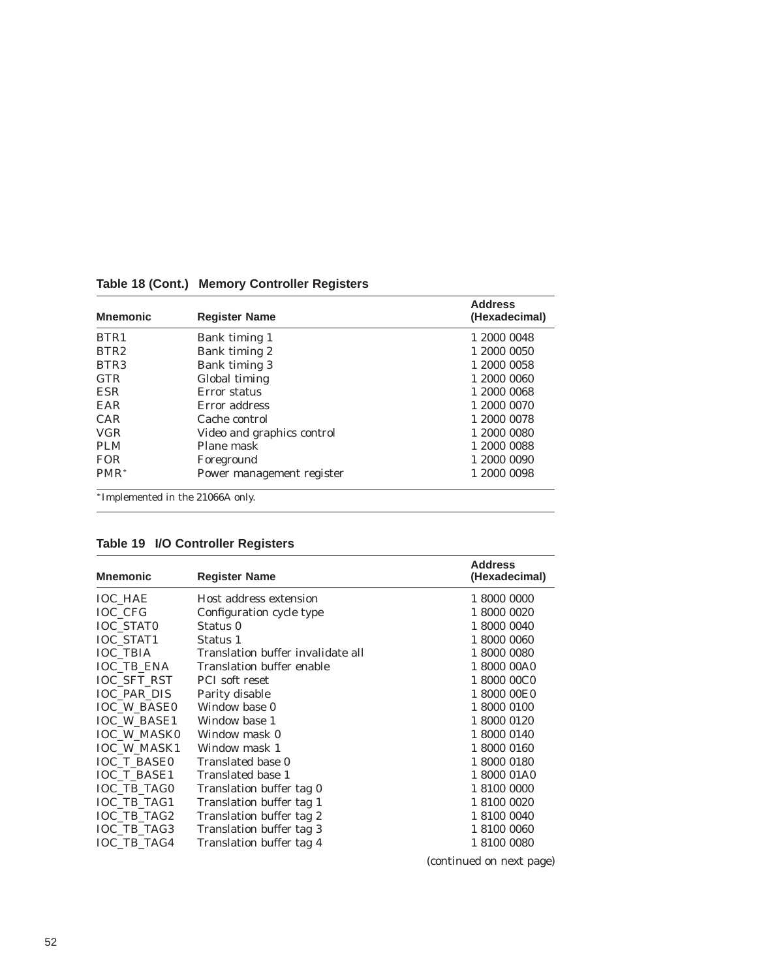| <b>Mnemonic</b>  | <b>Register Name</b>             | <b>Address</b><br>(Hexadecimal) |
|------------------|----------------------------------|---------------------------------|
| BTR1             | Bank timing 1                    | 1 2000 0048                     |
| BTR <sub>2</sub> | Bank timing 2                    | 1 2000 0050                     |
| BTR <sub>3</sub> | Bank timing 3                    | 1 2000 0058                     |
| <b>GTR</b>       | Global timing                    | 1 2000 0060                     |
| <b>ESR</b>       | Error status                     | 1 2000 0068                     |
| EAR              | Error address                    | 1 2000 0070                     |
| CAR              | Cache control                    | 1 2000 0078                     |
| <b>VGR</b>       | Video and graphics control       | 1 2000 0080                     |
| <b>PLM</b>       | Plane mask                       | 1 2000 0088                     |
| <b>FOR</b>       | Foreground                       | 1 2000 0090                     |
| PMR <sup>*</sup> | Power management register        | 1 2000 0098                     |
|                  | *Implemented in the 21066A only. |                                 |

**Table 18 (Cont.) Memory Controller Registers**

| Table 19 I/O Controller Registers |  |  |
|-----------------------------------|--|--|
|-----------------------------------|--|--|

| <b>Mnemonic</b>    | <b>Register Name</b>              | <b>Address</b><br>(Hexadecimal) |
|--------------------|-----------------------------------|---------------------------------|
| <b>IOC HAE</b>     | Host address extension            | 1 8000 0000                     |
| <b>IOC CFG</b>     | Configuration cycle type          | 1 8000 0020                     |
| <b>IOC STATO</b>   | Status 0                          | 1 8000 0040                     |
| <b>IOC_STAT1</b>   | Status 1                          | 1 8000 0060                     |
| <b>IOC_TBIA</b>    | Translation buffer invalidate all | 1 8000 0080                     |
| <b>IOC TB ENA</b>  | Translation buffer enable         | 1 8000 00A0                     |
| <b>IOC SFT RST</b> | <b>PCI</b> soft reset             | 1 8000 00C0                     |
| <b>IOC PAR DIS</b> | Parity disable                    | 1 8000 00E0                     |
| <b>IOC W BASE0</b> | Window base 0                     | 1 8000 0100                     |
| <b>IOC W BASE1</b> | Window base 1                     | 1 8000 0120                     |
| <b>IOC W MASK0</b> | Window mask 0                     | 1 8000 0140                     |
| <b>IOC W MASK1</b> | Window mask 1                     | 1 8000 0160                     |
| <b>IOC T BASE0</b> | Translated base 0                 | 1 8000 0180                     |
| <b>IOC T BASE1</b> | Translated base 1                 | 1 8000 01A0                     |
| <b>IOC TB TAG0</b> | Translation buffer tag 0          | 1 8100 0000                     |
| IOC_TB_TAG1        | Translation buffer tag 1          | 1 8100 0020                     |
| IOC TB TAG2        | Translation buffer tag 2          | 1 8100 0040                     |
| IOC TB TAG3        | Translation buffer tag 3          | 1 8100 0060                     |
| IOC_TB_TAG4        | Translation buffer tag 4          | 1 8100 0080                     |
|                    |                                   |                                 |

(continued on next page)

 $\overline{\phantom{0}}$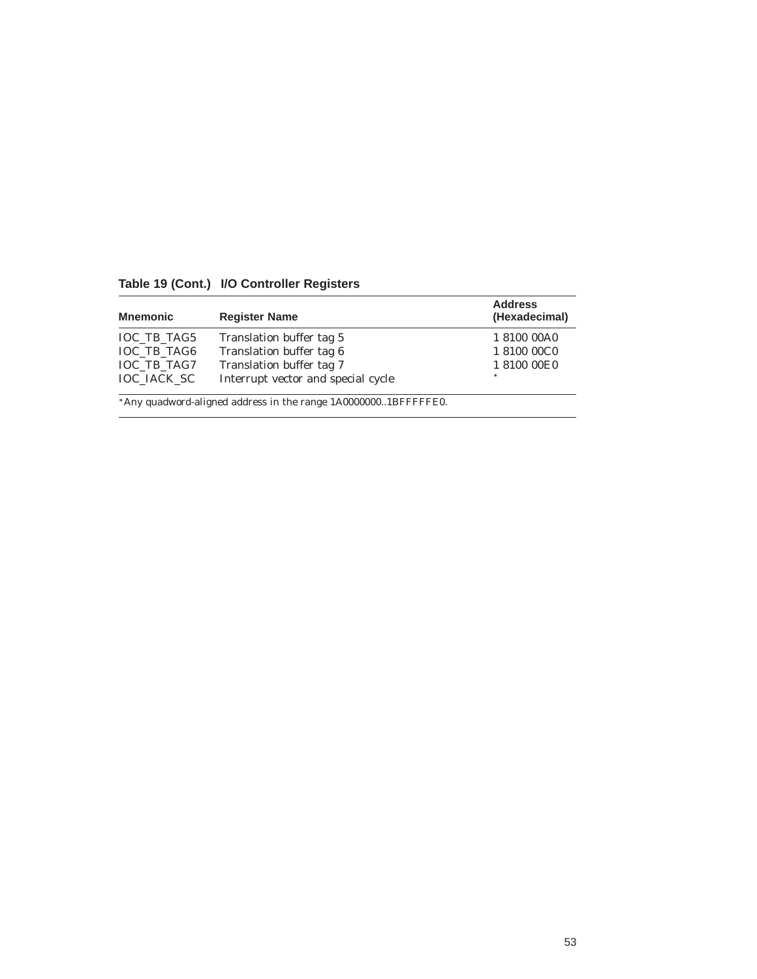| <b>Mnemonic</b>    | <b>Register Name</b>                                           | <b>Address</b><br>(Hexadecimal) |
|--------------------|----------------------------------------------------------------|---------------------------------|
| IOC TB TAG5        | Translation buffer tag 5                                       | 1 8100 00A0                     |
| <b>IOC TB TAG6</b> | Translation buffer tag 6                                       | 1810000C0                       |
| IOC_TB_TAG7        | Translation buffer tag 7                                       | 1 8100 00E0                     |
| <b>IOC IACK SC</b> | Interrupt vector and special cycle                             | sk.                             |
|                    | *Any quadword-aligned address in the range 1A00000001BFFFFFE0. |                                 |

**Table 19 (Cont.) I/O Controller Registers**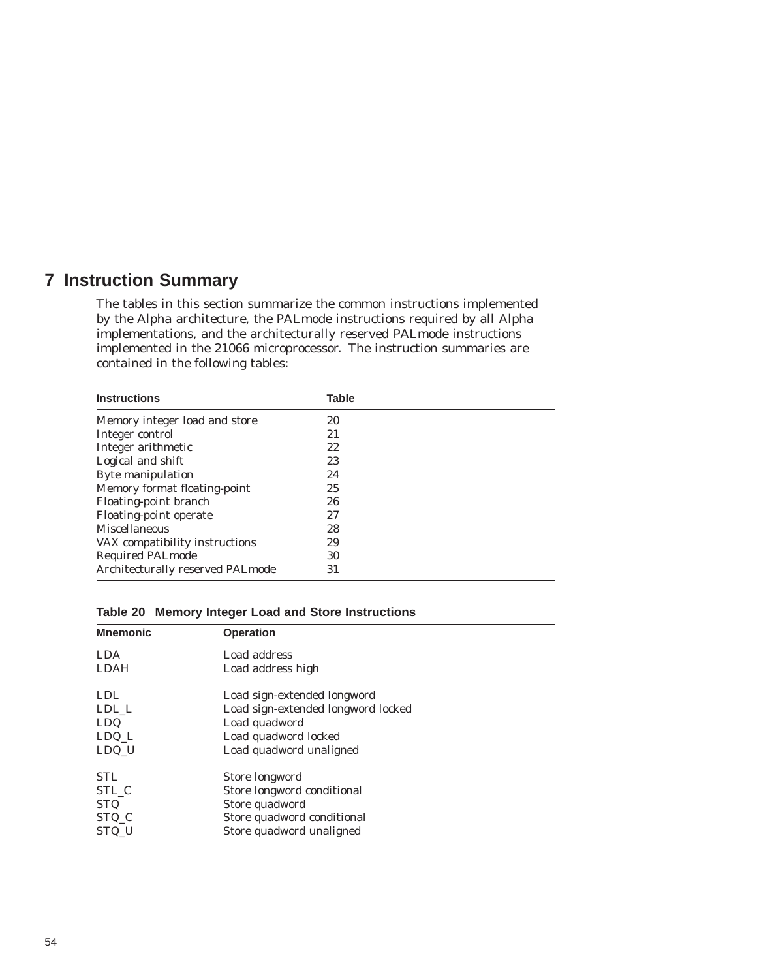## **7 Instruction Summary**

The tables in this section summarize the common instructions implemented by the Alpha architecture, the PALmode instructions required by all Alpha implementations, and the architecturally reserved PALmode instructions implemented in the 21066 microprocessor. The instruction summaries are contained in the following tables:

| <b>Instructions</b>              | <b>Table</b> |
|----------------------------------|--------------|
| Memory integer load and store    | 20           |
| Integer control                  | 21           |
| Integer arithmetic               | 22           |
| Logical and shift                | 23           |
| Byte manipulation                | 24           |
| Memory format floating-point     | 25           |
| Floating-point branch            | 26           |
| Floating-point operate           | 27           |
| <b>Miscellaneous</b>             | 28           |
| VAX compatibility instructions   | 29           |
| <b>Required PALmode</b>          | 30           |
| Architecturally reserved PALmode | 31           |

| Table 20 Memory Integer Load and Store Instructions |
|-----------------------------------------------------|
|-----------------------------------------------------|

| <b>Mnemonic</b> | <b>Operation</b>                   |
|-----------------|------------------------------------|
| <b>LDA</b>      | Load address                       |
| <b>LDAH</b>     | Load address high                  |
| <b>LDL</b>      | Load sign-extended longword        |
| LDL L           | Load sign-extended longword locked |
| <b>LDQ</b>      | Load quadword                      |
| $LDQ_L$         | Load quadword locked               |
| LDQ U           | Load quadword unaligned            |
| <b>STL</b>      | Store longword                     |
| STL C           | Store longword conditional         |
| <b>STQ</b>      | Store quadword                     |
| STQ_C           | Store quadword conditional         |
| STQ_U           | Store quadword unaligned           |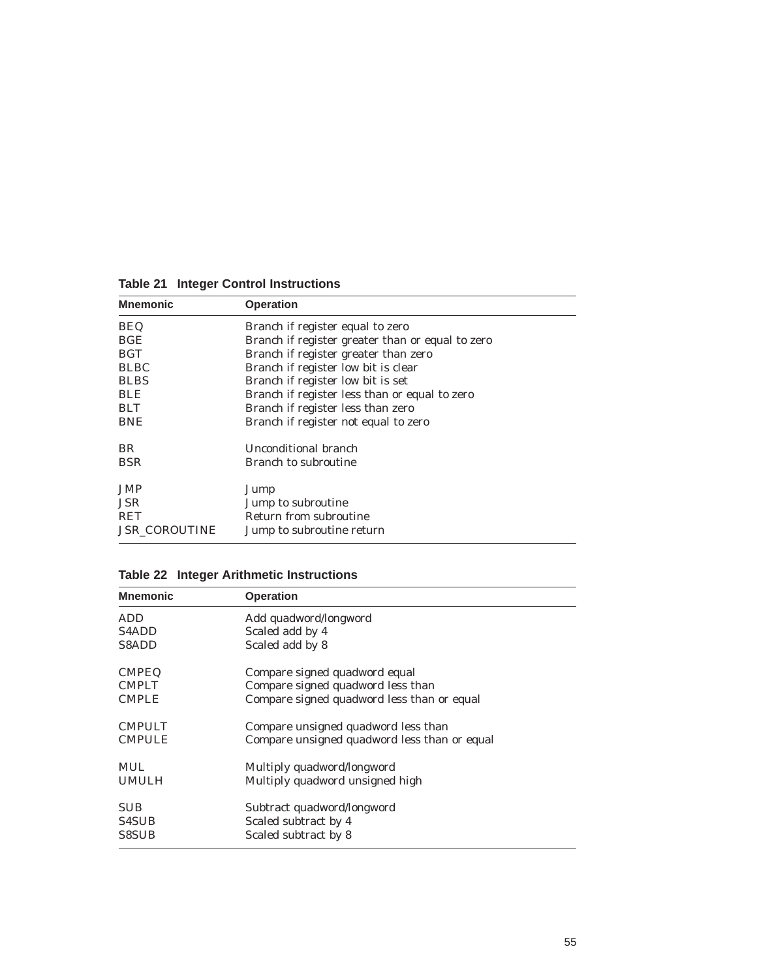| <b>Operation</b>                                 |
|--------------------------------------------------|
| Branch if register equal to zero                 |
| Branch if register greater than or equal to zero |
| Branch if register greater than zero             |
| Branch if register low bit is clear              |
| Branch if register low bit is set                |
| Branch if register less than or equal to zero    |
| Branch if register less than zero                |
| Branch if register not equal to zero             |
| Unconditional branch                             |
| Branch to subroutine                             |
| Jump                                             |
| Jump to subroutine                               |
| Return from subroutine                           |
| Jump to subroutine return                        |
|                                                  |

**Table 21 Integer Control Instructions**

### **Table 22 Integer Arithmetic Instructions**

| <b>Mnemonic</b> | <b>Operation</b>                             |
|-----------------|----------------------------------------------|
| <b>ADD</b>      | Add quadword/longword                        |
| <b>S4ADD</b>    | Scaled add by 4                              |
| <b>S8ADD</b>    | Scaled add by 8                              |
| <b>CMPEQ</b>    | Compare signed quadword equal                |
| <b>CMPLT</b>    | Compare signed quadword less than            |
| <b>CMPLE</b>    | Compare signed quadword less than or equal   |
| <b>CMPULT</b>   | Compare unsigned quadword less than          |
| <b>CMPULE</b>   | Compare unsigned quadword less than or equal |
| <b>MUL</b>      | Multiply quadword/longword                   |
| <b>UMULH</b>    | Multiply quadword unsigned high              |
| <b>SUB</b>      | Subtract quadword/longword                   |
| <b>S4SUB</b>    | Scaled subtract by 4                         |
| <b>S8SUB</b>    | Scaled subtract by 8                         |
|                 |                                              |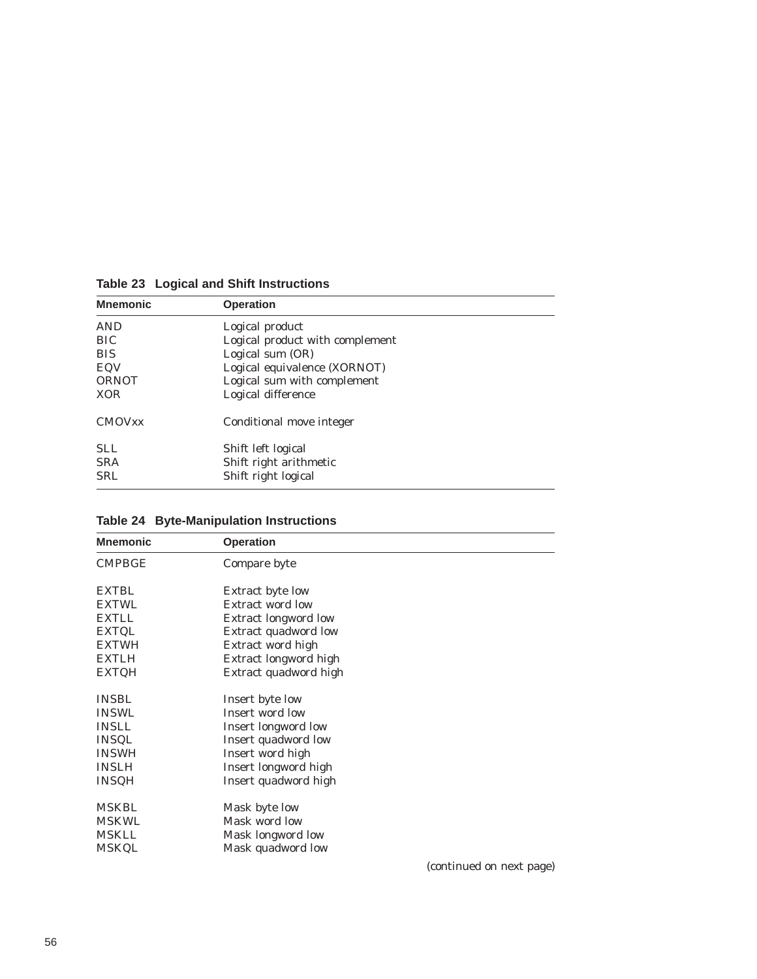| <b>Mnemonic</b> | <b>Operation</b>                |
|-----------------|---------------------------------|
| <b>AND</b>      | Logical product                 |
| <b>BIC</b>      | Logical product with complement |
| <b>BIS</b>      | Logical sum (OR)                |
| EQV             | Logical equivalence (XORNOT)    |
| <b>ORNOT</b>    | Logical sum with complement     |
| <b>XOR</b>      | Logical difference              |
| <b>CMOVXX</b>   | Conditional move integer        |
| <b>SLL</b>      | Shift left logical              |
| <b>SRA</b>      | Shift right arithmetic          |
| <b>SRL</b>      | Shift right logical             |

**Table 23 Logical and Shift Instructions**

| <b>Mnemonic</b> | <b>Operation</b>            |                          |
|-----------------|-----------------------------|--------------------------|
| <b>CMPBGE</b>   | Compare byte                |                          |
| <b>EXTBL</b>    | Extract byte low            |                          |
| <b>EXTWL</b>    | <b>Extract word low</b>     |                          |
| <b>EXTLL</b>    | <b>Extract longword low</b> |                          |
| <b>EXTQL</b>    | Extract quadword low        |                          |
| <b>EXTWH</b>    | Extract word high           |                          |
| <b>EXTLH</b>    | Extract longword high       |                          |
| <b>EXTQH</b>    | Extract quadword high       |                          |
| <b>INSBL</b>    | Insert byte low             |                          |
| <b>INSWL</b>    | Insert word low             |                          |
| <b>INSLL</b>    | Insert longword low         |                          |
| <b>INSQL</b>    | Insert quadword low         |                          |
| <b>INSWH</b>    | Insert word high            |                          |
| <b>INSLH</b>    | Insert longword high        |                          |
| <b>INSQH</b>    | Insert quadword high        |                          |
| <b>MSKBL</b>    | Mask byte low               |                          |
| <b>MSKWL</b>    | Mask word low               |                          |
| <b>MSKLL</b>    | Mask longword low           |                          |
| <b>MSKQL</b>    | Mask quadword low           |                          |
|                 |                             | (continued on nove name) |

**Table 24 Byte-Manipulation Instructions**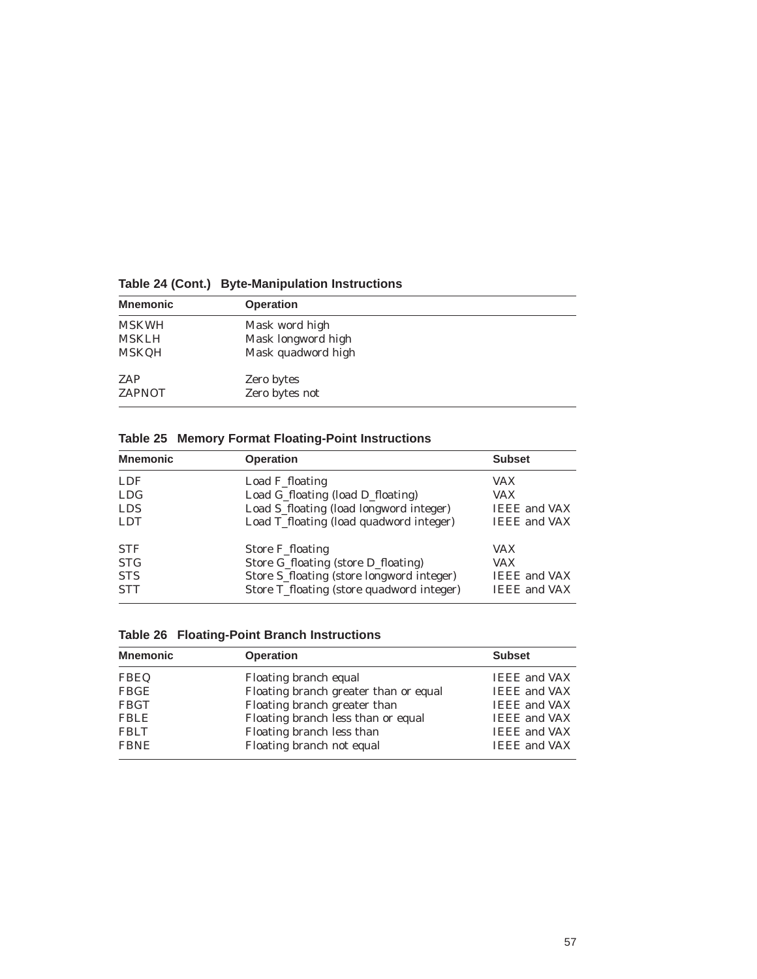| <b>Mnemonic</b> | <b>Operation</b>   |
|-----------------|--------------------|
| <b>MSKWH</b>    | Mask word high     |
| <b>MSKLH</b>    | Mask longword high |
| <b>MSKQH</b>    | Mask quadword high |
| ZAP             | Zero bytes         |
| <b>ZAPNOT</b>   | Zero bytes not     |

**Table 24 (Cont.) Byte-Manipulation Instructions**

## **Table 25 Memory Format Floating-Point Instructions**

| <b>Mnemonic</b> | <b>Operation</b>                          | <b>Subset</b>       |
|-----------------|-------------------------------------------|---------------------|
| <b>LDF</b>      | Load F_floating                           | <b>VAX</b>          |
| <b>LDG</b>      | Load G_floating (load D_floating)         | VAX                 |
| <b>LDS</b>      | Load S_floating (load longword integer)   | <b>IEEE</b> and VAX |
| <b>LDT</b>      | Load T_floating (load quadword integer)   | <b>IEEE</b> and VAX |
| <b>STF</b>      | Store F_floating                          | <b>VAX</b>          |
| <b>STG</b>      | Store G_floating (store D_floating)       | <b>VAX</b>          |
| <b>STS</b>      | Store S_floating (store longword integer) | <b>IEEE</b> and VAX |
| <b>STT</b>      | Store T_floating (store quadword integer) | <b>IEEE</b> and VAX |

| <b>Table 26 Floating-Point Branch Instructions</b> |  |
|----------------------------------------------------|--|
|                                                    |  |

| <b>Mnemonic</b> | <b>Operation</b>                      | <b>Subset</b>       |
|-----------------|---------------------------------------|---------------------|
| <b>FBEQ</b>     | Floating branch equal                 | <b>IEEE</b> and VAX |
| <b>FBGE</b>     | Floating branch greater than or equal | <b>IEEE</b> and VAX |
| <b>FBGT</b>     | Floating branch greater than          | <b>IEEE</b> and VAX |
| <b>FBLE</b>     | Floating branch less than or equal    | <b>IEEE</b> and VAX |
| <b>FBLT</b>     | Floating branch less than             | <b>IEEE</b> and VAX |
| <b>FBNE</b>     | Floating branch not equal             | <b>IEEE</b> and VAX |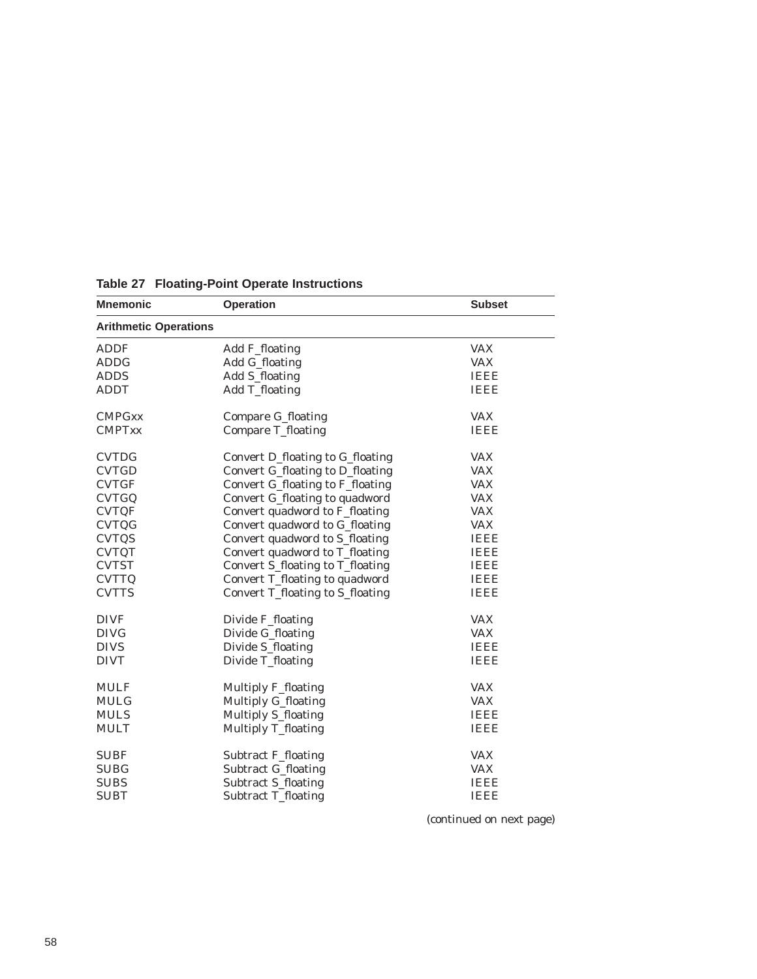| <b>Mnemonic</b>              | <b>Operation</b>                 | <b>Subset</b> |
|------------------------------|----------------------------------|---------------|
| <b>Arithmetic Operations</b> |                                  |               |
| <b>ADDF</b>                  | Add F_floating                   | <b>VAX</b>    |
| <b>ADDG</b>                  | Add G_floating                   | <b>VAX</b>    |
| <b>ADDS</b>                  | <b>Add S_floating</b>            | <b>IEEE</b>   |
| <b>ADDT</b>                  | <b>Add T_floating</b>            | <b>IEEE</b>   |
| <b>CMPGxx</b>                | <b>Compare G_floating</b>        | <b>VAX</b>    |
| <b>CMPTxx</b>                | <b>Compare T_floating</b>        | <b>IEEE</b>   |
| <b>CVTDG</b>                 | Convert D_floating to G_floating | <b>VAX</b>    |
| <b>CVTGD</b>                 | Convert G_floating to D_floating | <b>VAX</b>    |
| <b>CVTGF</b>                 | Convert G_floating to F_floating | <b>VAX</b>    |
| <b>CVTGQ</b>                 | Convert G_floating to quadword   | <b>VAX</b>    |
| <b>CVTQF</b>                 | Convert quadword to F_floating   | <b>VAX</b>    |
| <b>CVTQG</b>                 | Convert quadword to G_floating   | <b>VAX</b>    |
| <b>CVTQS</b>                 | Convert quadword to S_floating   | <b>IEEE</b>   |
| <b>CVTQT</b>                 | Convert quadword to T_floating   | <b>IEEE</b>   |
| <b>CVTST</b>                 | Convert S_floating to T_floating | <b>IEEE</b>   |
| <b>CVTTQ</b>                 | Convert T_floating to quadword   | <b>IEEE</b>   |
| <b>CVTTS</b>                 | Convert T_floating to S_floating | <b>IEEE</b>   |
| <b>DIVF</b>                  | Divide F_floating                | <b>VAX</b>    |
| <b>DIVG</b>                  | Divide G_floating                | <b>VAX</b>    |
| <b>DIVS</b>                  | Divide S_floating                | <b>IEEE</b>   |
| <b>DIVT</b>                  | Divide T_floating                | <b>IEEE</b>   |
| <b>MULF</b>                  | Multiply F_floating              | <b>VAX</b>    |
| <b>MULG</b>                  | <b>Multiply G_floating</b>       | <b>VAX</b>    |
| <b>MULS</b>                  | <b>Multiply S_floating</b>       | <b>IEEE</b>   |
| <b>MULT</b>                  | Multiply T_floating              | <b>IEEE</b>   |
| <b>SUBF</b>                  | <b>Subtract F_floating</b>       | <b>VAX</b>    |
| <b>SUBG</b>                  | <b>Subtract G_floating</b>       | <b>VAX</b>    |
| <b>SUBS</b>                  | Subtract S_floating              | <b>IEEE</b>   |
| <b>SUBT</b>                  | Subtract T_floating              | <b>IEEE</b>   |
|                              |                                  |               |

**Table 27 Floating-Point Operate Instructions**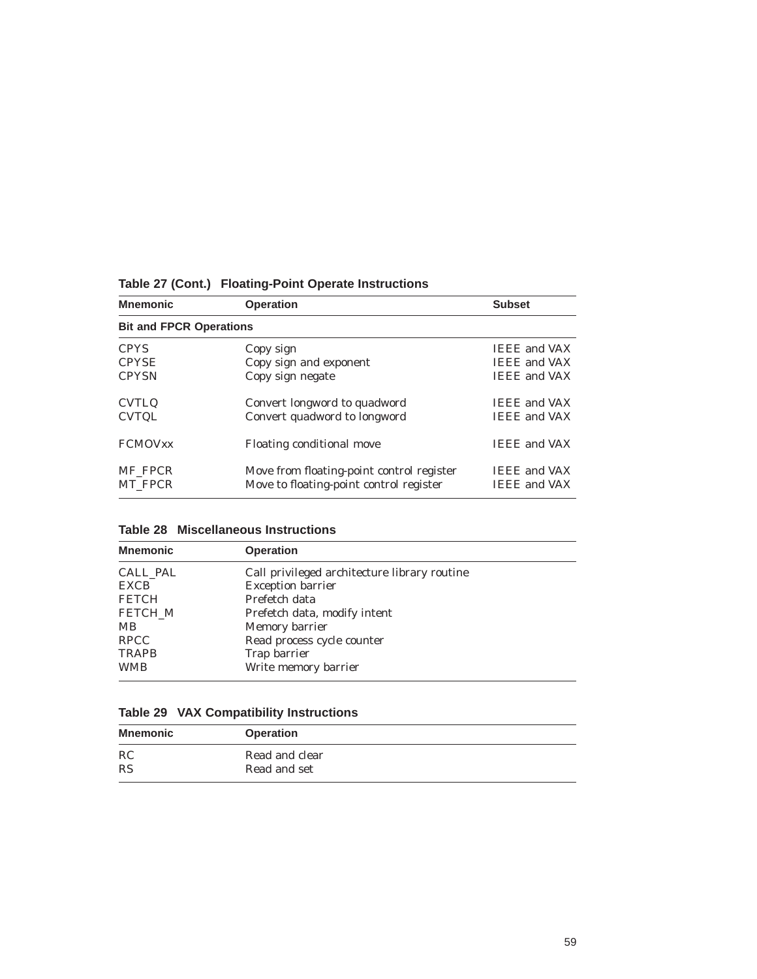| <b>Operation</b>                                                                     | <b>Subset</b>                              |
|--------------------------------------------------------------------------------------|--------------------------------------------|
| <b>Bit and FPCR Operations</b>                                                       |                                            |
| Copy sign                                                                            | <b>IEEE</b> and VAX                        |
| Copy sign and exponent                                                               | <b>IEEE</b> and VAX                        |
| Copy sign negate                                                                     | <b>IEEE</b> and VAX                        |
| Convert longword to quadword                                                         | <b>IEEE</b> and VAX                        |
| Convert quadword to longword                                                         | <b>IEEE</b> and VAX                        |
| Floating conditional move                                                            | <b>IEEE</b> and VAX                        |
| Move from floating-point control register<br>Move to floating-point control register | <b>IEEE</b> and VAX<br><b>IEEE</b> and VAX |
|                                                                                      |                                            |

**Table 27 (Cont.) Floating-Point Operate Instructions**

| <b>Table 28 Miscellaneous Instructions</b> |
|--------------------------------------------|
|--------------------------------------------|

| <b>Mnemonic</b> | <b>Operation</b>                             |  |
|-----------------|----------------------------------------------|--|
| CALL_PAL        | Call privileged architecture library routine |  |
| EXCB            | <b>Exception barrier</b>                     |  |
| <b>FETCH</b>    | Prefetch data                                |  |
| <b>FETCH M</b>  | Prefetch data, modify intent                 |  |
| MВ              | Memory barrier                               |  |
| <b>RPCC</b>     | Read process cycle counter                   |  |
| <b>TRAPB</b>    | Trap barrier                                 |  |
| <b>WMB</b>      | Write memory barrier                         |  |

|  |  |  | <b>Table 29 VAX Compatibility Instructions</b> |
|--|--|--|------------------------------------------------|
|--|--|--|------------------------------------------------|

| <b>Mnemonic</b> | <b>Operation</b> |
|-----------------|------------------|
| RC              | Read and clear   |
| <b>RS</b>       | Read and set     |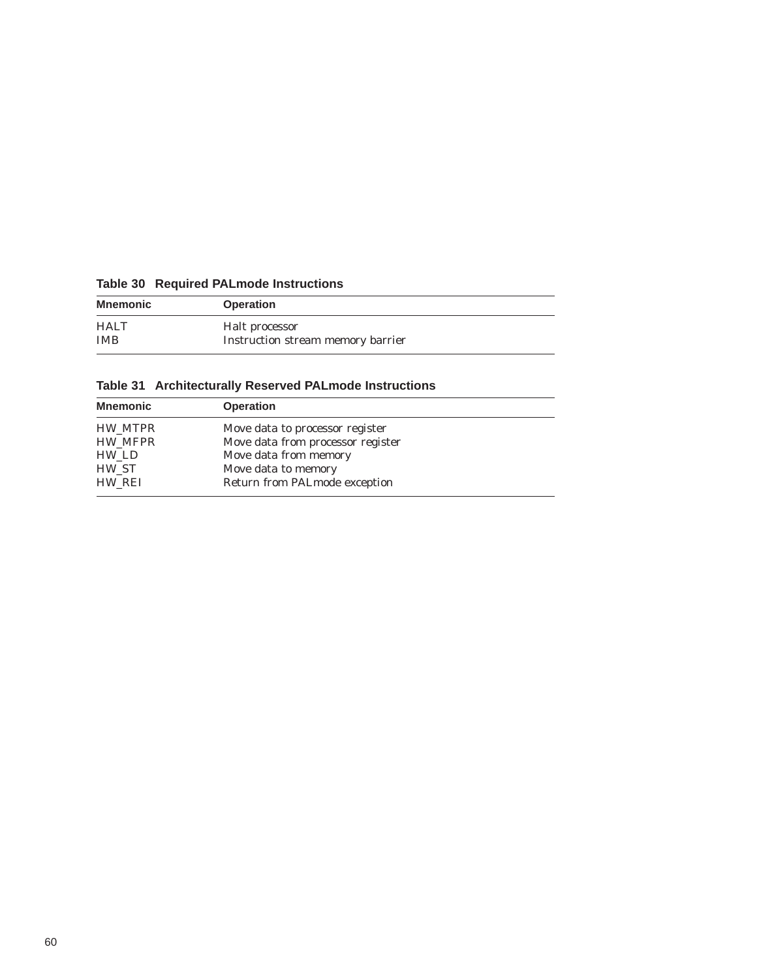|  |  | <b>Table 30 Required PALmode Instructions</b> |
|--|--|-----------------------------------------------|
|--|--|-----------------------------------------------|

| Mnemonic    | <b>Operation</b>                  |
|-------------|-----------------------------------|
| <b>HALT</b> | Halt processor                    |
| <b>IMB</b>  | Instruction stream memory barrier |

**Table 31 Architecturally Reserved PALmode Instructions**

| <b>Mnemonic</b> | <b>Operation</b>                  |
|-----------------|-----------------------------------|
| HW MTPR         | Move data to processor register   |
| HW MFPR         | Move data from processor register |
| HW LD           | Move data from memory             |
| HW ST           | Move data to memory               |
| HW REI          | Return from PALmode exception     |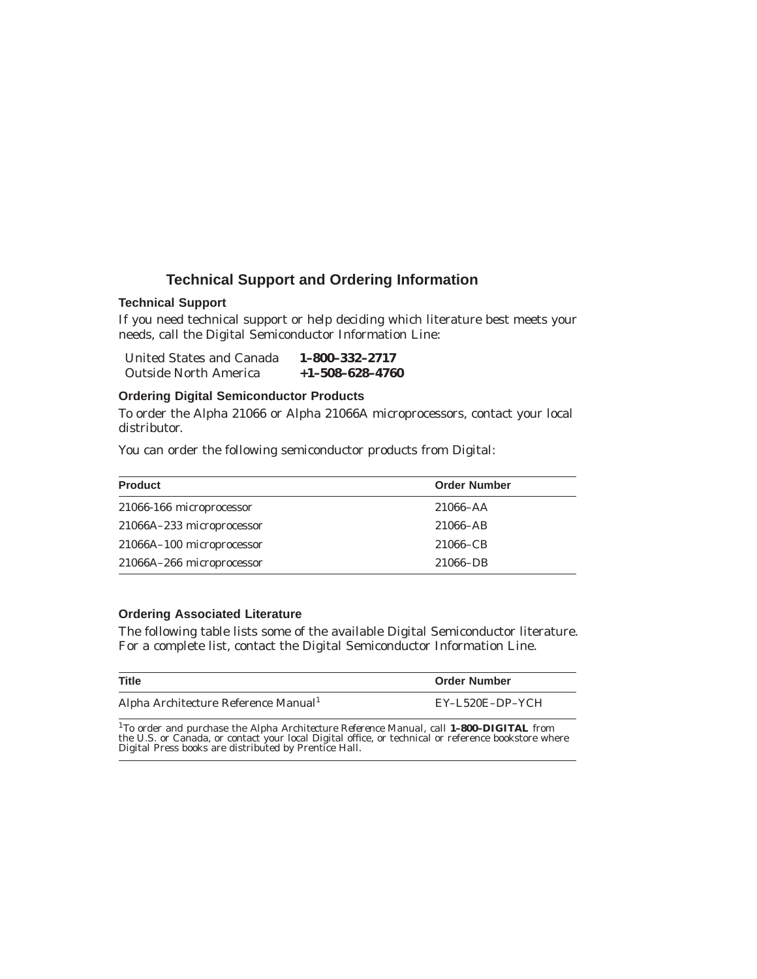### **Technical Support and Ordering Information**

#### **Technical Support**

If you need technical support or help deciding which literature best meets your needs, call the Digital Semiconductor Information Line:

| United States and Canada     | 1-800-332-2717    |
|------------------------------|-------------------|
| <b>Outside North America</b> | $+1-508-628-4760$ |

#### **Ordering Digital Semiconductor Products**

To order the Alpha 21066 or Alpha 21066A microprocessors, contact your local distributor.

You can order the following semiconductor products from Digital:

| <b>Product</b>            | <b>Order Number</b> |
|---------------------------|---------------------|
| 21066-166 microprocessor  | $21066 - AA$        |
| 21066A-233 microprocessor | 21066-AB            |
| 21066A-100 microprocessor | 21066–CB            |
| 21066A-266 microprocessor | 21066-DB            |

#### **Ordering Associated Literature**

The following table lists some of the available Digital Semiconductor literature. For a complete list, contact the Digital Semiconductor Information Line.

| <b>Title</b>                                                                                                       | <b>Order Number</b> |
|--------------------------------------------------------------------------------------------------------------------|---------------------|
| Alpha Architecture Reference Manual <sup>1</sup>                                                                   | EY-L520E-DP-YCH     |
| <sup>1</sup> To order and purchase the <i>Alpha Architecture Reference Manual</i> , call <b>1-800-DIGITAL</b> from |                     |

<sup>1</sup>To order and purchase the *Alpha Architecture Reference Manual*, call **1-800-DIGITAL** from<br>the U.S. or Canada, or contact your local Digital office, or technical or reference bookstore where<br>Digital Press books are dis